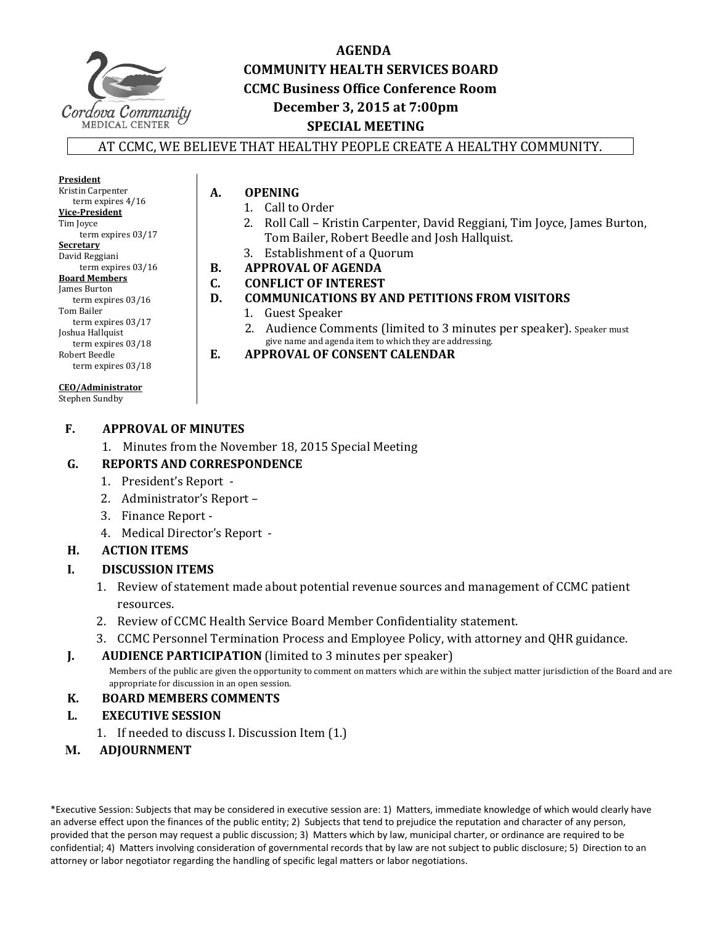

# **AGENDA COMMUNITY HEALTH SERVICES BOARD CCMC Business Office Conference Room December 3, 2015 at 7:00pm SPECIAL MEETING**

#### AT CCMC, WE BELIEVE THAT HEALTHY PEOPLE CREATE A HEALTHY COMMUNITY.

**President** Kristin Carpenter term expires  $4/16$ **Vice‐President** Tim Joyce term expires 03/17 **Secretary** David Reggiani term expires 03/16 **Board Members** James Burton term expires 03/16 Tom Bailer term expires 03/17 Joshua Hallquist term expires  $03/18$ Robert Beedle term expires 03/18

#### **CEO/Administrator**

Stephen Sundby

# **F. APPROVAL OF MINUTES**

1. Minutes from the November 18, 2015 Special Meeting

#### **G. REPORTS AND CORRESPONDENCE**

- 1. President's Report -
- 2. Administrator's Report -
- 3. Finance Report -
- 4. Medical Director's Report -

#### **H. ACTION ITEMS**

#### **I. DISCUSSION ITEMS**

- 1. Review of statement made about potential revenue sources and management of CCMC patient resources.
- 2. Review of CCMC Health Service Board Member Confidentiality statement.
- 3. CCMC Personnel Termination Process and Employee Policy, with attorney and QHR guidance.
- **J. AUDIENCE PARTICIPATION** (limited to 3 minutes per speaker)

Members of the public are given the opportunity to comment on matters which are within the subject matter jurisdiction of the Board and are appropriate for discussion in an open session.

#### **K. BOARD MEMBERS COMMENTS**

- **L. EXECUTIVE SESSION** 
	- 1. If needed to discuss I. Discussion Item (1.)
- **M. ADJOURNMENT**

\*Executive Session: Subjects that may be considered in executive session are: 1) Matters, immediate knowledge of which would clearly have an adverse effect upon the finances of the public entity; 2) Subjects that tend to prejudice the reputation and character of any person, provided that the person may request a public discussion; 3) Matters which by law, municipal charter, or ordinance are required to be confidential; 4) Matters involving consideration of governmental records that by law are not subject to public disclosure; 5) Direction to an attorney or labor negotiator regarding the handling of specific legal matters or labor negotiations.

**A. OPENING**

- - 1. Call to Order<br>2. Roll Call Kr Roll Call – Kristin Carpenter, David Reggiani, Tim Joyce, James Burton, Tom Bailer, Robert Beedle and Josh Hallquist.
- 3. Establishment of a Quorum
- **B. APPROVAL OF AGENDA**
- **C. CONFLICT OF INTEREST**
- **D. COMMUNICATIONS BY AND PETITIONS FROM VISITORS**
	- 1. Guest Speaker
	- 2. Audience Comments (limited to 3 minutes per speaker). Speaker must give name and agenda item to which they are addressing.
- **E. APPROVAL OF CONSENT CALENDAR**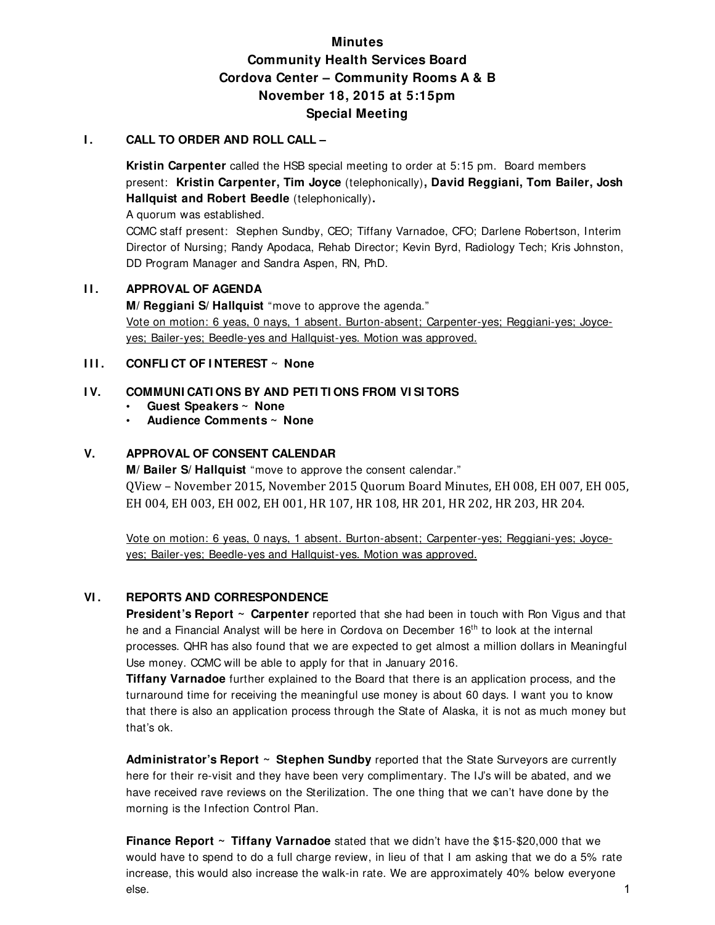# **Minutes Community Health Services Board Cordova Center – Community Rooms A & B November 18, 2015 at 5:15pm Special Meeting**

#### **I. CALL TO ORDER AND ROLL CALL –**

**Kristin Carpenter** called the HSB special meeting to order at 5:15 pm. Board members present: **Kristin Carpenter, Tim Joyce** (telephonically)**, David Reggiani, Tom Bailer, Josh Hallquist and Robert Beedle** (telephonically)**.** 

A quorum was established.

CCMC staff present: Stephen Sundby, CEO; Tiffany Varnadoe, CFO; Darlene Robertson, Interim Director of Nursing; Randy Apodaca, Rehab Director; Kevin Byrd, Radiology Tech; Kris Johnston, DD Program Manager and Sandra Aspen, RN, PhD.

#### **II. APPROVAL OF AGENDA**

 **M/ Reggiani S/ Hallquist** "move to approve the agenda." Vote on motion: 6 yeas, 0 nays, 1 absent. Burton-absent; Carpenter-yes; Reggiani-yes; Joyceyes; Bailer-yes; Beedle-yes and Hallquist-yes. Motion was approved.

#### **III.** CONFLICT OF INTEREST ~ None

#### **I V. COMMUNI CATI ONS BY AND PETI TI ONS FROM VI SI TORS**

- **Guest Speakers ~ None**
- **Audience Comments ~ None**

#### **V. APPROVAL OF CONSENT CALENDAR**

 **M/ Bailer S/ Hallquist** "move to approve the consent calendar." OView – November 2015, November 2015 Ouorum Board Minutes, EH 008, EH 007, EH 005, EH 004, EH 003, EH 002, EH 001, HR 107, HR 108, HR 201, HR 202, HR 203, HR 204.

Vote on motion: 6 yeas, 0 nays, 1 absent. Burton-absent; Carpenter-yes; Reggiani-yes; Joyceyes; Bailer-yes; Beedle-yes and Hallquist-yes. Motion was approved.

#### **VI . REPORTS AND CORRESPONDENCE**

**President's Report ~ Carpenter** reported that she had been in touch with Ron Vigus and that he and a Financial Analyst will be here in Cordova on December 16<sup>th</sup> to look at the internal processes. QHR has also found that we are expected to get almost a million dollars in Meaningful Use money. CCMC will be able to apply for that in January 2016.

**Tiffany Varnadoe** further explained to the Board that there is an application process, and the turnaround time for receiving the meaningful use money is about 60 days. I want you to know that there is also an application process through the State of Alaska, it is not as much money but that's ok.

**Administrator's Report ~ Stephen Sundby** reported that the State Surveyors are currently here for their re-visit and they have been very complimentary. The IJ's will be abated, and we have received rave reviews on the Sterilization. The one thing that we can't have done by the morning is the Infection Control Plan.

**Finance Report ~ Tiffany Varnadoe** stated that we didn't have the \$15-\$20,000 that we would have to spend to do a full charge review, in lieu of that I am asking that we do a 5% rate increase, this would also increase the walk-in rate. We are approximately 40% below everyone else. 1996 - 1996 - 1997 - 1998 - 1999 - 1999 - 1999 - 1999 - 1999 - 1999 - 1999 - 1999 - 1999 - 1999 - 1999 -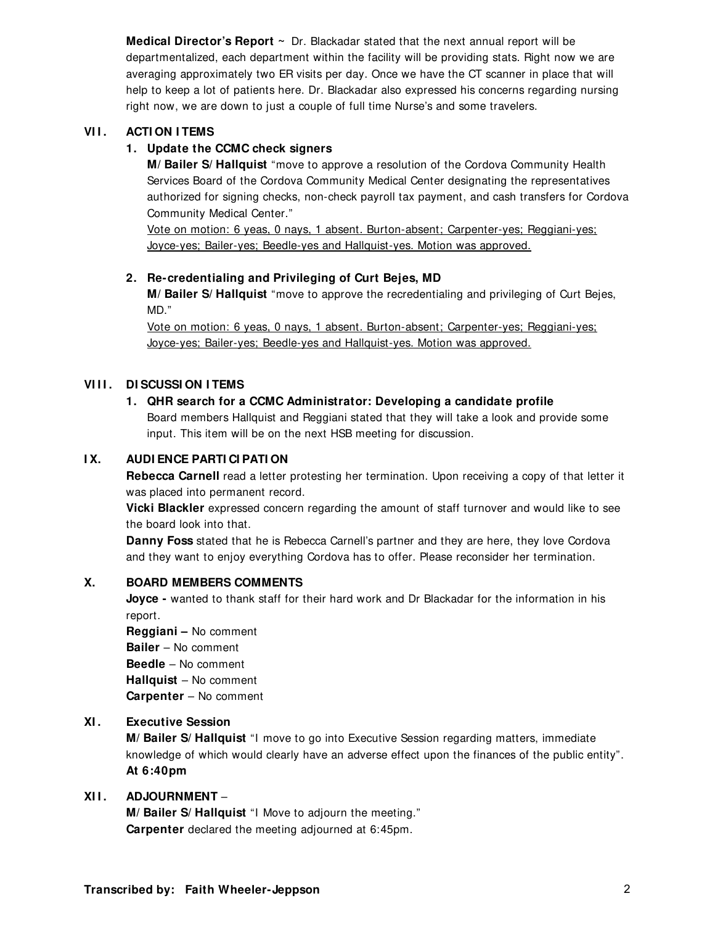**Medical Director's Report ~** Dr. Blackadar stated that the next annual report will be departmentalized, each department within the facility will be providing stats. Right now we are averaging approximately two ER visits per day. Once we have the CT scanner in place that will help to keep a lot of patients here. Dr. Blackadar also expressed his concerns regarding nursing right now, we are down to just a couple of full time Nurse's and some travelers.

#### **VII. ACTION I TEMS**

#### **1. Update the CCMC check signers**

**M/ Bailer S/ Hallquist** "move to approve a resolution of the Cordova Community Health Services Board of the Cordova Community Medical Center designating the representatives authorized for signing checks, non-check payroll tax payment, and cash transfers for Cordova Community Medical Center."

Vote on motion: 6 yeas, 0 nays, 1 absent. Burton-absent; Carpenter-yes; Reggiani-yes; Joyce-yes; Bailer-yes; Beedle-yes and Hallquist-yes. Motion was approved.

#### **2. Re-credentialing and Privileging of Curt Bejes, MD**

**M/ Bailer S/ Hallquist** "move to approve the recredentialing and privileging of Curt Bejes, MD."

Vote on motion: 6 yeas, 0 nays, 1 absent. Burton-absent; Carpenter-yes; Reggiani-yes; Joyce-yes; Bailer-yes; Beedle-yes and Hallquist-yes. Motion was approved.

#### **VIII. DI SCUSSI ON I TEMS**

#### **1. QHR search for a CCMC Administrator: Developing a candidate profile**

Board members Hallquist and Reggiani stated that they will take a look and provide some input. This item will be on the next HSB meeting for discussion.

#### **I X. AUDI ENCE PARTI CI PATI ON**

**Rebecca Carnell** read a letter protesting her termination. Upon receiving a copy of that letter it was placed into permanent record.

**Vicki Blackler** expressed concern regarding the amount of staff turnover and would like to see the board look into that.

**Danny Foss** stated that he is Rebecca Carnell's partner and they are here, they love Cordova and they want to enjoy everything Cordova has to offer. Please reconsider her termination.

#### **X. BOARD MEMBERS COMMENTS**

**Joyce -** wanted to thank staff for their hard work and Dr Blackadar for the information in his report.

 **Reggiani –** No comment **Bailer** – No comment **Beedle** – No comment **Hallquist** – No comment **Carpenter** – No comment

#### **XI . Executive Session**

**M/ Bailer S/ Hallquist** "I move to go into Executive Session regarding matters, immediate knowledge of which would clearly have an adverse effect upon the finances of the public entity". **At 6:40pm** 

#### **XI I . ADJOURNMENT** –

**M/ Bailer S/ Hallquist** "I Move to adjourn the meeting." **Carpenter** declared the meeting adjourned at 6:45pm.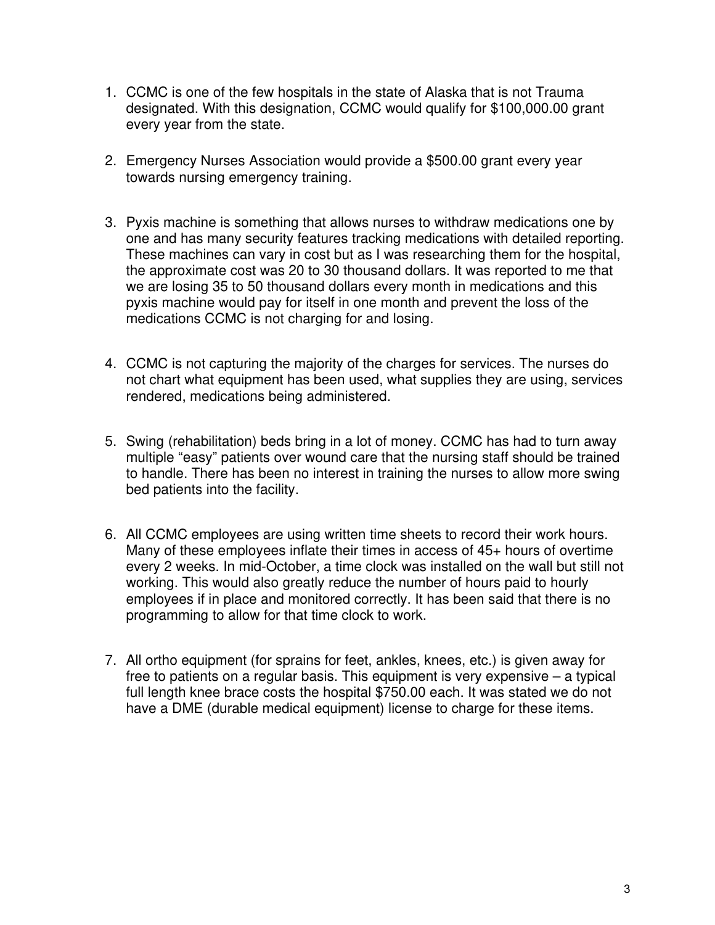- 1. CCMC is one of the few hospitals in the state of Alaska that is not Trauma designated. With this designation, CCMC would qualify for \$100,000.00 grant every year from the state.
- 2. Emergency Nurses Association would provide a \$500.00 grant every year towards nursing emergency training.
- 3. Pyxis machine is something that allows nurses to withdraw medications one by one and has many security features tracking medications with detailed reporting. These machines can vary in cost but as I was researching them for the hospital, the approximate cost was 20 to 30 thousand dollars. It was reported to me that we are losing 35 to 50 thousand dollars every month in medications and this pyxis machine would pay for itself in one month and prevent the loss of the medications CCMC is not charging for and losing.
- 4. CCMC is not capturing the majority of the charges for services. The nurses do not chart what equipment has been used, what supplies they are using, services rendered, medications being administered.
- 5. Swing (rehabilitation) beds bring in a lot of money. CCMC has had to turn away multiple "easy" patients over wound care that the nursing staff should be trained to handle. There has been no interest in training the nurses to allow more swing bed patients into the facility.
- 6. All CCMC employees are using written time sheets to record their work hours. Many of these employees inflate their times in access of 45+ hours of overtime every 2 weeks. In mid-October, a time clock was installed on the wall but still not working. This would also greatly reduce the number of hours paid to hourly employees if in place and monitored correctly. It has been said that there is no programming to allow for that time clock to work.
- 7. All ortho equipment (for sprains for feet, ankles, knees, etc.) is given away for free to patients on a regular basis. This equipment is very expensive – a typical full length knee brace costs the hospital \$750.00 each. It was stated we do not have a DME (durable medical equipment) license to charge for these items.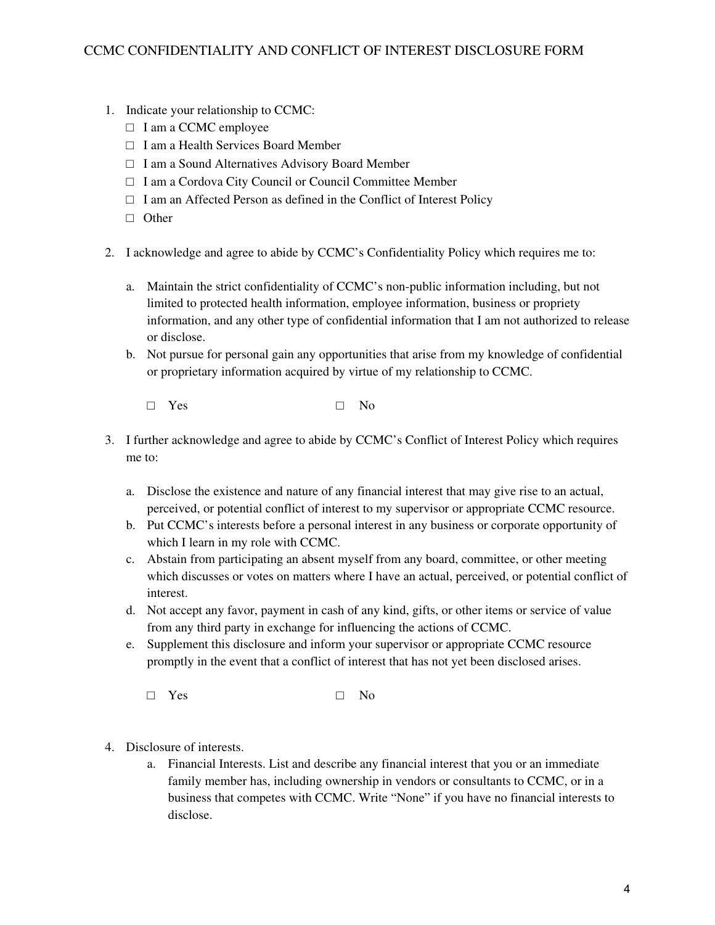- 1. Indicate your relationship to CCMC:
	- □ I am a CCMC employee
	- □ I am a Health Services Board Member
	- □ I am a Sound Alternatives Advisory Board Member
	- □ I am a Cordova City Council or Council Committee Member
	- $\Box$  I am an Affected Person as defined in the Conflict of Interest Policy
	- □ Other
- 2. I acknowledge and agree to abide by CCMC's Confidentiality Policy which requires me to:
	- a. Maintain the strict confidentiality of CCMC's non-public information including, but not limited to protected health information, employee information, business or propriety information, and any other type of confidential information that I am not authorized to release or disclose.
	- b. Not pursue for personal gain any opportunities that arise from my knowledge of confidential or proprietary information acquired by virtue of my relationship to CCMC.
		- □ Yes □ No
- 3. I further acknowledge and agree to abide by CCMC's Conflict of Interest Policy which requires me to:
	- a. Disclose the existence and nature of any financial interest that may give rise to an actual, perceived, or potential conflict of interest to my supervisor or appropriate CCMC resource.
	- b. Put CCMC's interests before a personal interest in any business or corporate opportunity of which I learn in my role with CCMC.
	- c. Abstain from participating an absent myself from any board, committee, or other meeting which discusses or votes on matters where I have an actual, perceived, or potential conflict of interest.
	- d. Not accept any favor, payment in cash of any kind, gifts, or other items or service of value from any third party in exchange for influencing the actions of CCMC.
	- e. Supplement this disclosure and inform your supervisor or appropriate CCMC resource promptly in the event that a conflict of interest that has not yet been disclosed arises.
		- □ Yes □ No
- 4. Disclosure of interests.
	- a. Financial Interests. List and describe any financial interest that you or an immediate family member has, including ownership in vendors or consultants to CCMC, or in a business that competes with CCMC. Write "None" if you have no financial interests to disclose.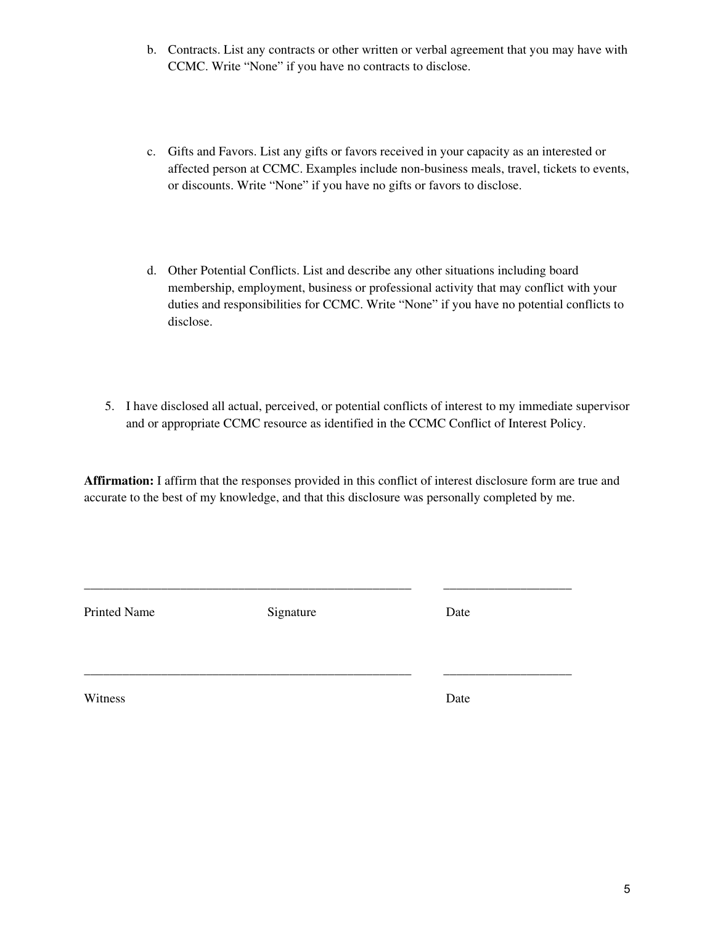- b. Contracts. List any contracts or other written or verbal agreement that you may have with CCMC. Write "None" if you have no contracts to disclose.
- c. Gifts and Favors. List any gifts or favors received in your capacity as an interested or affected person at CCMC. Examples include non-business meals, travel, tickets to events, or discounts. Write "None" if you have no gifts or favors to disclose.
- d. Other Potential Conflicts. List and describe any other situations including board membership, employment, business or professional activity that may conflict with your duties and responsibilities for CCMC. Write "None" if you have no potential conflicts to disclose.
- 5. I have disclosed all actual, perceived, or potential conflicts of interest to my immediate supervisor and or appropriate CCMC resource as identified in the CCMC Conflict of Interest Policy.

**Affirmation:** I affirm that the responses provided in this conflict of interest disclosure form are true and accurate to the best of my knowledge, and that this disclosure was personally completed by me.

\_\_\_\_\_\_\_\_\_\_\_\_\_\_\_\_\_\_\_\_\_\_\_\_\_\_\_\_\_\_\_\_\_\_\_\_\_\_\_\_\_\_\_\_\_\_\_\_\_\_\_ \_\_\_\_\_\_\_\_\_\_\_\_\_\_\_\_\_\_\_\_

\_\_\_\_\_\_\_\_\_\_\_\_\_\_\_\_\_\_\_\_\_\_\_\_\_\_\_\_\_\_\_\_\_\_\_\_\_\_\_\_\_\_\_\_\_\_\_\_\_\_\_ \_\_\_\_\_\_\_\_\_\_\_\_\_\_\_\_\_\_\_\_

Printed Name Signature Date

Witness Date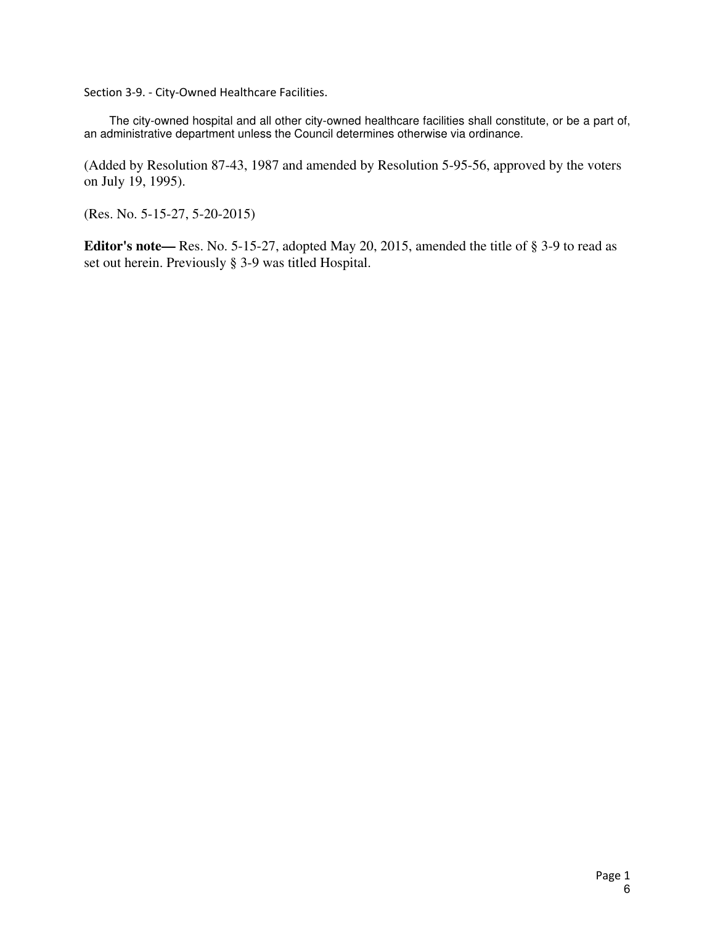Section 3‐9. ‐ City‐Owned Healthcare Facilities.

The city-owned hospital and all other city-owned healthcare facilities shall constitute, or be a part of, an administrative department unless the Council determines otherwise via ordinance.

(Added by Resolution 87-43, 1987 and amended by Resolution 5-95-56, approved by the voters on July 19, 1995).

(Res. No. 5-15-27, 5-20-2015)

**Editor's note—** Res. No. 5-15-27, adopted May 20, 2015, amended the title of § 3-9 to read as set out herein. Previously § 3-9 was titled Hospital.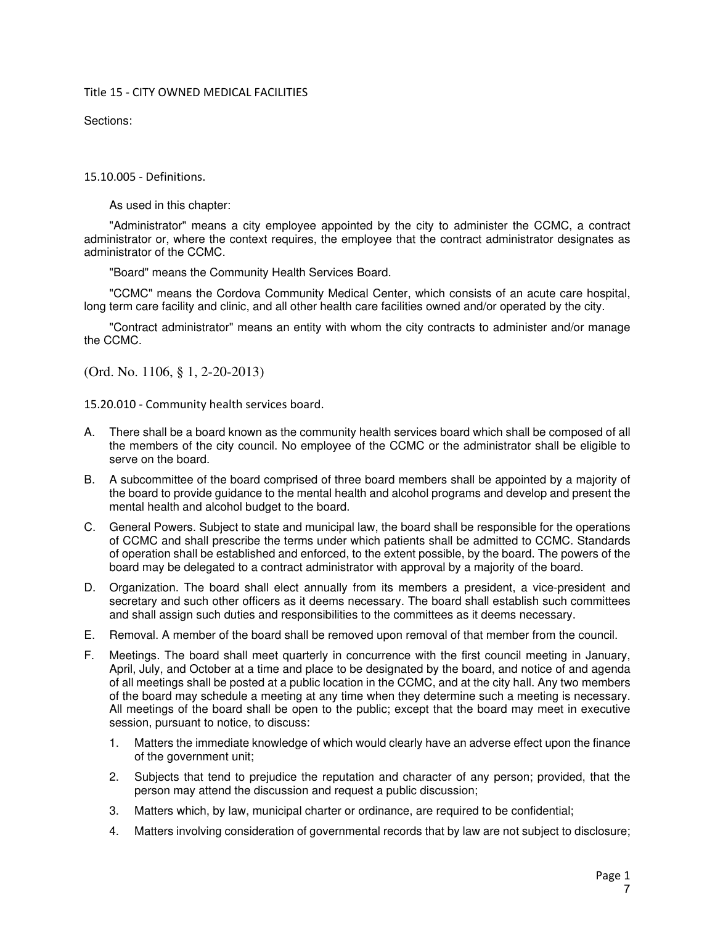#### Title 15 ‐ CITY OWNED MEDICAL FACILITIES

Sections:

15.10.005 ‐ Definitions.

As used in this chapter:

"Administrator" means a city employee appointed by the city to administer the CCMC, a contract administrator or, where the context requires, the employee that the contract administrator designates as administrator of the CCMC.

"Board" means the Community Health Services Board.

"CCMC" means the Cordova Community Medical Center, which consists of an acute care hospital, long term care facility and clinic, and all other health care facilities owned and/or operated by the city.

"Contract administrator" means an entity with whom the city contracts to administer and/or manage the CCMC.

(Ord. No. 1106, § 1, 2-20-2013)

15.20.010 ‐ Community health services board.

- A. There shall be a board known as the community health services board which shall be composed of all the members of the city council. No employee of the CCMC or the administrator shall be eligible to serve on the board.
- B. A subcommittee of the board comprised of three board members shall be appointed by a majority of the board to provide guidance to the mental health and alcohol programs and develop and present the mental health and alcohol budget to the board.
- C. General Powers. Subject to state and municipal law, the board shall be responsible for the operations of CCMC and shall prescribe the terms under which patients shall be admitted to CCMC. Standards of operation shall be established and enforced, to the extent possible, by the board. The powers of the board may be delegated to a contract administrator with approval by a majority of the board.
- D. Organization. The board shall elect annually from its members a president, a vice-president and secretary and such other officers as it deems necessary. The board shall establish such committees and shall assign such duties and responsibilities to the committees as it deems necessary.
- E. Removal. A member of the board shall be removed upon removal of that member from the council.
- F. Meetings. The board shall meet quarterly in concurrence with the first council meeting in January, April, July, and October at a time and place to be designated by the board, and notice of and agenda of all meetings shall be posted at a public location in the CCMC, and at the city hall. Any two members of the board may schedule a meeting at any time when they determine such a meeting is necessary. All meetings of the board shall be open to the public; except that the board may meet in executive session, pursuant to notice, to discuss:
	- 1. Matters the immediate knowledge of which would clearly have an adverse effect upon the finance of the government unit;
	- 2. Subjects that tend to prejudice the reputation and character of any person; provided, that the person may attend the discussion and request a public discussion;
	- 3. Matters which, by law, municipal charter or ordinance, are required to be confidential;
	- 4. Matters involving consideration of governmental records that by law are not subject to disclosure;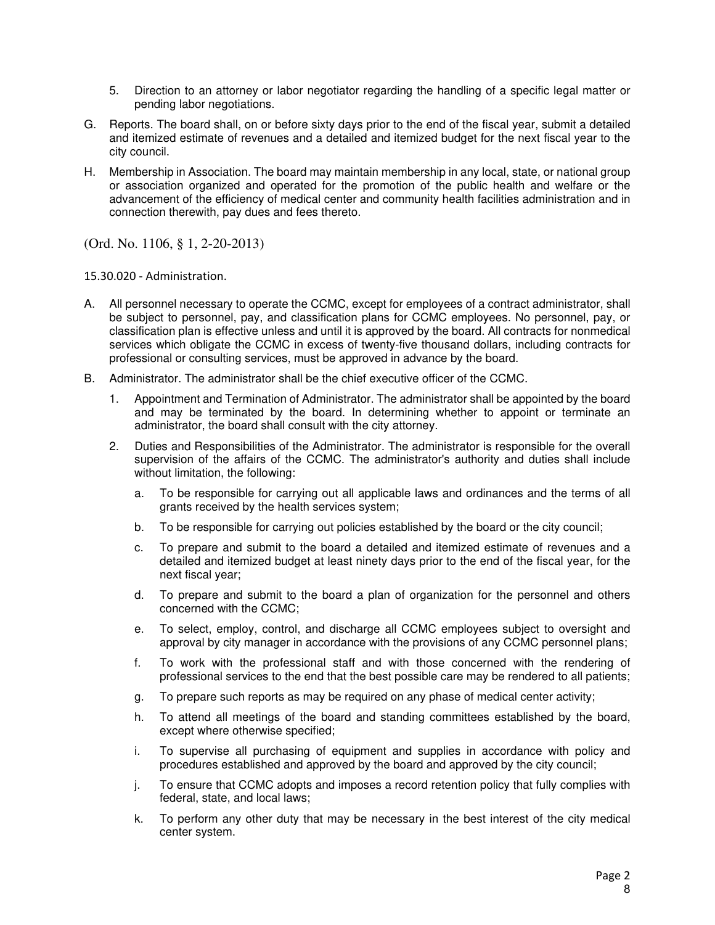- 5. Direction to an attorney or labor negotiator regarding the handling of a specific legal matter or pending labor negotiations.
- G. Reports. The board shall, on or before sixty days prior to the end of the fiscal year, submit a detailed and itemized estimate of revenues and a detailed and itemized budget for the next fiscal year to the city council.
- H. Membership in Association. The board may maintain membership in any local, state, or national group or association organized and operated for the promotion of the public health and welfare or the advancement of the efficiency of medical center and community health facilities administration and in connection therewith, pay dues and fees thereto.

(Ord. No. 1106, § 1, 2-20-2013)

15.30.020 ‐ Administration.

- A. All personnel necessary to operate the CCMC, except for employees of a contract administrator, shall be subject to personnel, pay, and classification plans for CCMC employees. No personnel, pay, or classification plan is effective unless and until it is approved by the board. All contracts for nonmedical services which obligate the CCMC in excess of twenty-five thousand dollars, including contracts for professional or consulting services, must be approved in advance by the board.
- B. Administrator. The administrator shall be the chief executive officer of the CCMC.
	- 1. Appointment and Termination of Administrator. The administrator shall be appointed by the board and may be terminated by the board. In determining whether to appoint or terminate an administrator, the board shall consult with the city attorney.
	- 2. Duties and Responsibilities of the Administrator. The administrator is responsible for the overall supervision of the affairs of the CCMC. The administrator's authority and duties shall include without limitation, the following:
		- a. To be responsible for carrying out all applicable laws and ordinances and the terms of all grants received by the health services system;
		- b. To be responsible for carrying out policies established by the board or the city council;
		- c. To prepare and submit to the board a detailed and itemized estimate of revenues and a detailed and itemized budget at least ninety days prior to the end of the fiscal year, for the next fiscal year;
		- d. To prepare and submit to the board a plan of organization for the personnel and others concerned with the CCMC;
		- e. To select, employ, control, and discharge all CCMC employees subject to oversight and approval by city manager in accordance with the provisions of any CCMC personnel plans;
		- f. To work with the professional staff and with those concerned with the rendering of professional services to the end that the best possible care may be rendered to all patients;
		- g. To prepare such reports as may be required on any phase of medical center activity;
		- h. To attend all meetings of the board and standing committees established by the board, except where otherwise specified;
		- i. To supervise all purchasing of equipment and supplies in accordance with policy and procedures established and approved by the board and approved by the city council;
		- j. To ensure that CCMC adopts and imposes a record retention policy that fully complies with federal, state, and local laws;
		- k. To perform any other duty that may be necessary in the best interest of the city medical center system.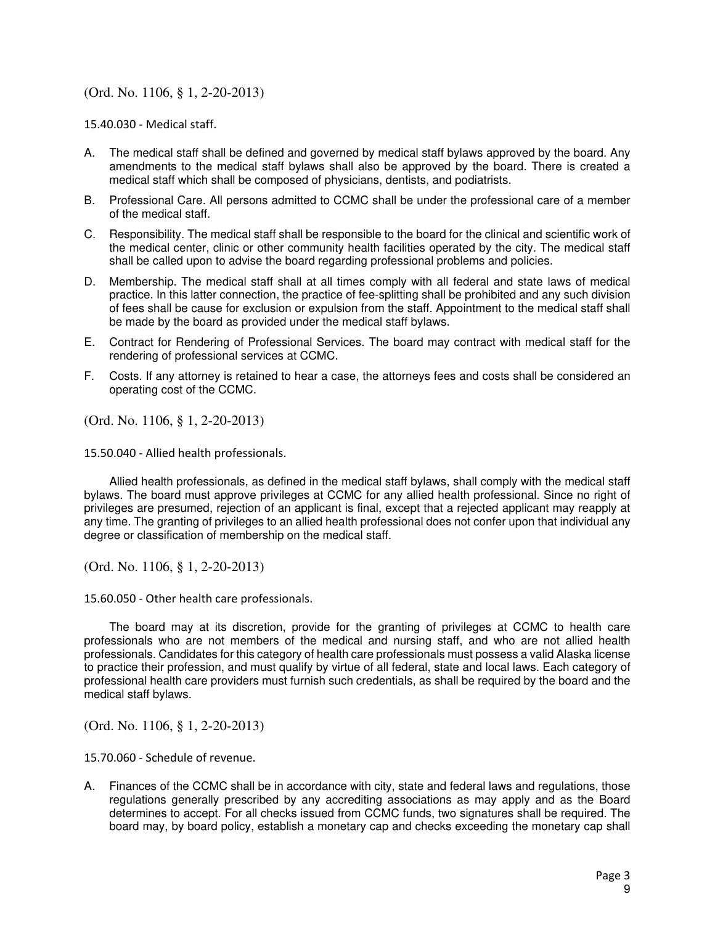#### (Ord. No. 1106, § 1, 2-20-2013)

15.40.030 ‐ Medical staff.

- A. The medical staff shall be defined and governed by medical staff bylaws approved by the board. Any amendments to the medical staff bylaws shall also be approved by the board. There is created a medical staff which shall be composed of physicians, dentists, and podiatrists.
- B. Professional Care. All persons admitted to CCMC shall be under the professional care of a member of the medical staff.
- C. Responsibility. The medical staff shall be responsible to the board for the clinical and scientific work of the medical center, clinic or other community health facilities operated by the city. The medical staff shall be called upon to advise the board regarding professional problems and policies.
- D. Membership. The medical staff shall at all times comply with all federal and state laws of medical practice. In this latter connection, the practice of fee-splitting shall be prohibited and any such division of fees shall be cause for exclusion or expulsion from the staff. Appointment to the medical staff shall be made by the board as provided under the medical staff bylaws.
- E. Contract for Rendering of Professional Services. The board may contract with medical staff for the rendering of professional services at CCMC.
- F. Costs. If any attorney is retained to hear a case, the attorneys fees and costs shall be considered an operating cost of the CCMC.

(Ord. No. 1106, § 1, 2-20-2013)

15.50.040 ‐ Allied health professionals.

Allied health professionals, as defined in the medical staff bylaws, shall comply with the medical staff bylaws. The board must approve privileges at CCMC for any allied health professional. Since no right of privileges are presumed, rejection of an applicant is final, except that a rejected applicant may reapply at any time. The granting of privileges to an allied health professional does not confer upon that individual any degree or classification of membership on the medical staff.

(Ord. No. 1106, § 1, 2-20-2013)

15.60.050 ‐ Other health care professionals.

The board may at its discretion, provide for the granting of privileges at CCMC to health care professionals who are not members of the medical and nursing staff, and who are not allied health professionals. Candidates for this category of health care professionals must possess a valid Alaska license to practice their profession, and must qualify by virtue of all federal, state and local laws. Each category of professional health care providers must furnish such credentials, as shall be required by the board and the medical staff bylaws.

(Ord. No. 1106, § 1, 2-20-2013)

15.70.060 ‐ Schedule of revenue.

A. Finances of the CCMC shall be in accordance with city, state and federal laws and regulations, those regulations generally prescribed by any accrediting associations as may apply and as the Board determines to accept. For all checks issued from CCMC funds, two signatures shall be required. The board may, by board policy, establish a monetary cap and checks exceeding the monetary cap shall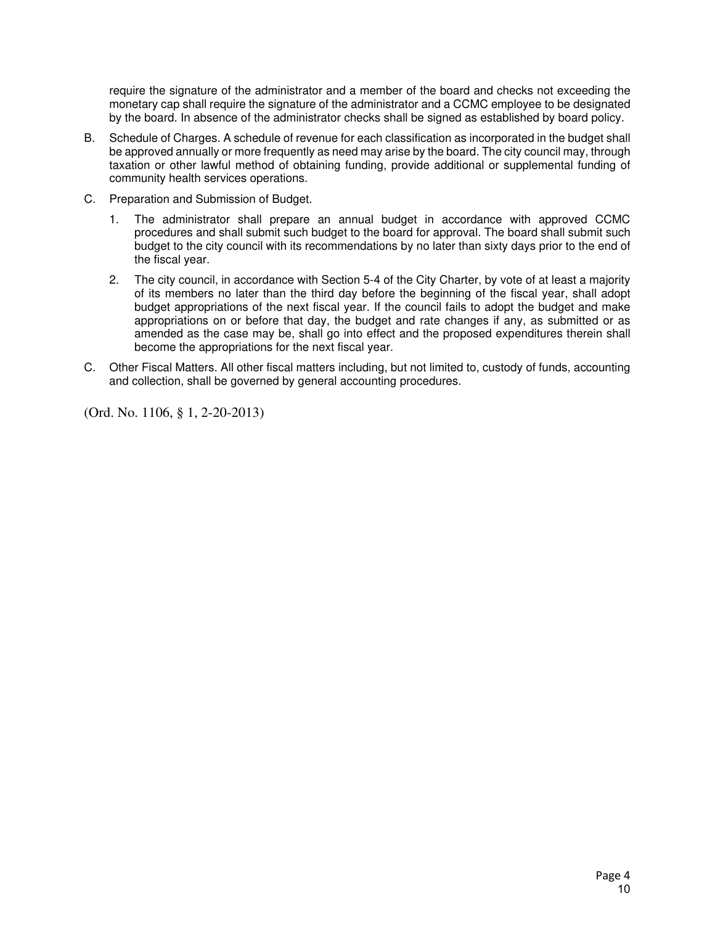require the signature of the administrator and a member of the board and checks not exceeding the monetary cap shall require the signature of the administrator and a CCMC employee to be designated by the board. In absence of the administrator checks shall be signed as established by board policy.

- B. Schedule of Charges. A schedule of revenue for each classification as incorporated in the budget shall be approved annually or more frequently as need may arise by the board. The city council may, through taxation or other lawful method of obtaining funding, provide additional or supplemental funding of community health services operations.
- C. Preparation and Submission of Budget.
	- 1. The administrator shall prepare an annual budget in accordance with approved CCMC procedures and shall submit such budget to the board for approval. The board shall submit such budget to the city council with its recommendations by no later than sixty days prior to the end of the fiscal year.
	- 2. The city council, in accordance with Section 5-4 of the City Charter, by vote of at least a majority of its members no later than the third day before the beginning of the fiscal year, shall adopt budget appropriations of the next fiscal year. If the council fails to adopt the budget and make appropriations on or before that day, the budget and rate changes if any, as submitted or as amended as the case may be, shall go into effect and the proposed expenditures therein shall become the appropriations for the next fiscal year.
- C. Other Fiscal Matters. All other fiscal matters including, but not limited to, custody of funds, accounting and collection, shall be governed by general accounting procedures.

(Ord. No. 1106, § 1, 2-20-2013)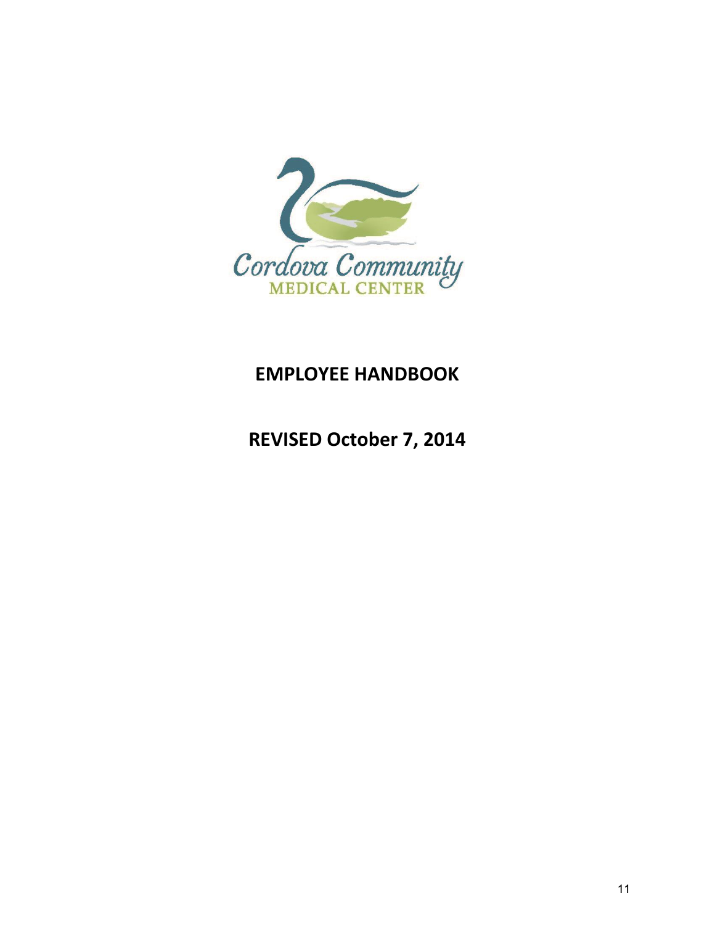

# **EMPLOYEE HANDBOOK**

**REVISED October 7, 2014**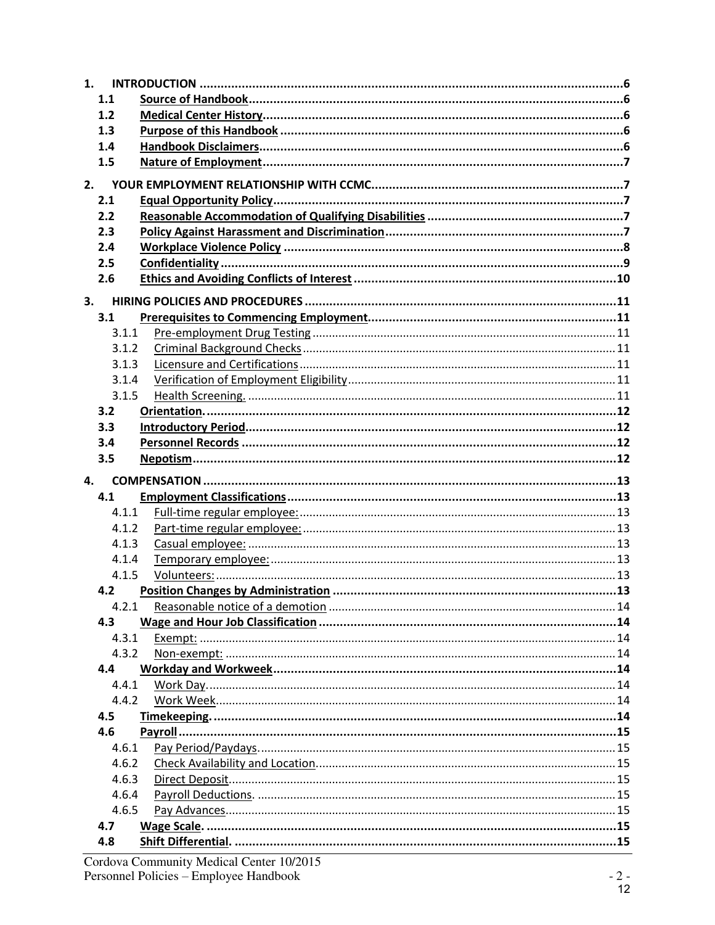| 1.         |  |
|------------|--|
| 1.1        |  |
| 1.2        |  |
| 1.3        |  |
| 1.4        |  |
| 1.5        |  |
| 2.         |  |
| 2.1        |  |
| 2.2        |  |
| 2.3        |  |
| 2.4        |  |
| 2.5        |  |
| 2.6        |  |
| 3.         |  |
| 3.1        |  |
| 3.1.1      |  |
| 3.1.2      |  |
| 3.1.3      |  |
| 3.1.4      |  |
| 3.1.5      |  |
| 3.2        |  |
| 3.3        |  |
| 3.4        |  |
| 3.5        |  |
|            |  |
| 4.         |  |
| 4.1        |  |
| 4.1.1      |  |
| 4.1.2      |  |
| 4.1.3      |  |
| 4.1.4      |  |
| 4.1.5      |  |
| 4.2        |  |
| 4.2.1      |  |
| 4.3        |  |
| 4.3.1      |  |
| 4.3.2      |  |
| 4.4        |  |
| 4.4.1      |  |
| 4.4.2      |  |
| 4.5        |  |
| 4.6        |  |
| 4.6.1      |  |
| 4.6.2      |  |
| 4.6.3      |  |
| 4.6.4      |  |
| 4.6.5      |  |
| 4.7<br>4.8 |  |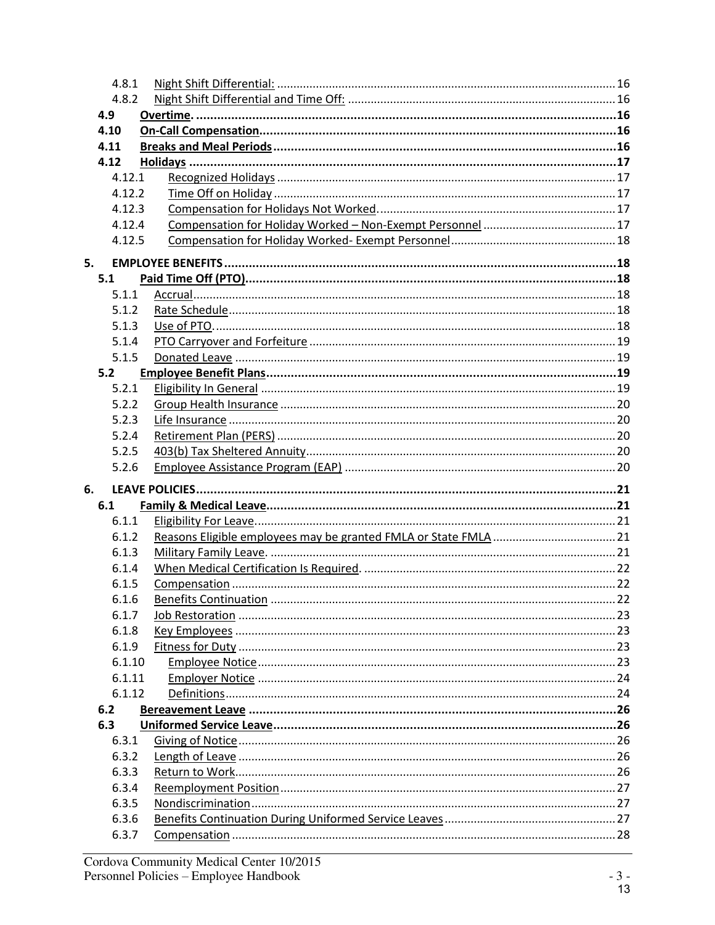|    | 4.8.1          |     |
|----|----------------|-----|
|    | 4.8.2          |     |
|    | 4.9            |     |
|    | 4.10           |     |
|    | 4.11           |     |
|    | 4.12           |     |
|    | 4.12.1         |     |
|    | 4.12.2         |     |
|    | 4.12.3         |     |
|    | 4.12.4         |     |
|    | 4.12.5         |     |
| 5. |                |     |
|    | 5.1            |     |
|    | 5.1.1          |     |
|    | 5.1.2          |     |
|    | 5.1.3          |     |
|    | 5.1.4          |     |
|    | 5.1.5          |     |
|    | 5.2            |     |
|    | 5.2.1          |     |
|    | 5.2.2          |     |
|    | 5.2.3          |     |
|    | 5.2.4          |     |
|    | 5.2.5          |     |
|    | 5.2.6          |     |
|    |                |     |
| 6. |                |     |
|    | 6.1            |     |
|    | 6.1.1          |     |
|    | 6.1.2          |     |
|    | 6.1.3          |     |
|    | 6.1.4          |     |
|    | 6.1.5          |     |
|    | 6.1.6          | .22 |
|    | 6.1.7          |     |
|    | 6.1.8          |     |
|    | 6.1.9          |     |
|    | 6.1.10         |     |
|    | 6.1.11         |     |
|    | 6.1.12         |     |
|    | 6.2            |     |
|    | 6.3            |     |
|    | 6.3.1          |     |
|    | 6.3.2          |     |
|    | 6.3.3          |     |
|    | 6.3.4          |     |
|    | 6.3.5          |     |
|    | 6.3.6<br>6.3.7 |     |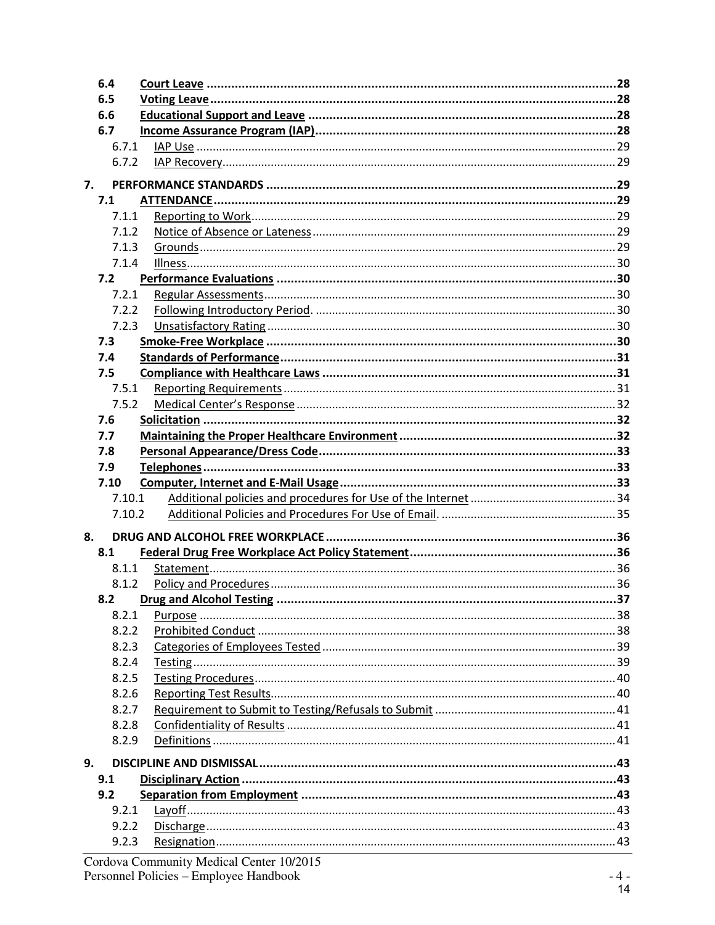|    | 6.4    |  |
|----|--------|--|
|    | 6.5    |  |
|    | 6.6    |  |
|    | 6.7    |  |
|    | 6.7.1  |  |
|    | 6.7.2  |  |
| 7. |        |  |
|    | 7.1    |  |
|    | 7.1.1  |  |
|    | 7.1.2  |  |
|    | 7.1.3  |  |
|    | 7.1.4  |  |
|    | 7.2    |  |
|    | 7.2.1  |  |
|    | 7.2.2  |  |
|    | 7.2.3  |  |
|    | 7.3    |  |
|    | 7.4    |  |
|    | 7.5    |  |
|    | 7.5.1  |  |
|    | 7.5.2  |  |
|    | 7.6    |  |
|    | 7.7    |  |
|    | 7.8    |  |
|    | 7.9    |  |
|    | 7.10   |  |
|    | 7.10.1 |  |
|    | 7.10.2 |  |
| 8. |        |  |
|    | 8.1    |  |
|    | 8.1.1  |  |
|    | 8.1.2  |  |
|    |        |  |
|    | 8.2.1  |  |
|    | 8.2.2  |  |
|    | 8.2.3  |  |
|    | 8.2.4  |  |
|    | 8.2.5  |  |
|    | 8.2.6  |  |
|    | 8.2.7  |  |
|    | 8.2.8  |  |
|    | 8.2.9  |  |
| 9. |        |  |
|    | 9.1    |  |
|    | 9.2    |  |
|    | 9.2.1  |  |
|    | 9.2.2  |  |
|    | 9.2.3  |  |
|    |        |  |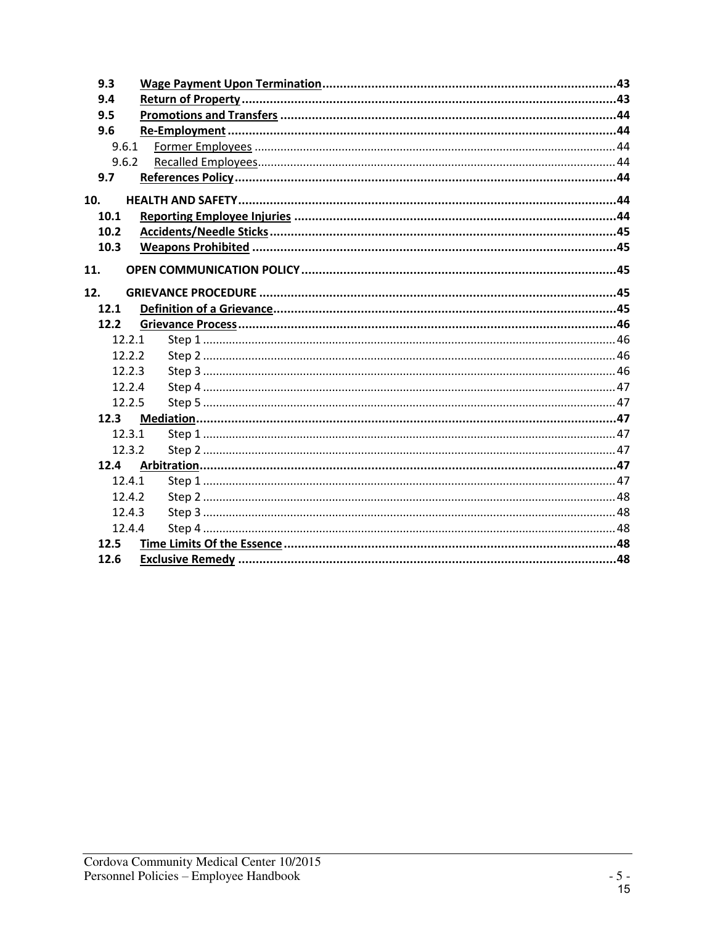| 9.3    |  |
|--------|--|
| 9.4    |  |
| 9.5    |  |
| 9.6    |  |
| 9.6.1  |  |
| 9.6.2  |  |
| 9.7    |  |
| 10.    |  |
| 10.1   |  |
| 10.2   |  |
| 10.3   |  |
|        |  |
| 11.    |  |
| 12.    |  |
| 12.1   |  |
| 12.2   |  |
| 12.2.1 |  |
| 12.2.2 |  |
| 12.2.3 |  |
| 12.2.4 |  |
| 12.2.5 |  |
| 12.3   |  |
| 12.3.1 |  |
| 12.3.2 |  |
| 12.4   |  |
| 12.4.1 |  |
| 12.4.2 |  |
| 12.4.3 |  |
| 12.4.4 |  |
| 12.5   |  |
| 12.6   |  |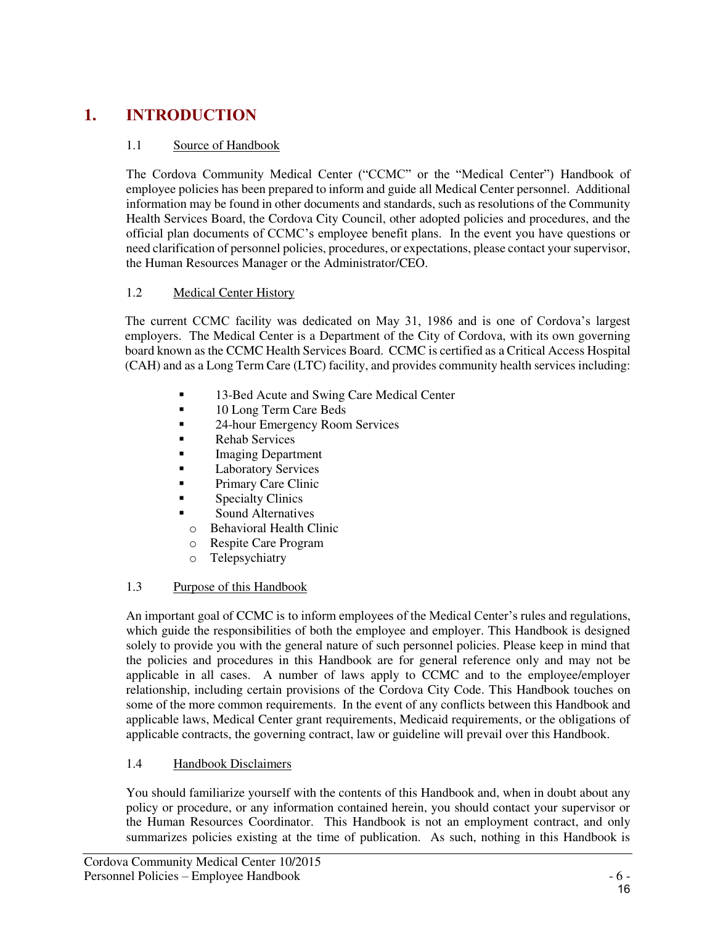# **1. INTRODUCTION**

# 1.1 Source of Handbook

The Cordova Community Medical Center ("CCMC" or the "Medical Center") Handbook of employee policies has been prepared to inform and guide all Medical Center personnel. Additional information may be found in other documents and standards, such as resolutions of the Community Health Services Board, the Cordova City Council, other adopted policies and procedures, and the official plan documents of CCMC's employee benefit plans. In the event you have questions or need clarification of personnel policies, procedures, or expectations, please contact your supervisor, the Human Resources Manager or the Administrator/CEO.

# 1.2 Medical Center History

The current CCMC facility was dedicated on May 31, 1986 and is one of Cordova's largest employers. The Medical Center is a Department of the City of Cordova, with its own governing board known as the CCMC Health Services Board. CCMC is certified as a Critical Access Hospital (CAH) and as a Long Term Care (LTC) facility, and provides community health services including:

- **13-Bed Acute and Swing Care Medical Center**
- <sup>10</sup> Long Term Care Beds
- **24-hour Emergency Room Services**
- Rehab Services
- **Imaging Department**
- **Laboratory Services**
- **Primary Care Clinic**
- **Specialty Clinics**
- Sound Alternatives
- o Behavioral Health Clinic
- o Respite Care Program
- o Telepsychiatry

# 1.3 Purpose of this Handbook

An important goal of CCMC is to inform employees of the Medical Center's rules and regulations, which guide the responsibilities of both the employee and employer. This Handbook is designed solely to provide you with the general nature of such personnel policies. Please keep in mind that the policies and procedures in this Handbook are for general reference only and may not be applicable in all cases. A number of laws apply to CCMC and to the employee/employer relationship, including certain provisions of the Cordova City Code. This Handbook touches on some of the more common requirements. In the event of any conflicts between this Handbook and applicable laws, Medical Center grant requirements, Medicaid requirements, or the obligations of applicable contracts, the governing contract, law or guideline will prevail over this Handbook.

# 1.4 Handbook Disclaimers

You should familiarize yourself with the contents of this Handbook and, when in doubt about any policy or procedure, or any information contained herein, you should contact your supervisor or the Human Resources Coordinator. This Handbook is not an employment contract, and only summarizes policies existing at the time of publication. As such, nothing in this Handbook is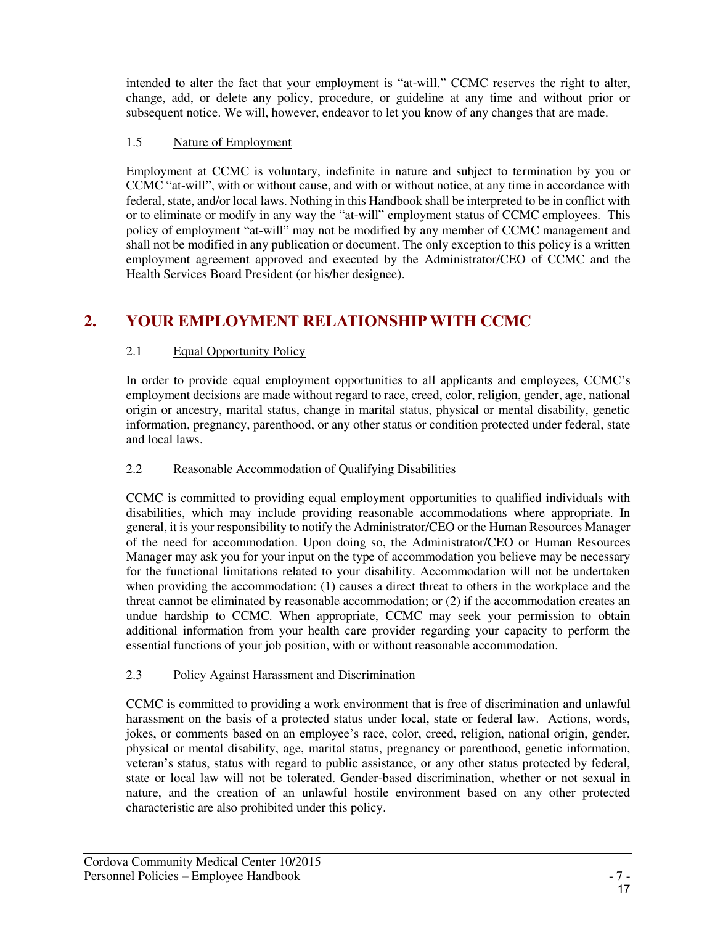intended to alter the fact that your employment is "at-will." CCMC reserves the right to alter, change, add, or delete any policy, procedure, or guideline at any time and without prior or subsequent notice. We will, however, endeavor to let you know of any changes that are made.

# 1.5 Nature of Employment

Employment at CCMC is voluntary, indefinite in nature and subject to termination by you or CCMC "at-will", with or without cause, and with or without notice, at any time in accordance with federal, state, and/or local laws. Nothing in this Handbook shall be interpreted to be in conflict with or to eliminate or modify in any way the "at-will" employment status of CCMC employees. This policy of employment "at-will" may not be modified by any member of CCMC management and shall not be modified in any publication or document. The only exception to this policy is a written employment agreement approved and executed by the Administrator/CEO of CCMC and the Health Services Board President (or his/her designee).

# **2. YOUR EMPLOYMENT RELATIONSHIP WITH CCMC**

# 2.1 Equal Opportunity Policy

In order to provide equal employment opportunities to all applicants and employees, CCMC's employment decisions are made without regard to race, creed, color, religion, gender, age, national origin or ancestry, marital status, change in marital status, physical or mental disability, genetic information, pregnancy, parenthood, or any other status or condition protected under federal, state and local laws.

### 2.2 Reasonable Accommodation of Qualifying Disabilities

CCMC is committed to providing equal employment opportunities to qualified individuals with disabilities, which may include providing reasonable accommodations where appropriate. In general, it is your responsibility to notify the Administrator/CEO or the Human Resources Manager of the need for accommodation. Upon doing so, the Administrator/CEO or Human Resources Manager may ask you for your input on the type of accommodation you believe may be necessary for the functional limitations related to your disability. Accommodation will not be undertaken when providing the accommodation: (1) causes a direct threat to others in the workplace and the threat cannot be eliminated by reasonable accommodation; or (2) if the accommodation creates an undue hardship to CCMC. When appropriate, CCMC may seek your permission to obtain additional information from your health care provider regarding your capacity to perform the essential functions of your job position, with or without reasonable accommodation.

# 2.3 Policy Against Harassment and Discrimination

CCMC is committed to providing a work environment that is free of discrimination and unlawful harassment on the basis of a protected status under local, state or federal law. Actions, words, jokes, or comments based on an employee's race, color, creed, religion, national origin, gender, physical or mental disability, age, marital status, pregnancy or parenthood, genetic information, veteran's status, status with regard to public assistance, or any other status protected by federal, state or local law will not be tolerated. Gender-based discrimination, whether or not sexual in nature, and the creation of an unlawful hostile environment based on any other protected characteristic are also prohibited under this policy.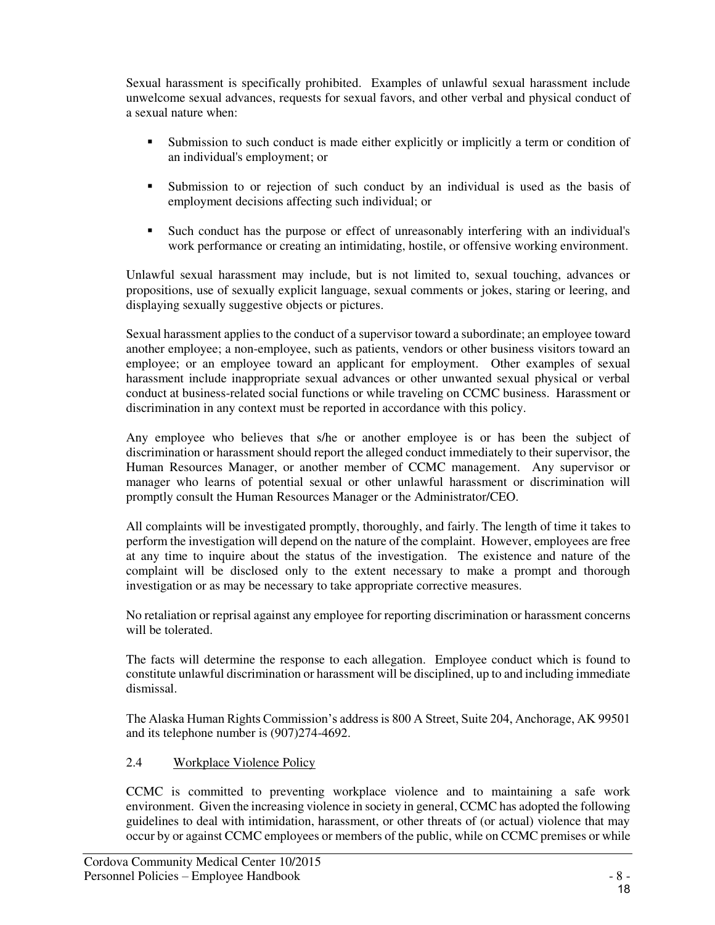Sexual harassment is specifically prohibited. Examples of unlawful sexual harassment include unwelcome sexual advances, requests for sexual favors, and other verbal and physical conduct of a sexual nature when:

- Submission to such conduct is made either explicitly or implicitly a term or condition of an individual's employment; or
- Submission to or rejection of such conduct by an individual is used as the basis of employment decisions affecting such individual; or
- Such conduct has the purpose or effect of unreasonably interfering with an individual's work performance or creating an intimidating, hostile, or offensive working environment.

Unlawful sexual harassment may include, but is not limited to, sexual touching, advances or propositions, use of sexually explicit language, sexual comments or jokes, staring or leering, and displaying sexually suggestive objects or pictures.

Sexual harassment applies to the conduct of a supervisor toward a subordinate; an employee toward another employee; a non-employee, such as patients, vendors or other business visitors toward an employee; or an employee toward an applicant for employment. Other examples of sexual harassment include inappropriate sexual advances or other unwanted sexual physical or verbal conduct at business-related social functions or while traveling on CCMC business. Harassment or discrimination in any context must be reported in accordance with this policy.

Any employee who believes that s/he or another employee is or has been the subject of discrimination or harassment should report the alleged conduct immediately to their supervisor, the Human Resources Manager, or another member of CCMC management. Any supervisor or manager who learns of potential sexual or other unlawful harassment or discrimination will promptly consult the Human Resources Manager or the Administrator/CEO.

All complaints will be investigated promptly, thoroughly, and fairly. The length of time it takes to perform the investigation will depend on the nature of the complaint. However, employees are free at any time to inquire about the status of the investigation. The existence and nature of the complaint will be disclosed only to the extent necessary to make a prompt and thorough investigation or as may be necessary to take appropriate corrective measures.

No retaliation or reprisal against any employee for reporting discrimination or harassment concerns will be tolerated.

The facts will determine the response to each allegation. Employee conduct which is found to constitute unlawful discrimination or harassment will be disciplined, up to and including immediate dismissal.

The Alaska Human Rights Commission's address is 800 A Street, Suite 204, Anchorage, AK 99501 and its telephone number is (907)274-4692.

#### 2.4 Workplace Violence Policy

CCMC is committed to preventing workplace violence and to maintaining a safe work environment. Given the increasing violence in society in general, CCMC has adopted the following guidelines to deal with intimidation, harassment, or other threats of (or actual) violence that may occur by or against CCMC employees or members of the public, while on CCMC premises or while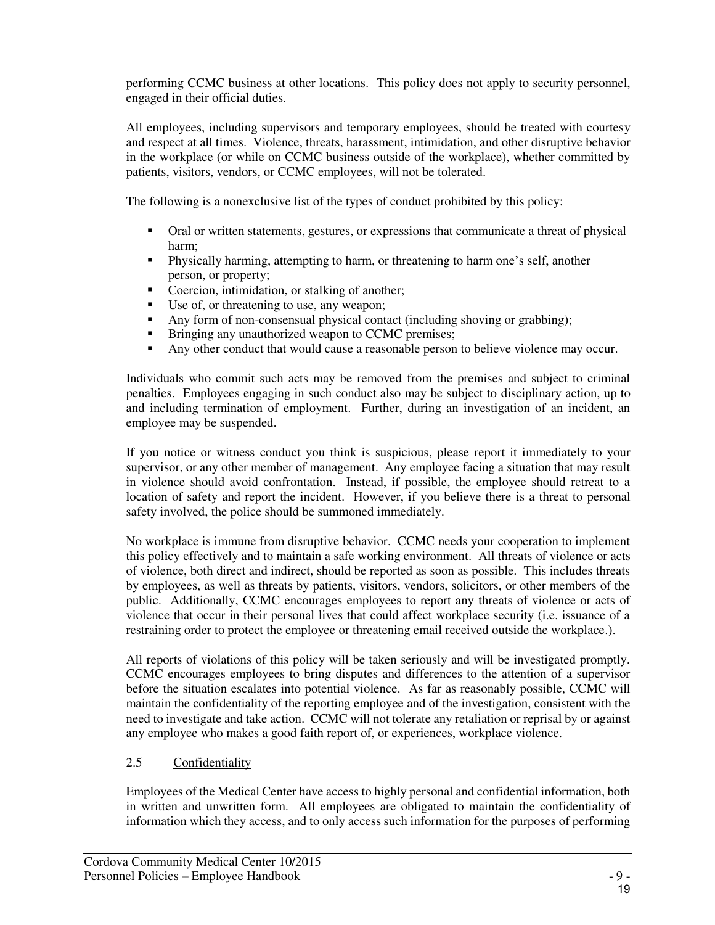performing CCMC business at other locations. This policy does not apply to security personnel, engaged in their official duties.

All employees, including supervisors and temporary employees, should be treated with courtesy and respect at all times. Violence, threats, harassment, intimidation, and other disruptive behavior in the workplace (or while on CCMC business outside of the workplace), whether committed by patients, visitors, vendors, or CCMC employees, will not be tolerated.

The following is a nonexclusive list of the types of conduct prohibited by this policy:

- Oral or written statements, gestures, or expressions that communicate a threat of physical harm;
- Physically harming, attempting to harm, or threatening to harm one's self, another person, or property;
- Coercion, intimidation, or stalking of another;<br>Ise of or threatening to use, any weapon:
- Use of, or threatening to use, any weapon;
- Any form of non-consensual physical contact (including shoving or grabbing);
- **Bringing any unauthorized weapon to CCMC premises;**
- Any other conduct that would cause a reasonable person to believe violence may occur.

Individuals who commit such acts may be removed from the premises and subject to criminal penalties. Employees engaging in such conduct also may be subject to disciplinary action, up to and including termination of employment. Further, during an investigation of an incident, an employee may be suspended.

If you notice or witness conduct you think is suspicious, please report it immediately to your supervisor, or any other member of management. Any employee facing a situation that may result in violence should avoid confrontation. Instead, if possible, the employee should retreat to a location of safety and report the incident. However, if you believe there is a threat to personal safety involved, the police should be summoned immediately.

No workplace is immune from disruptive behavior. CCMC needs your cooperation to implement this policy effectively and to maintain a safe working environment. All threats of violence or acts of violence, both direct and indirect, should be reported as soon as possible. This includes threats by employees, as well as threats by patients, visitors, vendors, solicitors, or other members of the public. Additionally, CCMC encourages employees to report any threats of violence or acts of violence that occur in their personal lives that could affect workplace security (i.e. issuance of a restraining order to protect the employee or threatening email received outside the workplace.).

All reports of violations of this policy will be taken seriously and will be investigated promptly. CCMC encourages employees to bring disputes and differences to the attention of a supervisor before the situation escalates into potential violence. As far as reasonably possible, CCMC will maintain the confidentiality of the reporting employee and of the investigation, consistent with the need to investigate and take action. CCMC will not tolerate any retaliation or reprisal by or against any employee who makes a good faith report of, or experiences, workplace violence.

# 2.5 Confidentiality

Employees of the Medical Center have access to highly personal and confidential information, both in written and unwritten form. All employees are obligated to maintain the confidentiality of information which they access, and to only access such information for the purposes of performing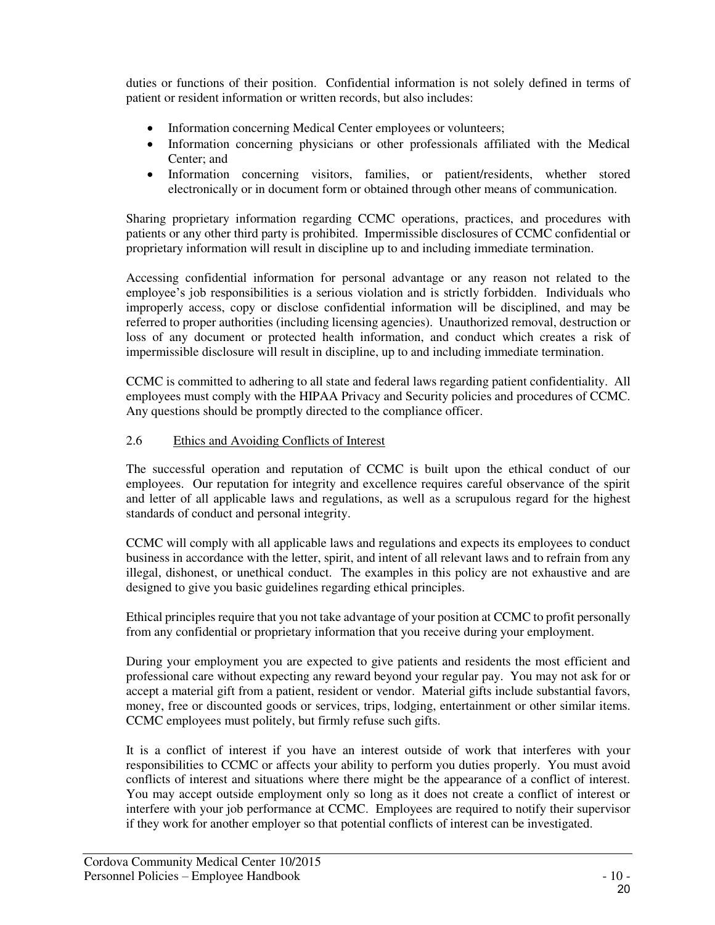duties or functions of their position. Confidential information is not solely defined in terms of patient or resident information or written records, but also includes:

- Information concerning Medical Center employees or volunteers;
- Information concerning physicians or other professionals affiliated with the Medical Center; and
- Information concerning visitors, families, or patient/residents, whether stored electronically or in document form or obtained through other means of communication.

Sharing proprietary information regarding CCMC operations, practices, and procedures with patients or any other third party is prohibited. Impermissible disclosures of CCMC confidential or proprietary information will result in discipline up to and including immediate termination.

Accessing confidential information for personal advantage or any reason not related to the employee's job responsibilities is a serious violation and is strictly forbidden. Individuals who improperly access, copy or disclose confidential information will be disciplined, and may be referred to proper authorities (including licensing agencies). Unauthorized removal, destruction or loss of any document or protected health information, and conduct which creates a risk of impermissible disclosure will result in discipline, up to and including immediate termination.

CCMC is committed to adhering to all state and federal laws regarding patient confidentiality. All employees must comply with the HIPAA Privacy and Security policies and procedures of CCMC. Any questions should be promptly directed to the compliance officer.

#### 2.6 Ethics and Avoiding Conflicts of Interest

The successful operation and reputation of CCMC is built upon the ethical conduct of our employees. Our reputation for integrity and excellence requires careful observance of the spirit and letter of all applicable laws and regulations, as well as a scrupulous regard for the highest standards of conduct and personal integrity.

CCMC will comply with all applicable laws and regulations and expects its employees to conduct business in accordance with the letter, spirit, and intent of all relevant laws and to refrain from any illegal, dishonest, or unethical conduct. The examples in this policy are not exhaustive and are designed to give you basic guidelines regarding ethical principles.

Ethical principles require that you not take advantage of your position at CCMC to profit personally from any confidential or proprietary information that you receive during your employment.

During your employment you are expected to give patients and residents the most efficient and professional care without expecting any reward beyond your regular pay. You may not ask for or accept a material gift from a patient, resident or vendor. Material gifts include substantial favors, money, free or discounted goods or services, trips, lodging, entertainment or other similar items. CCMC employees must politely, but firmly refuse such gifts.

It is a conflict of interest if you have an interest outside of work that interferes with your responsibilities to CCMC or affects your ability to perform you duties properly. You must avoid conflicts of interest and situations where there might be the appearance of a conflict of interest. You may accept outside employment only so long as it does not create a conflict of interest or interfere with your job performance at CCMC. Employees are required to notify their supervisor if they work for another employer so that potential conflicts of interest can be investigated.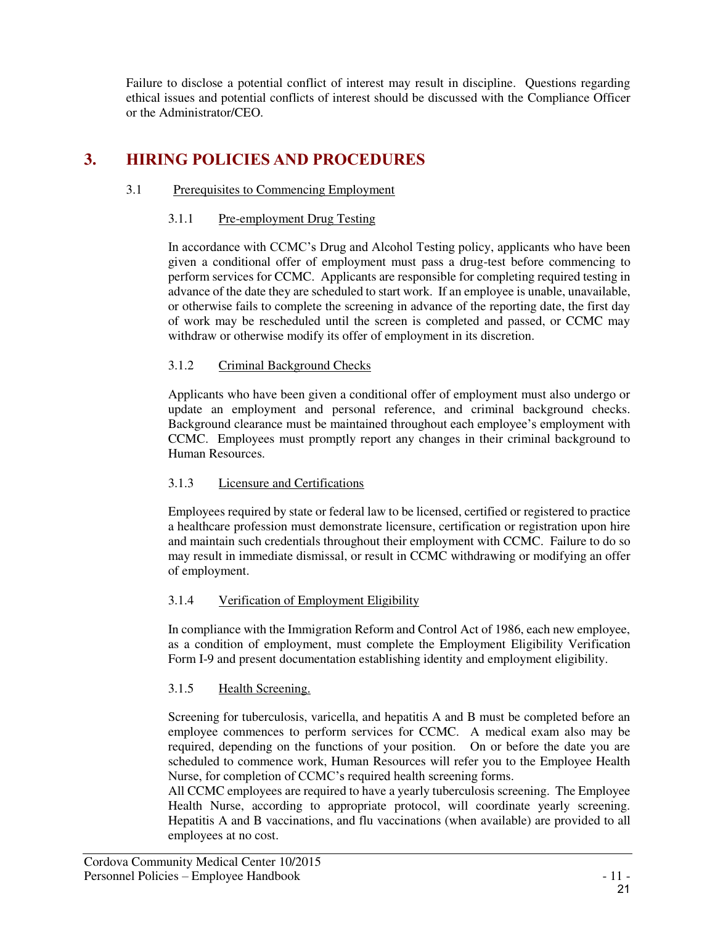Failure to disclose a potential conflict of interest may result in discipline. Questions regarding ethical issues and potential conflicts of interest should be discussed with the Compliance Officer or the Administrator/CEO.

# **3. HIRING POLICIES AND PROCEDURES**

# 3.1 Prerequisites to Commencing Employment

#### 3.1.1 Pre-employment Drug Testing

In accordance with CCMC's Drug and Alcohol Testing policy, applicants who have been given a conditional offer of employment must pass a drug-test before commencing to perform services for CCMC. Applicants are responsible for completing required testing in advance of the date they are scheduled to start work. If an employee is unable, unavailable, or otherwise fails to complete the screening in advance of the reporting date, the first day of work may be rescheduled until the screen is completed and passed, or CCMC may withdraw or otherwise modify its offer of employment in its discretion.

#### 3.1.2 Criminal Background Checks

Applicants who have been given a conditional offer of employment must also undergo or update an employment and personal reference, and criminal background checks. Background clearance must be maintained throughout each employee's employment with CCMC. Employees must promptly report any changes in their criminal background to Human Resources.

#### 3.1.3 Licensure and Certifications

Employees required by state or federal law to be licensed, certified or registered to practice a healthcare profession must demonstrate licensure, certification or registration upon hire and maintain such credentials throughout their employment with CCMC. Failure to do so may result in immediate dismissal, or result in CCMC withdrawing or modifying an offer of employment.

#### 3.1.4 Verification of Employment Eligibility

In compliance with the Immigration Reform and Control Act of 1986, each new employee, as a condition of employment, must complete the Employment Eligibility Verification Form I-9 and present documentation establishing identity and employment eligibility.

# 3.1.5 Health Screening.

Screening for tuberculosis, varicella, and hepatitis A and B must be completed before an employee commences to perform services for CCMC. A medical exam also may be required, depending on the functions of your position. On or before the date you are scheduled to commence work, Human Resources will refer you to the Employee Health Nurse, for completion of CCMC's required health screening forms.

All CCMC employees are required to have a yearly tuberculosis screening. The Employee Health Nurse, according to appropriate protocol, will coordinate yearly screening. Hepatitis A and B vaccinations, and flu vaccinations (when available) are provided to all employees at no cost.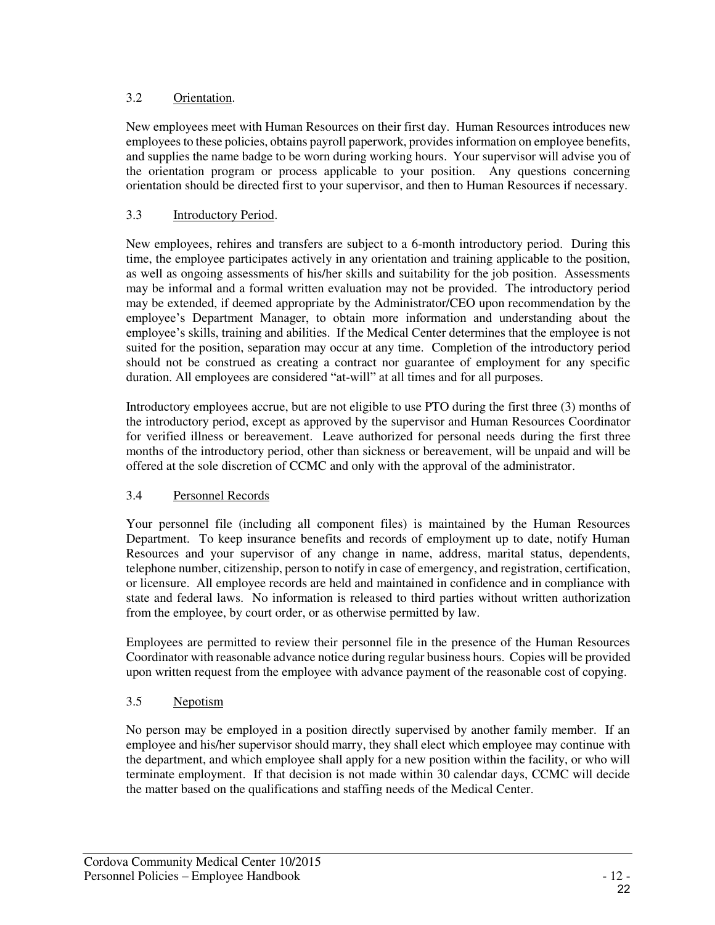### 3.2 Orientation.

New employees meet with Human Resources on their first day. Human Resources introduces new employees to these policies, obtains payroll paperwork, provides information on employee benefits, and supplies the name badge to be worn during working hours. Your supervisor will advise you of the orientation program or process applicable to your position. Any questions concerning orientation should be directed first to your supervisor, and then to Human Resources if necessary.

### <span id="page-22-0"></span>3.3 Introductory Period.

New employees, rehires and transfers are subject to a 6-month introductory period. During this time, the employee participates actively in any orientation and training applicable to the position, as well as ongoing assessments of his/her skills and suitability for the job position. Assessments may be informal and a formal written evaluation may not be provided. The introductory period may be extended, if deemed appropriate by the Administrator/CEO upon recommendation by the employee's Department Manager, to obtain more information and understanding about the employee's skills, training and abilities. If the Medical Center determines that the employee is not suited for the position, separation may occur at any time. Completion of the introductory period should not be construed as creating a contract nor guarantee of employment for any specific duration. All employees are considered "at-will" at all times and for all purposes.

Introductory employees accrue, but are not eligible to use PTO during the first three (3) months of the introductory period, except as approved by the supervisor and Human Resources Coordinator for verified illness or bereavement. Leave authorized for personal needs during the first three months of the introductory period, other than sickness or bereavement, will be unpaid and will be offered at the sole discretion of CCMC and only with the approval of the administrator.

#### 3.4 Personnel Records

Your personnel file (including all component files) is maintained by the Human Resources Department. To keep insurance benefits and records of employment up to date, notify Human Resources and your supervisor of any change in name, address, marital status, dependents, telephone number, citizenship, person to notify in case of emergency, and registration, certification, or licensure. All employee records are held and maintained in confidence and in compliance with state and federal laws. No information is released to third parties without written authorization from the employee, by court order, or as otherwise permitted by law.

Employees are permitted to review their personnel file in the presence of the Human Resources Coordinator with reasonable advance notice during regular business hours. Copies will be provided upon written request from the employee with advance payment of the reasonable cost of copying.

#### 3.5 Nepotism

No person may be employed in a position directly supervised by another family member. If an employee and his/her supervisor should marry, they shall elect which employee may continue with the department, and which employee shall apply for a new position within the facility, or who will terminate employment. If that decision is not made within 30 calendar days, CCMC will decide the matter based on the qualifications and staffing needs of the Medical Center.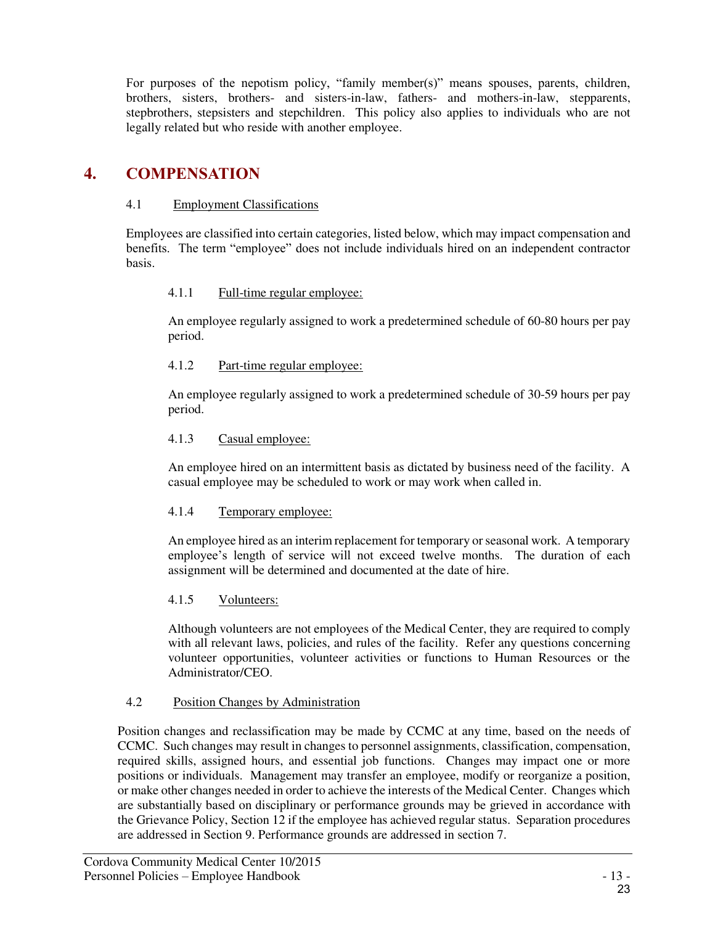For purposes of the nepotism policy, "family member(s)" means spouses, parents, children, brothers, sisters, brothers- and sisters-in-law, fathers- and mothers-in-law, stepparents, stepbrothers, stepsisters and stepchildren. This policy also applies to individuals who are not legally related but who reside with another employee.

# **4. COMPENSATION**

#### 4.1 Employment Classifications

Employees are classified into certain categories, listed below, which may impact compensation and benefits. The term "employee" does not include individuals hired on an independent contractor basis.

#### 4.1.1 Full-time regular employee:

An employee regularly assigned to work a predetermined schedule of 60-80 hours per pay period.

#### 4.1.2 Part-time regular employee:

An employee regularly assigned to work a predetermined schedule of 30-59 hours per pay period.

#### 4.1.3 Casual employee:

An employee hired on an intermittent basis as dictated by business need of the facility. A casual employee may be scheduled to work or may work when called in.

# 4.1.4 Temporary employee:

An employee hired as an interim replacement for temporary or seasonal work. A temporary employee's length of service will not exceed twelve months. The duration of each assignment will be determined and documented at the date of hire.

# 4.1.5 Volunteers:

Although volunteers are not employees of the Medical Center, they are required to comply with all relevant laws, policies, and rules of the facility. Refer any questions concerning volunteer opportunities, volunteer activities or functions to Human Resources or the Administrator/CEO.

# 4.2 Position Changes by Administration

Position changes and reclassification may be made by CCMC at any time, based on the needs of CCMC. Such changes may result in changes to personnel assignments, classification, compensation, required skills, assigned hours, and essential job functions. Changes may impact one or more positions or individuals. Management may transfer an employee, modify or reorganize a position, or make other changes needed in order to achieve the interests of the Medical Center. Changes which are substantially based on disciplinary or performance grounds may be grieved in accordance with the Grievance Policy, Section 12 if the employee has achieved regular status. Separation procedures are addressed in Section 9. Performance grounds are addressed in section 7.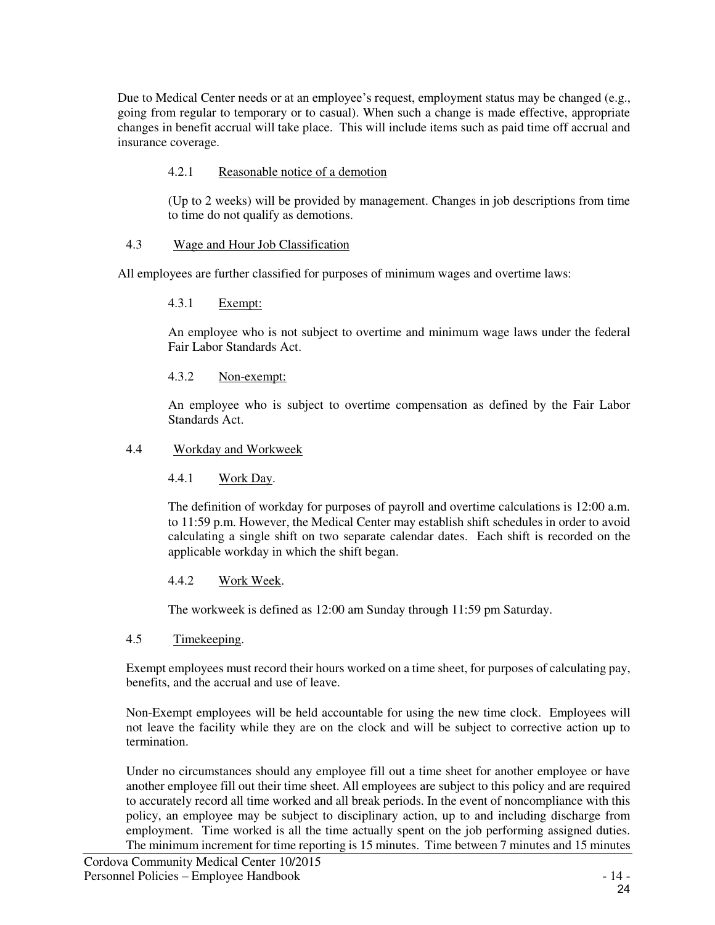Due to Medical Center needs or at an employee's request, employment status may be changed (e.g., going from regular to temporary or to casual). When such a change is made effective, appropriate changes in benefit accrual will take place. This will include items such as paid time off accrual and insurance coverage.

#### 4.2.1 Reasonable notice of a demotion

(Up to 2 weeks) will be provided by management. Changes in job descriptions from time to time do not qualify as demotions.

#### 4.3 Wage and Hour Job Classification

All employees are further classified for purposes of minimum wages and overtime laws:

#### 4.3.1 Exempt:

An employee who is not subject to overtime and minimum wage laws under the federal Fair Labor Standards Act.

#### 4.3.2 Non-exempt:

An employee who is subject to overtime compensation as defined by the Fair Labor Standards Act.

#### 4.4 Workday and Workweek

4.4.1 Work Day.

The definition of workday for purposes of payroll and overtime calculations is 12:00 a.m. to 11:59 p.m. However, the Medical Center may establish shift schedules in order to avoid calculating a single shift on two separate calendar dates. Each shift is recorded on the applicable workday in which the shift began.

#### 4.4.2 Work Week.

The workweek is defined as 12:00 am Sunday through 11:59 pm Saturday.

#### 4.5 Timekeeping.

Exempt employees must record their hours worked on a time sheet, for purposes of calculating pay, benefits, and the accrual and use of leave.

Non-Exempt employees will be held accountable for using the new time clock. Employees will not leave the facility while they are on the clock and will be subject to corrective action up to termination.

Under no circumstances should any employee fill out a time sheet for another employee or have another employee fill out their time sheet. All employees are subject to this policy and are required to accurately record all time worked and all break periods. In the event of noncompliance with this policy, an employee may be subject to disciplinary action, up to and including discharge from employment. Time worked is all the time actually spent on the job performing assigned duties. The minimum increment for time reporting is 15 minutes. Time between 7 minutes and 15 minutes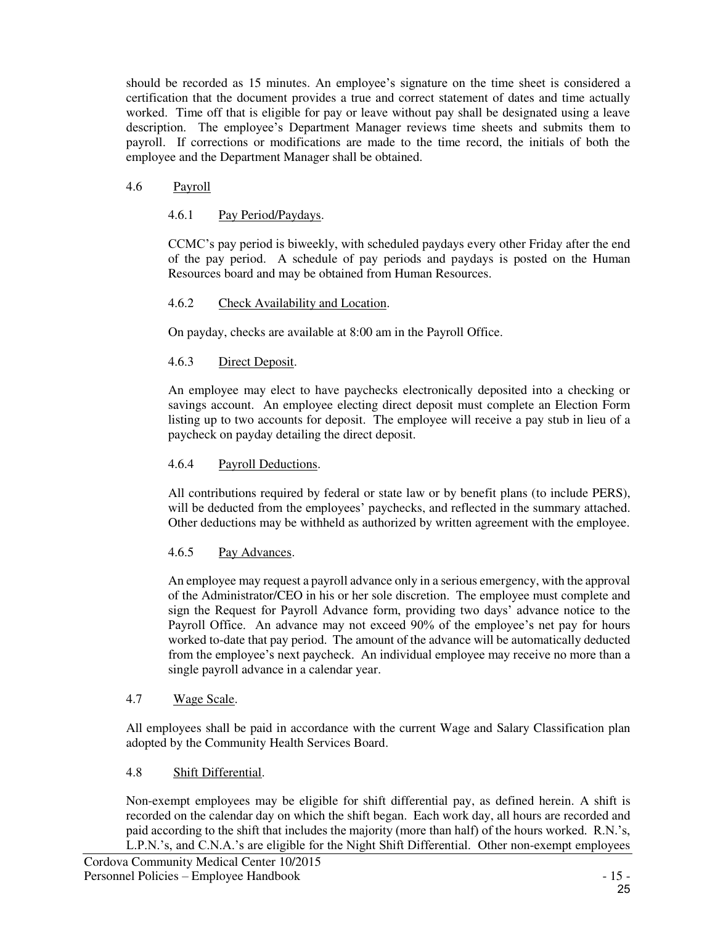should be recorded as 15 minutes. An employee's signature on the time sheet is considered a certification that the document provides a true and correct statement of dates and time actually worked. Time off that is eligible for pay or leave without pay shall be designated using a leave description. The employee's Department Manager reviews time sheets and submits them to payroll. If corrections or modifications are made to the time record, the initials of both the employee and the Department Manager shall be obtained.

#### 4.6 Payroll

### 4.6.1 Pay Period/Paydays.

CCMC's pay period is biweekly, with scheduled paydays every other Friday after the end of the pay period. A schedule of pay periods and paydays is posted on the Human Resources board and may be obtained from Human Resources.

#### 4.6.2 Check Availability and Location.

On payday, checks are available at 8:00 am in the Payroll Office.

#### 4.6.3 Direct Deposit.

An employee may elect to have paychecks electronically deposited into a checking or savings account. An employee electing direct deposit must complete an Election Form listing up to two accounts for deposit. The employee will receive a pay stub in lieu of a paycheck on payday detailing the direct deposit.

#### 4.6.4 Payroll Deductions.

All contributions required by federal or state law or by benefit plans (to include PERS), will be deducted from the employees' paychecks, and reflected in the summary attached. Other deductions may be withheld as authorized by written agreement with the employee.

#### 4.6.5 Pay Advances.

An employee may request a payroll advance only in a serious emergency, with the approval of the Administrator/CEO in his or her sole discretion. The employee must complete and sign the Request for Payroll Advance form, providing two days' advance notice to the Payroll Office. An advance may not exceed 90% of the employee's net pay for hours worked to-date that pay period. The amount of the advance will be automatically deducted from the employee's next paycheck. An individual employee may receive no more than a single payroll advance in a calendar year.

#### 4.7 Wage Scale.

All employees shall be paid in accordance with the current Wage and Salary Classification plan adopted by the Community Health Services Board.

#### 4.8 Shift Differential.

Non-exempt employees may be eligible for shift differential pay, as defined herein. A shift is recorded on the calendar day on which the shift began. Each work day, all hours are recorded and paid according to the shift that includes the majority (more than half) of the hours worked. R.N.'s, L.P.N.'s, and C.N.A.'s are eligible for the Night Shift Differential. Other non-exempt employees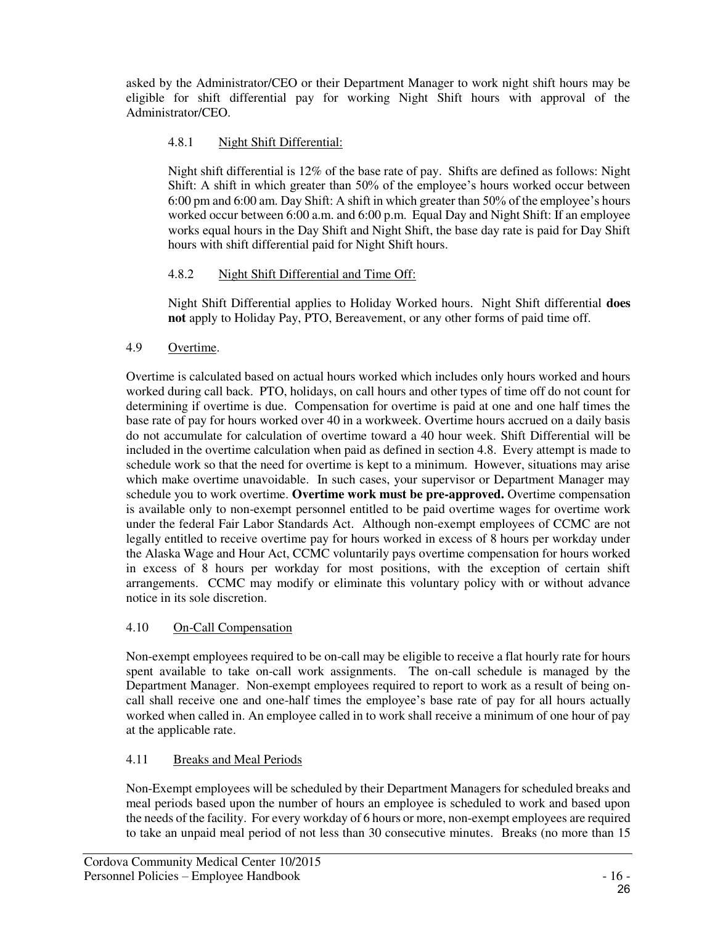asked by the Administrator/CEO or their Department Manager to work night shift hours may be eligible for shift differential pay for working Night Shift hours with approval of the Administrator/CEO.

# 4.8.1 Night Shift Differential:

Night shift differential is 12% of the base rate of pay. Shifts are defined as follows: Night Shift: A shift in which greater than 50% of the employee's hours worked occur between 6:00 pm and 6:00 am. Day Shift: A shift in which greater than 50% of the employee's hours worked occur between 6:00 a.m. and 6:00 p.m. Equal Day and Night Shift: If an employee works equal hours in the Day Shift and Night Shift, the base day rate is paid for Day Shift hours with shift differential paid for Night Shift hours.

#### 4.8.2 Night Shift Differential and Time Off:

Night Shift Differential applies to Holiday Worked hours. Night Shift differential **does not** apply to Holiday Pay, PTO, Bereavement, or any other forms of paid time off.

#### 4.9 Overtime.

Overtime is calculated based on actual hours worked which includes only hours worked and hours worked during call back. PTO, holidays, on call hours and other types of time off do not count for determining if overtime is due. Compensation for overtime is paid at one and one half times the base rate of pay for hours worked over 40 in a workweek. Overtime hours accrued on a daily basis do not accumulate for calculation of overtime toward a 40 hour week. Shift Differential will be included in the overtime calculation when paid as defined in section 4.8. Every attempt is made to schedule work so that the need for overtime is kept to a minimum. However, situations may arise which make overtime unavoidable. In such cases, your supervisor or Department Manager may schedule you to work overtime. **Overtime work must be pre-approved.** Overtime compensation is available only to non-exempt personnel entitled to be paid overtime wages for overtime work under the federal Fair Labor Standards Act. Although non-exempt employees of CCMC are not legally entitled to receive overtime pay for hours worked in excess of 8 hours per workday under the Alaska Wage and Hour Act, CCMC voluntarily pays overtime compensation for hours worked in excess of 8 hours per workday for most positions, with the exception of certain shift arrangements. CCMC may modify or eliminate this voluntary policy with or without advance notice in its sole discretion.

# 4.10 On-Call Compensation

Non-exempt employees required to be on-call may be eligible to receive a flat hourly rate for hours spent available to take on-call work assignments. The on-call schedule is managed by the Department Manager. Non-exempt employees required to report to work as a result of being oncall shall receive one and one-half times the employee's base rate of pay for all hours actually worked when called in. An employee called in to work shall receive a minimum of one hour of pay at the applicable rate.

#### 4.11 Breaks and Meal Periods

Non-Exempt employees will be scheduled by their Department Managers for scheduled breaks and meal periods based upon the number of hours an employee is scheduled to work and based upon the needs of the facility. For every workday of 6 hours or more, non-exempt employees are required to take an unpaid meal period of not less than 30 consecutive minutes. Breaks (no more than 15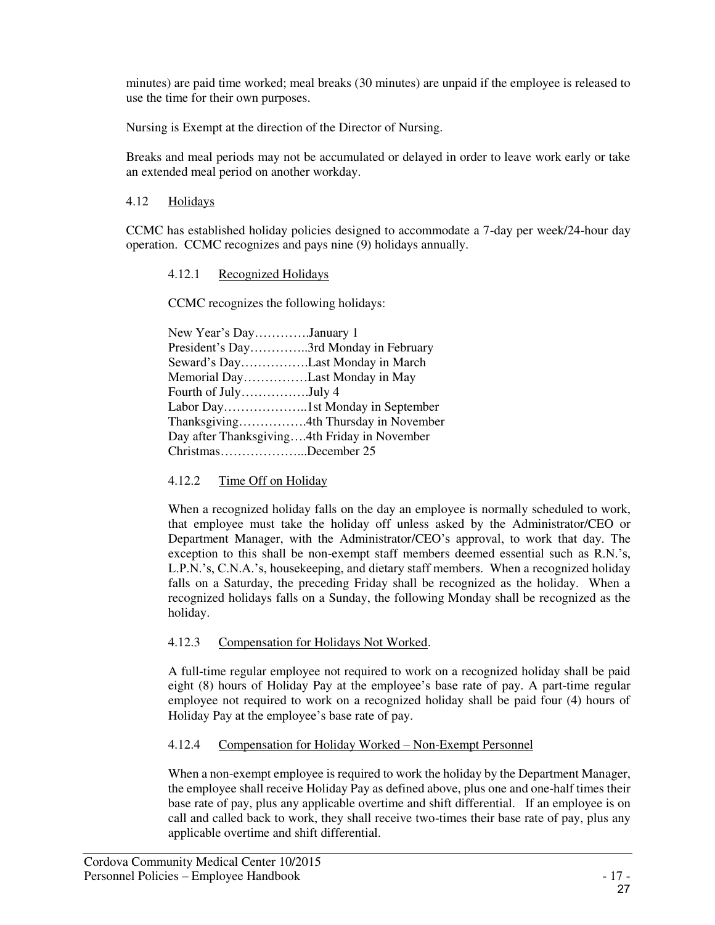minutes) are paid time worked; meal breaks (30 minutes) are unpaid if the employee is released to use the time for their own purposes.

Nursing is Exempt at the direction of the Director of Nursing.

Breaks and meal periods may not be accumulated or delayed in order to leave work early or take an extended meal period on another workday.

#### 4.12 Holidays

CCMC has established holiday policies designed to accommodate a 7-day per week/24-hour day operation. CCMC recognizes and pays nine (9) holidays annually.

#### 4.12.1 Recognized Holidays

CCMC recognizes the following holidays:

| New Year's DayJanuary 1                      |                                      |
|----------------------------------------------|--------------------------------------|
| President's Day3rd Monday in February        |                                      |
| Seward's DayLast Monday in March             |                                      |
| Memorial DayLast Monday in May               |                                      |
| Fourth of JulyJuly 4                         |                                      |
|                                              |                                      |
|                                              | Thanksgiving4th Thursday in November |
| Day after Thanksgiving4th Friday in November |                                      |
| ChristmasDecember 25                         |                                      |

# 4.12.2 Time Off on Holiday

When a recognized holiday falls on the day an employee is normally scheduled to work, that employee must take the holiday off unless asked by the Administrator/CEO or Department Manager, with the Administrator/CEO's approval, to work that day. The exception to this shall be non-exempt staff members deemed essential such as R.N.'s, L.P.N.'s, C.N.A.'s, housekeeping, and dietary staff members. When a recognized holiday falls on a Saturday, the preceding Friday shall be recognized as the holiday. When a recognized holidays falls on a Sunday, the following Monday shall be recognized as the holiday.

# 4.12.3 Compensation for Holidays Not Worked.

A full-time regular employee not required to work on a recognized holiday shall be paid eight (8) hours of Holiday Pay at the employee's base rate of pay. A part-time regular employee not required to work on a recognized holiday shall be paid four (4) hours of Holiday Pay at the employee's base rate of pay.

# 4.12.4 Compensation for Holiday Worked – Non-Exempt Personnel

When a non-exempt employee is required to work the holiday by the Department Manager, the employee shall receive Holiday Pay as defined above, plus one and one-half times their base rate of pay, plus any applicable overtime and shift differential. If an employee is on call and called back to work, they shall receive two-times their base rate of pay, plus any applicable overtime and shift differential.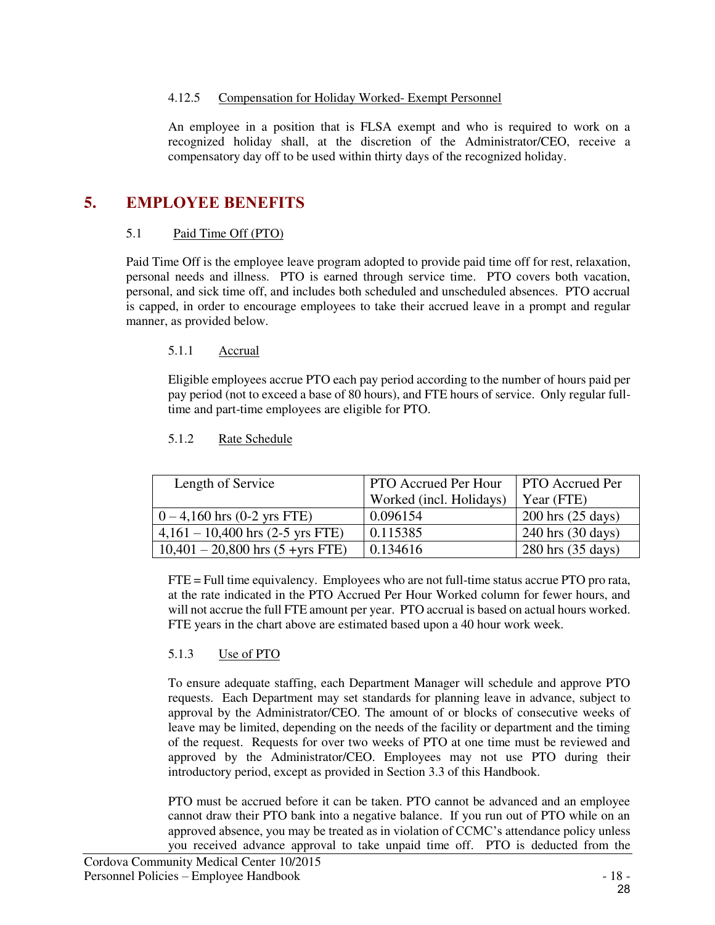#### 4.12.5 Compensation for Holiday Worked- Exempt Personnel

An employee in a position that is FLSA exempt and who is required to work on a recognized holiday shall, at the discretion of the Administrator/CEO, receive a compensatory day off to be used within thirty days of the recognized holiday.

# **5. EMPLOYEE BENEFITS**

#### 5.1 Paid Time Off (PTO)

Paid Time Off is the employee leave program adopted to provide paid time off for rest, relaxation, personal needs and illness. PTO is earned through service time. PTO covers both vacation, personal, and sick time off, and includes both scheduled and unscheduled absences. PTO accrual is capped, in order to encourage employees to take their accrued leave in a prompt and regular manner, as provided below.

#### 5.1.1 Accrual

Eligible employees accrue PTO each pay period according to the number of hours paid per pay period (not to exceed a base of 80 hours), and FTE hours of service. Only regular fulltime and part-time employees are eligible for PTO.

#### 5.1.2 Rate Schedule

| Length of Service                     | <b>PTO Accrued Per Hour</b> | <b>PTO</b> Accrued Per |
|---------------------------------------|-----------------------------|------------------------|
|                                       | Worked (incl. Holidays)     | Year (FTE)             |
| $0 - 4,160$ hrs $(0-2$ yrs FTE)       | 0.096154                    | $200$ hrs $(25$ days)  |
| $4,161 - 10,400$ hrs (2-5 yrs FTE)    | 0.115385                    | $240$ hrs $(30$ days)  |
| $10,401 - 20,800$ hrs $(5 + yrs$ FTE) | 0.134616                    | 280 hrs (35 days)      |

FTE = Full time equivalency. Employees who are not full-time status accrue PTO pro rata, at the rate indicated in the PTO Accrued Per Hour Worked column for fewer hours, and will not accrue the full FTE amount per year. PTO accrual is based on actual hours worked. FTE years in the chart above are estimated based upon a 40 hour work week.

#### 5.1.3 Use of PTO

To ensure adequate staffing, each Department Manager will schedule and approve PTO requests. Each Department may set standards for planning leave in advance, subject to approval by the Administrator/CEO. The amount of or blocks of consecutive weeks of leave may be limited, depending on the needs of the facility or department and the timing of the request. Requests for over two weeks of PTO at one time must be reviewed and approved by the Administrator/CEO. Employees may not use PTO during their introductory period, except as provided in Section [3.3](#page-22-0) of this Handbook.

PTO must be accrued before it can be taken. PTO cannot be advanced and an employee cannot draw their PTO bank into a negative balance. If you run out of PTO while on an approved absence, you may be treated as in violation of CCMC's attendance policy unless you received advance approval to take unpaid time off. PTO is deducted from the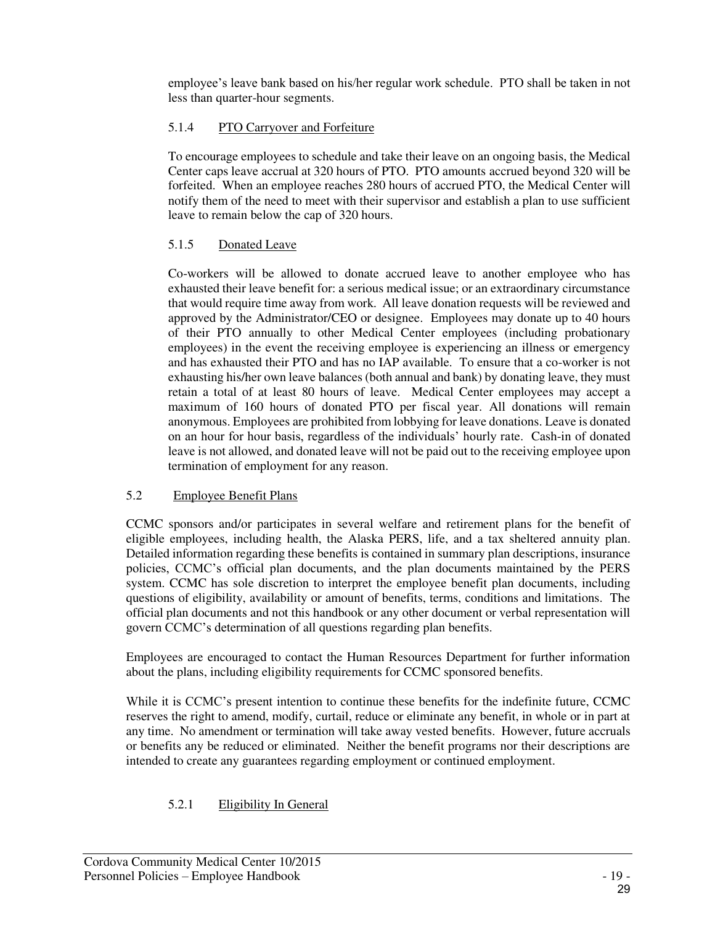employee's leave bank based on his/her regular work schedule. PTO shall be taken in not less than quarter-hour segments.

#### 5.1.4 PTO Carryover and Forfeiture

To encourage employees to schedule and take their leave on an ongoing basis, the Medical Center caps leave accrual at 320 hours of PTO. PTO amounts accrued beyond 320 will be forfeited. When an employee reaches 280 hours of accrued PTO, the Medical Center will notify them of the need to meet with their supervisor and establish a plan to use sufficient leave to remain below the cap of 320 hours.

#### 5.1.5 Donated Leave

Co-workers will be allowed to donate accrued leave to another employee who has exhausted their leave benefit for: a serious medical issue; or an extraordinary circumstance that would require time away from work. All leave donation requests will be reviewed and approved by the Administrator/CEO or designee. Employees may donate up to 40 hours of their PTO annually to other Medical Center employees (including probationary employees) in the event the receiving employee is experiencing an illness or emergency and has exhausted their PTO and has no IAP available. To ensure that a co-worker is not exhausting his/her own leave balances (both annual and bank) by donating leave, they must retain a total of at least 80 hours of leave. Medical Center employees may accept a maximum of 160 hours of donated PTO per fiscal year. All donations will remain anonymous. Employees are prohibited from lobbying for leave donations. Leave is donated on an hour for hour basis, regardless of the individuals' hourly rate. Cash-in of donated leave is not allowed, and donated leave will not be paid out to the receiving employee upon termination of employment for any reason.

#### 5.2 Employee Benefit Plans

CCMC sponsors and/or participates in several welfare and retirement plans for the benefit of eligible employees, including health, the Alaska PERS, life, and a tax sheltered annuity plan. Detailed information regarding these benefits is contained in summary plan descriptions, insurance policies, CCMC's official plan documents, and the plan documents maintained by the PERS system. CCMC has sole discretion to interpret the employee benefit plan documents, including questions of eligibility, availability or amount of benefits, terms, conditions and limitations. The official plan documents and not this handbook or any other document or verbal representation will govern CCMC's determination of all questions regarding plan benefits.

Employees are encouraged to contact the Human Resources Department for further information about the plans, including eligibility requirements for CCMC sponsored benefits.

While it is CCMC's present intention to continue these benefits for the indefinite future, CCMC reserves the right to amend, modify, curtail, reduce or eliminate any benefit, in whole or in part at any time. No amendment or termination will take away vested benefits. However, future accruals or benefits any be reduced or eliminated. Neither the benefit programs nor their descriptions are intended to create any guarantees regarding employment or continued employment.

# 5.2.1 Eligibility In General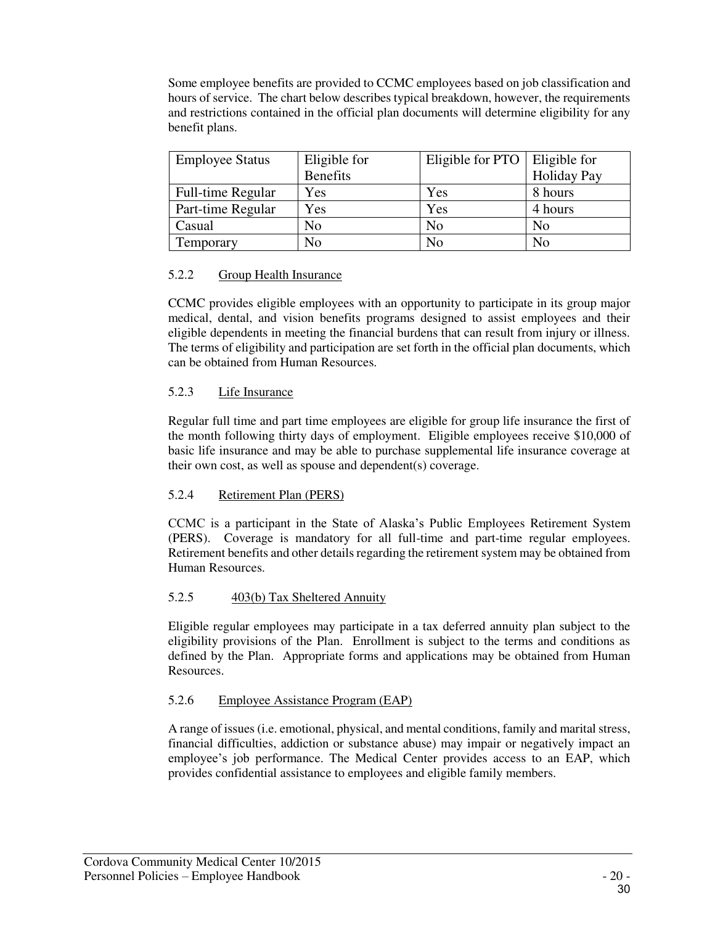Some employee benefits are provided to CCMC employees based on job classification and hours of service. The chart below describes typical breakdown, however, the requirements and restrictions contained in the official plan documents will determine eligibility for any benefit plans.

| <b>Employee Status</b> | Eligible for    | Eligible for $PTO$   Eligible for |                    |
|------------------------|-----------------|-----------------------------------|--------------------|
|                        | <b>Benefits</b> |                                   | <b>Holiday Pay</b> |
| Full-time Regular      | <b>Yes</b>      | Yes                               | 8 hours            |
| Part-time Regular      | Yes             | Yes                               | 4 hours            |
| Casual                 | No              | N <sub>o</sub>                    | No                 |
| Temporary              | No              | No                                | No                 |

#### 5.2.2 Group Health Insurance

CCMC provides eligible employees with an opportunity to participate in its group major medical, dental, and vision benefits programs designed to assist employees and their eligible dependents in meeting the financial burdens that can result from injury or illness. The terms of eligibility and participation are set forth in the official plan documents, which can be obtained from Human Resources.

#### 5.2.3 Life Insurance

Regular full time and part time employees are eligible for group life insurance the first of the month following thirty days of employment. Eligible employees receive \$10,000 of basic life insurance and may be able to purchase supplemental life insurance coverage at their own cost, as well as spouse and dependent(s) coverage.

#### 5.2.4 Retirement Plan (PERS)

CCMC is a participant in the State of Alaska's Public Employees Retirement System (PERS). Coverage is mandatory for all full-time and part-time regular employees. Retirement benefits and other details regarding the retirement system may be obtained from Human Resources.

#### 5.2.5 403(b) Tax Sheltered Annuity

Eligible regular employees may participate in a tax deferred annuity plan subject to the eligibility provisions of the Plan. Enrollment is subject to the terms and conditions as defined by the Plan. Appropriate forms and applications may be obtained from Human Resources.

#### 5.2.6 Employee Assistance Program (EAP)

A range of issues (i.e. emotional, physical, and mental conditions, family and marital stress, financial difficulties, addiction or substance abuse) may impair or negatively impact an employee's job performance. The Medical Center provides access to an EAP, which provides confidential assistance to employees and eligible family members.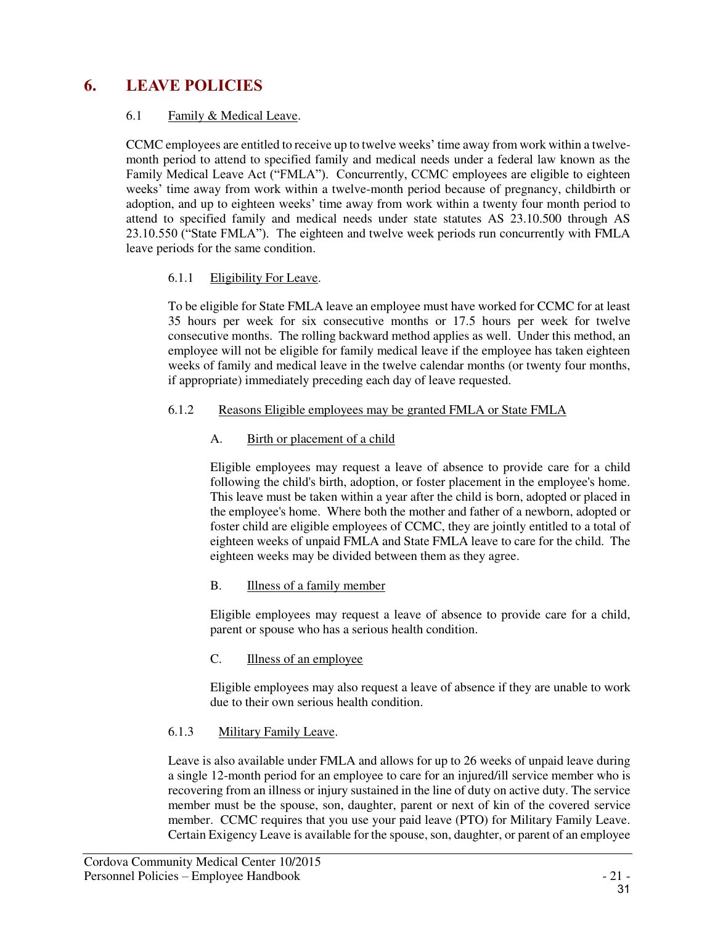# **6. LEAVE POLICIES**

### 6.1 Family & Medical Leave.

CCMC employees are entitled to receive up to twelve weeks' time away from work within a twelvemonth period to attend to specified family and medical needs under a federal law known as the Family Medical Leave Act ("FMLA"). Concurrently, CCMC employees are eligible to eighteen weeks' time away from work within a twelve-month period because of pregnancy, childbirth or adoption, and up to eighteen weeks' time away from work within a twenty four month period to attend to specified family and medical needs under state statutes AS 23.10.500 through AS 23.10.550 ("State FMLA"). The eighteen and twelve week periods run concurrently with FMLA leave periods for the same condition.

#### 6.1.1 Eligibility For Leave.

To be eligible for State FMLA leave an employee must have worked for CCMC for at least 35 hours per week for six consecutive months or 17.5 hours per week for twelve consecutive months. The rolling backward method applies as well. Under this method, an employee will not be eligible for family medical leave if the employee has taken eighteen weeks of family and medical leave in the twelve calendar months (or twenty four months, if appropriate) immediately preceding each day of leave requested.

#### 6.1.2 Reasons Eligible employees may be granted FMLA or State FMLA

# A. Birth or placement of a child

Eligible employees may request a leave of absence to provide care for a child following the child's birth, adoption, or foster placement in the employee's home. This leave must be taken within a year after the child is born, adopted or placed in the employee's home. Where both the mother and father of a newborn, adopted or foster child are eligible employees of CCMC, they are jointly entitled to a total of eighteen weeks of unpaid FMLA and State FMLA leave to care for the child. The eighteen weeks may be divided between them as they agree.

# B. Illness of a family member

Eligible employees may request a leave of absence to provide care for a child, parent or spouse who has a serious health condition.

# C. Illness of an employee

Eligible employees may also request a leave of absence if they are unable to work due to their own serious health condition.

# 6.1.3 Military Family Leave.

Leave is also available under FMLA and allows for up to 26 weeks of unpaid leave during a single 12-month period for an employee to care for an injured/ill service member who is recovering from an illness or injury sustained in the line of duty on active duty. The service member must be the spouse, son, daughter, parent or next of kin of the covered service member. CCMC requires that you use your paid leave (PTO) for Military Family Leave. Certain Exigency Leave is available for the spouse, son, daughter, or parent of an employee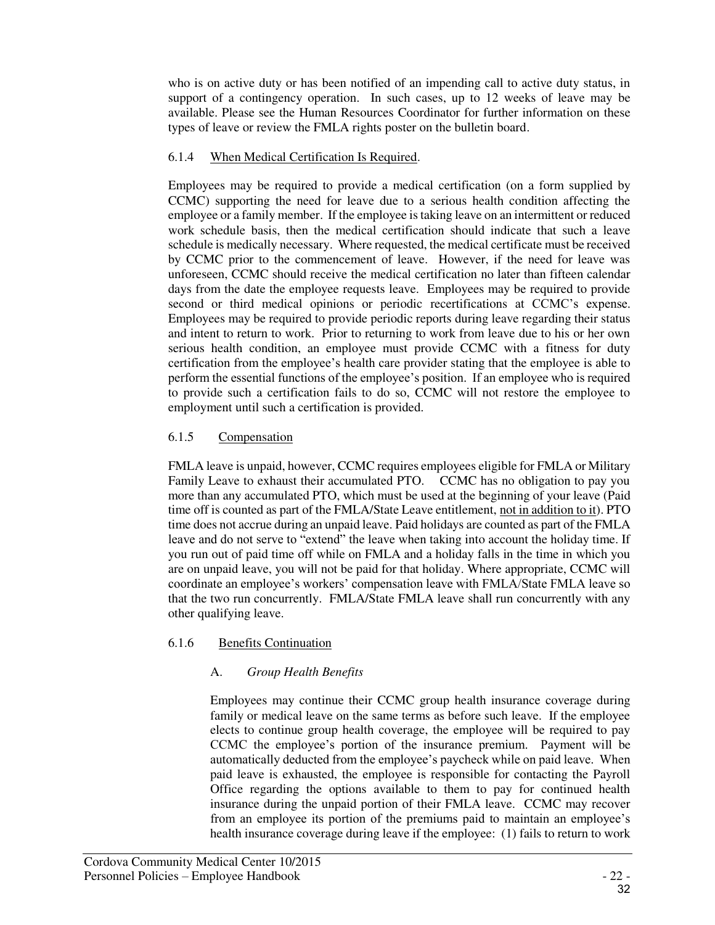who is on active duty or has been notified of an impending call to active duty status, in support of a contingency operation. In such cases, up to 12 weeks of leave may be available. Please see the Human Resources Coordinator for further information on these types of leave or review the FMLA rights poster on the bulletin board.

### 6.1.4 When Medical Certification Is Required.

Employees may be required to provide a medical certification (on a form supplied by CCMC) supporting the need for leave due to a serious health condition affecting the employee or a family member. If the employee is taking leave on an intermittent or reduced work schedule basis, then the medical certification should indicate that such a leave schedule is medically necessary. Where requested, the medical certificate must be received by CCMC prior to the commencement of leave. However, if the need for leave was unforeseen, CCMC should receive the medical certification no later than fifteen calendar days from the date the employee requests leave. Employees may be required to provide second or third medical opinions or periodic recertifications at CCMC's expense. Employees may be required to provide periodic reports during leave regarding their status and intent to return to work. Prior to returning to work from leave due to his or her own serious health condition, an employee must provide CCMC with a fitness for duty certification from the employee's health care provider stating that the employee is able to perform the essential functions of the employee's position. If an employee who is required to provide such a certification fails to do so, CCMC will not restore the employee to employment until such a certification is provided.

#### 6.1.5 Compensation

FMLA leave is unpaid, however, CCMC requires employees eligible for FMLA or Military Family Leave to exhaust their accumulated PTO. CCMC has no obligation to pay you more than any accumulated PTO, which must be used at the beginning of your leave (Paid time off is counted as part of the FMLA/State Leave entitlement, not in addition to it). PTO time does not accrue during an unpaid leave. Paid holidays are counted as part of the FMLA leave and do not serve to "extend" the leave when taking into account the holiday time. If you run out of paid time off while on FMLA and a holiday falls in the time in which you are on unpaid leave, you will not be paid for that holiday. Where appropriate, CCMC will coordinate an employee's workers' compensation leave with FMLA/State FMLA leave so that the two run concurrently. FMLA/State FMLA leave shall run concurrently with any other qualifying leave.

# 6.1.6 Benefits Continuation

# A. *Group Health Benefits*

Employees may continue their CCMC group health insurance coverage during family or medical leave on the same terms as before such leave. If the employee elects to continue group health coverage, the employee will be required to pay CCMC the employee's portion of the insurance premium. Payment will be automatically deducted from the employee's paycheck while on paid leave. When paid leave is exhausted, the employee is responsible for contacting the Payroll Office regarding the options available to them to pay for continued health insurance during the unpaid portion of their FMLA leave. CCMC may recover from an employee its portion of the premiums paid to maintain an employee's health insurance coverage during leave if the employee: (1) fails to return to work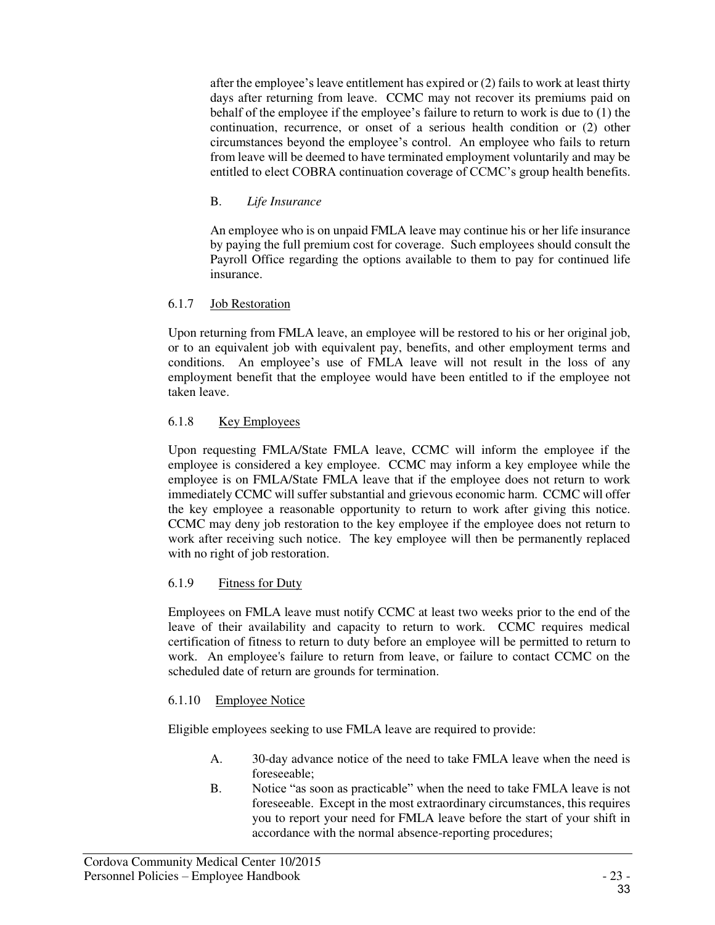after the employee's leave entitlement has expired or (2) fails to work at least thirty days after returning from leave. CCMC may not recover its premiums paid on behalf of the employee if the employee's failure to return to work is due to (1) the continuation, recurrence, or onset of a serious health condition or (2) other circumstances beyond the employee's control. An employee who fails to return from leave will be deemed to have terminated employment voluntarily and may be entitled to elect COBRA continuation coverage of CCMC's group health benefits.

### B. *Life Insurance*

An employee who is on unpaid FMLA leave may continue his or her life insurance by paying the full premium cost for coverage. Such employees should consult the Payroll Office regarding the options available to them to pay for continued life insurance.

#### 6.1.7 Job Restoration

Upon returning from FMLA leave, an employee will be restored to his or her original job, or to an equivalent job with equivalent pay, benefits, and other employment terms and conditions. An employee's use of FMLA leave will not result in the loss of any employment benefit that the employee would have been entitled to if the employee not taken leave.

# 6.1.8 Key Employees

Upon requesting FMLA/State FMLA leave, CCMC will inform the employee if the employee is considered a key employee. CCMC may inform a key employee while the employee is on FMLA/State FMLA leave that if the employee does not return to work immediately CCMC will suffer substantial and grievous economic harm. CCMC will offer the key employee a reasonable opportunity to return to work after giving this notice. CCMC may deny job restoration to the key employee if the employee does not return to work after receiving such notice. The key employee will then be permanently replaced with no right of job restoration.

# 6.1.9 Fitness for Duty

Employees on FMLA leave must notify CCMC at least two weeks prior to the end of the leave of their availability and capacity to return to work. CCMC requires medical certification of fitness to return to duty before an employee will be permitted to return to work. An employee's failure to return from leave, or failure to contact CCMC on the scheduled date of return are grounds for termination.

#### 6.1.10 Employee Notice

Eligible employees seeking to use FMLA leave are required to provide:

- A. 30-day advance notice of the need to take FMLA leave when the need is foreseeable;
- B. Notice "as soon as practicable" when the need to take FMLA leave is not foreseeable. Except in the most extraordinary circumstances, this requires you to report your need for FMLA leave before the start of your shift in accordance with the normal absence-reporting procedures;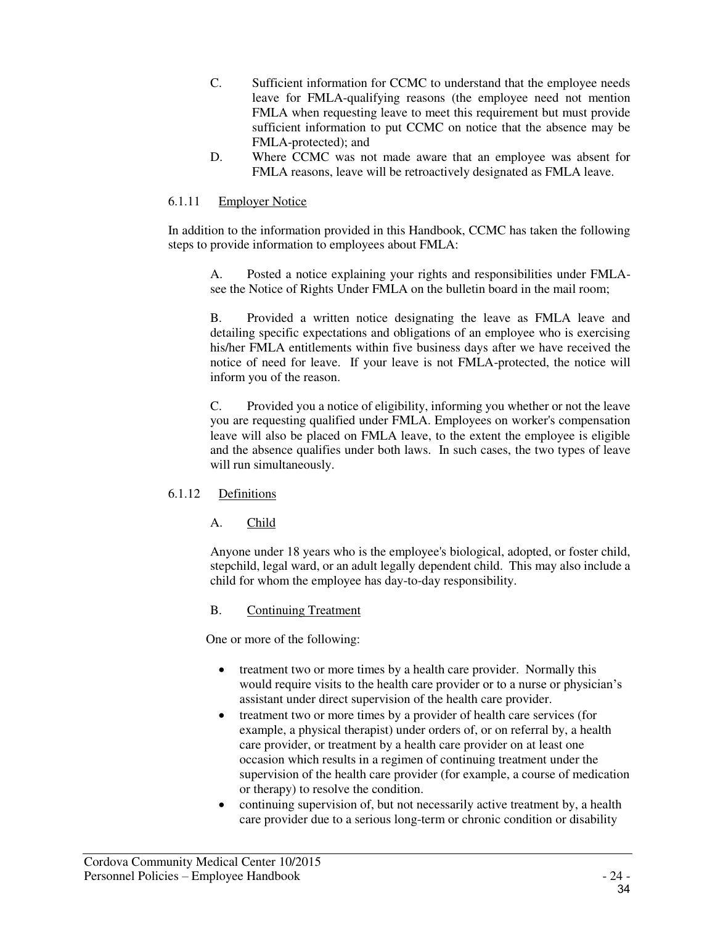- C. Sufficient information for CCMC to understand that the employee needs leave for FMLA-qualifying reasons (the employee need not mention FMLA when requesting leave to meet this requirement but must provide sufficient information to put CCMC on notice that the absence may be FMLA-protected); and
- D. Where CCMC was not made aware that an employee was absent for FMLA reasons, leave will be retroactively designated as FMLA leave.

#### 6.1.11 Employer Notice

In addition to the information provided in this Handbook, CCMC has taken the following steps to provide information to employees about FMLA:

A. Posted a notice explaining your rights and responsibilities under FMLAsee the Notice of Rights Under FMLA on the bulletin board in the mail room;

B. Provided a written notice designating the leave as FMLA leave and detailing specific expectations and obligations of an employee who is exercising his/her FMLA entitlements within five business days after we have received the notice of need for leave. If your leave is not FMLA-protected, the notice will inform you of the reason.

C. Provided you a notice of eligibility, informing you whether or not the leave you are requesting qualified under FMLA. Employees on worker's compensation leave will also be placed on FMLA leave, to the extent the employee is eligible and the absence qualifies under both laws. In such cases, the two types of leave will run simultaneously.

#### 6.1.12 Definitions

A. Child

Anyone under 18 years who is the employee's biological, adopted, or foster child, stepchild, legal ward, or an adult legally dependent child. This may also include a child for whom the employee has day-to-day responsibility.

#### B. Continuing Treatment

One or more of the following:

- treatment two or more times by a health care provider. Normally this would require visits to the health care provider or to a nurse or physician's assistant under direct supervision of the health care provider.
- treatment two or more times by a provider of health care services (for example, a physical therapist) under orders of, or on referral by, a health care provider, or treatment by a health care provider on at least one occasion which results in a regimen of continuing treatment under the supervision of the health care provider (for example, a course of medication or therapy) to resolve the condition.
- continuing supervision of, but not necessarily active treatment by, a health care provider due to a serious long-term or chronic condition or disability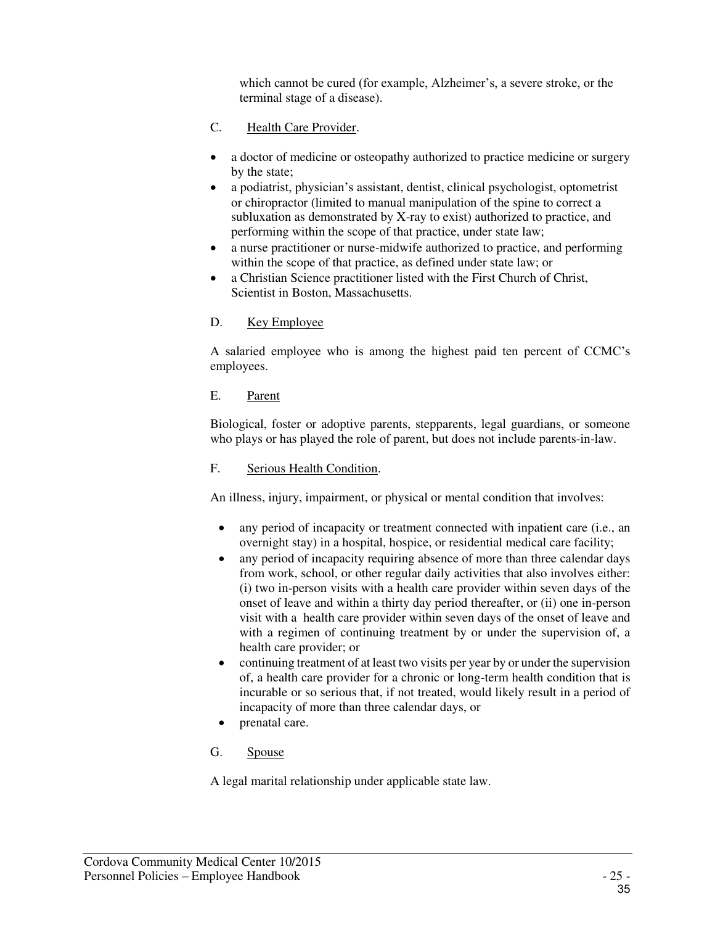which cannot be cured (for example, Alzheimer's, a severe stroke, or the terminal stage of a disease).

- C. Health Care Provider.
- a doctor of medicine or osteopathy authorized to practice medicine or surgery by the state;
- a podiatrist, physician's assistant, dentist, clinical psychologist, optometrist or chiropractor (limited to manual manipulation of the spine to correct a subluxation as demonstrated by X-ray to exist) authorized to practice, and performing within the scope of that practice, under state law;
- a nurse practitioner or nurse-midwife authorized to practice, and performing within the scope of that practice, as defined under state law; or
- a Christian Science practitioner listed with the First Church of Christ, Scientist in Boston, Massachusetts.
- D. Key Employee

A salaried employee who is among the highest paid ten percent of CCMC's employees.

E. Parent

Biological, foster or adoptive parents, stepparents, legal guardians, or someone who plays or has played the role of parent, but does not include parents-in-law.

F. Serious Health Condition.

An illness, injury, impairment, or physical or mental condition that involves:

- any period of incapacity or treatment connected with inpatient care (i.e., an overnight stay) in a hospital, hospice, or residential medical care facility;
- any period of incapacity requiring absence of more than three calendar days from work, school, or other regular daily activities that also involves either: (i) two in-person visits with a health care provider within seven days of the onset of leave and within a thirty day period thereafter, or (ii) one in-person visit with a health care provider within seven days of the onset of leave and with a regimen of continuing treatment by or under the supervision of, a health care provider; or
- continuing treatment of at least two visits per year by or under the supervision of, a health care provider for a chronic or long-term health condition that is incurable or so serious that, if not treated, would likely result in a period of incapacity of more than three calendar days, or
- prenatal care.
- G. Spouse

A legal marital relationship under applicable state law.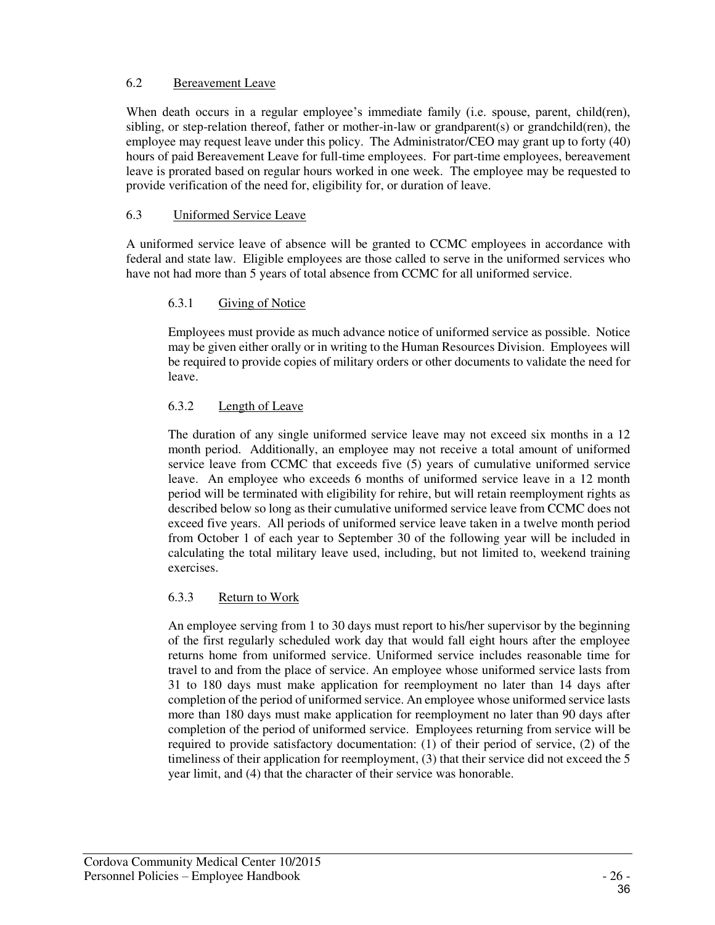### 6.2 Bereavement Leave

When death occurs in a regular employee's immediate family (i.e. spouse, parent, child(ren), sibling, or step-relation thereof, father or mother-in-law or grandparent(s) or grandchild(ren), the employee may request leave under this policy. The Administrator/CEO may grant up to forty (40) hours of paid Bereavement Leave for full-time employees. For part-time employees, bereavement leave is prorated based on regular hours worked in one week. The employee may be requested to provide verification of the need for, eligibility for, or duration of leave.

#### 6.3 Uniformed Service Leave

A uniformed service leave of absence will be granted to CCMC employees in accordance with federal and state law. Eligible employees are those called to serve in the uniformed services who have not had more than 5 years of total absence from CCMC for all uniformed service.

#### 6.3.1 Giving of Notice

Employees must provide as much advance notice of uniformed service as possible. Notice may be given either orally or in writing to the Human Resources Division. Employees will be required to provide copies of military orders or other documents to validate the need for leave.

# 6.3.2 Length of Leave

The duration of any single uniformed service leave may not exceed six months in a 12 month period. Additionally, an employee may not receive a total amount of uniformed service leave from CCMC that exceeds five (5) years of cumulative uniformed service leave. An employee who exceeds 6 months of uniformed service leave in a 12 month period will be terminated with eligibility for rehire, but will retain reemployment rights as described below so long as their cumulative uniformed service leave from CCMC does not exceed five years. All periods of uniformed service leave taken in a twelve month period from October 1 of each year to September 30 of the following year will be included in calculating the total military leave used, including, but not limited to, weekend training exercises.

# 6.3.3 Return to Work

An employee serving from 1 to 30 days must report to his/her supervisor by the beginning of the first regularly scheduled work day that would fall eight hours after the employee returns home from uniformed service. Uniformed service includes reasonable time for travel to and from the place of service. An employee whose uniformed service lasts from 31 to 180 days must make application for reemployment no later than 14 days after completion of the period of uniformed service. An employee whose uniformed service lasts more than 180 days must make application for reemployment no later than 90 days after completion of the period of uniformed service. Employees returning from service will be required to provide satisfactory documentation: (1) of their period of service, (2) of the timeliness of their application for reemployment, (3) that their service did not exceed the 5 year limit, and (4) that the character of their service was honorable.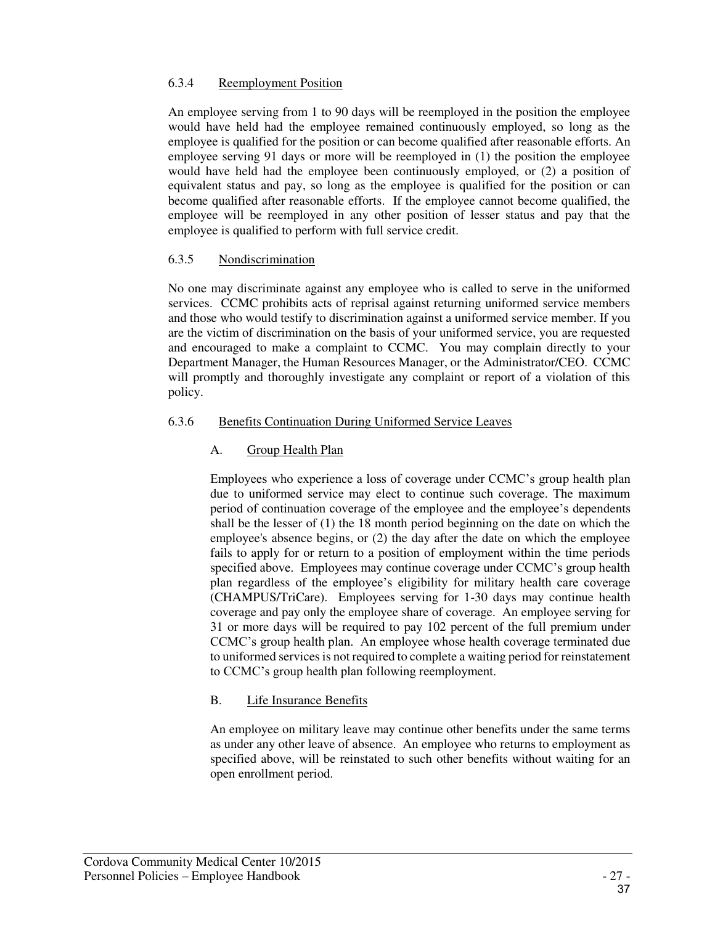#### 6.3.4 Reemployment Position

An employee serving from 1 to 90 days will be reemployed in the position the employee would have held had the employee remained continuously employed, so long as the employee is qualified for the position or can become qualified after reasonable efforts. An employee serving 91 days or more will be reemployed in (1) the position the employee would have held had the employee been continuously employed, or (2) a position of equivalent status and pay, so long as the employee is qualified for the position or can become qualified after reasonable efforts. If the employee cannot become qualified, the employee will be reemployed in any other position of lesser status and pay that the employee is qualified to perform with full service credit.

#### 6.3.5 Nondiscrimination

No one may discriminate against any employee who is called to serve in the uniformed services. CCMC prohibits acts of reprisal against returning uniformed service members and those who would testify to discrimination against a uniformed service member. If you are the victim of discrimination on the basis of your uniformed service, you are requested and encouraged to make a complaint to CCMC. You may complain directly to your Department Manager, the Human Resources Manager, or the Administrator/CEO. CCMC will promptly and thoroughly investigate any complaint or report of a violation of this policy.

#### 6.3.6 Benefits Continuation During Uniformed Service Leaves

# A. Group Health Plan

Employees who experience a loss of coverage under CCMC's group health plan due to uniformed service may elect to continue such coverage. The maximum period of continuation coverage of the employee and the employee's dependents shall be the lesser of (1) the 18 month period beginning on the date on which the employee's absence begins, or (2) the day after the date on which the employee fails to apply for or return to a position of employment within the time periods specified above. Employees may continue coverage under CCMC's group health plan regardless of the employee's eligibility for military health care coverage (CHAMPUS/TriCare). Employees serving for 1-30 days may continue health coverage and pay only the employee share of coverage. An employee serving for 31 or more days will be required to pay 102 percent of the full premium under CCMC's group health plan. An employee whose health coverage terminated due to uniformed services is not required to complete a waiting period for reinstatement to CCMC's group health plan following reemployment.

#### B. Life Insurance Benefits

An employee on military leave may continue other benefits under the same terms as under any other leave of absence. An employee who returns to employment as specified above, will be reinstated to such other benefits without waiting for an open enrollment period.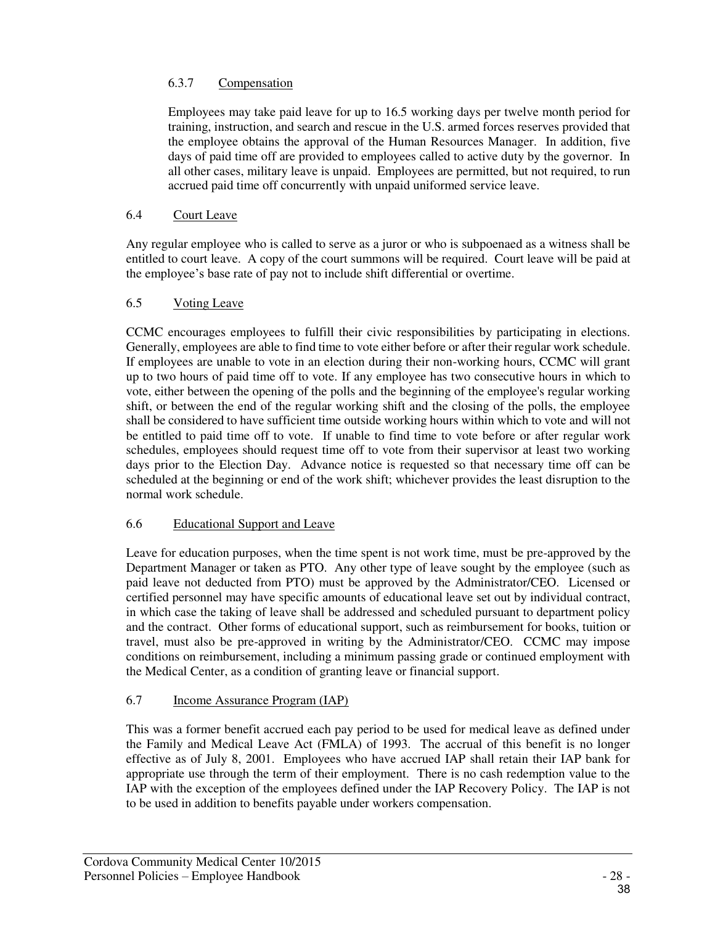# 6.3.7 Compensation

Employees may take paid leave for up to 16.5 working days per twelve month period for training, instruction, and search and rescue in the U.S. armed forces reserves provided that the employee obtains the approval of the Human Resources Manager. In addition, five days of paid time off are provided to employees called to active duty by the governor. In all other cases, military leave is unpaid. Employees are permitted, but not required, to run accrued paid time off concurrently with unpaid uniformed service leave.

# 6.4 Court Leave

Any regular employee who is called to serve as a juror or who is subpoenaed as a witness shall be entitled to court leave. A copy of the court summons will be required. Court leave will be paid at the employee's base rate of pay not to include shift differential or overtime.

#### 6.5 Voting Leave

CCMC encourages employees to fulfill their civic responsibilities by participating in elections. Generally, employees are able to find time to vote either before or after their regular work schedule. If employees are unable to vote in an election during their non-working hours, CCMC will grant up to two hours of paid time off to vote. If any employee has two consecutive hours in which to vote, either between the opening of the polls and the beginning of the employee's regular working shift, or between the end of the regular working shift and the closing of the polls, the employee shall be considered to have sufficient time outside working hours within which to vote and will not be entitled to paid time off to vote. If unable to find time to vote before or after regular work schedules, employees should request time off to vote from their supervisor at least two working days prior to the Election Day. Advance notice is requested so that necessary time off can be scheduled at the beginning or end of the work shift; whichever provides the least disruption to the normal work schedule.

# 6.6 Educational Support and Leave

Leave for education purposes, when the time spent is not work time, must be pre-approved by the Department Manager or taken as PTO. Any other type of leave sought by the employee (such as paid leave not deducted from PTO) must be approved by the Administrator/CEO. Licensed or certified personnel may have specific amounts of educational leave set out by individual contract, in which case the taking of leave shall be addressed and scheduled pursuant to department policy and the contract. Other forms of educational support, such as reimbursement for books, tuition or travel, must also be pre-approved in writing by the Administrator/CEO. CCMC may impose conditions on reimbursement, including a minimum passing grade or continued employment with the Medical Center, as a condition of granting leave or financial support.

# 6.7 Income Assurance Program (IAP)

This was a former benefit accrued each pay period to be used for medical leave as defined under the Family and Medical Leave Act (FMLA) of 1993. The accrual of this benefit is no longer effective as of July 8, 2001. Employees who have accrued IAP shall retain their IAP bank for appropriate use through the term of their employment. There is no cash redemption value to the IAP with the exception of the employees defined under the IAP Recovery Policy. The IAP is not to be used in addition to benefits payable under workers compensation.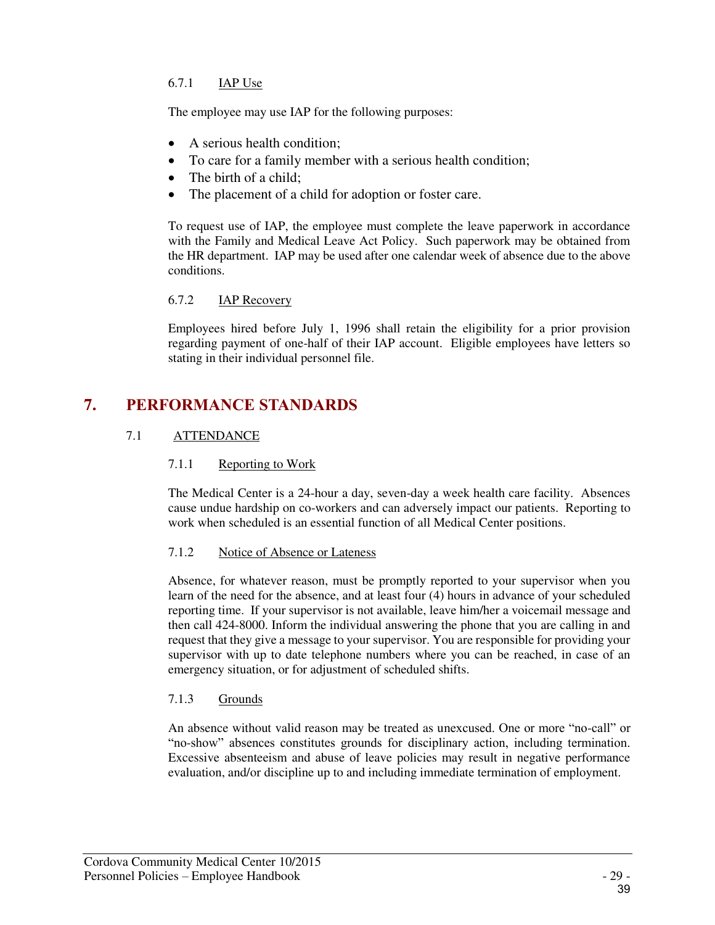# 6.7.1 IAP Use

The employee may use IAP for the following purposes:

- A serious health condition;
- To care for a family member with a serious health condition;
- The birth of a child;
- The placement of a child for adoption or foster care.

To request use of IAP, the employee must complete the leave paperwork in accordance with the Family and Medical Leave Act Policy. Such paperwork may be obtained from the HR department. IAP may be used after one calendar week of absence due to the above conditions.

#### 6.7.2 IAP Recovery

Employees hired before July 1, 1996 shall retain the eligibility for a prior provision regarding payment of one-half of their IAP account. Eligible employees have letters so stating in their individual personnel file.

# **7. PERFORMANCE STANDARDS**

#### 7.1 ATTENDANCE

#### 7.1.1 Reporting to Work

The Medical Center is a 24-hour a day, seven-day a week health care facility. Absences cause undue hardship on co-workers and can adversely impact our patients. Reporting to work when scheduled is an essential function of all Medical Center positions.

#### 7.1.2 Notice of Absence or Lateness

Absence, for whatever reason, must be promptly reported to your supervisor when you learn of the need for the absence, and at least four (4) hours in advance of your scheduled reporting time. If your supervisor is not available, leave him/her a voicemail message and then call 424-8000. Inform the individual answering the phone that you are calling in and request that they give a message to your supervisor. You are responsible for providing your supervisor with up to date telephone numbers where you can be reached, in case of an emergency situation, or for adjustment of scheduled shifts.

#### 7.1.3 Grounds

An absence without valid reason may be treated as unexcused. One or more "no-call" or "no-show" absences constitutes grounds for disciplinary action, including termination. Excessive absenteeism and abuse of leave policies may result in negative performance evaluation, and/or discipline up to and including immediate termination of employment.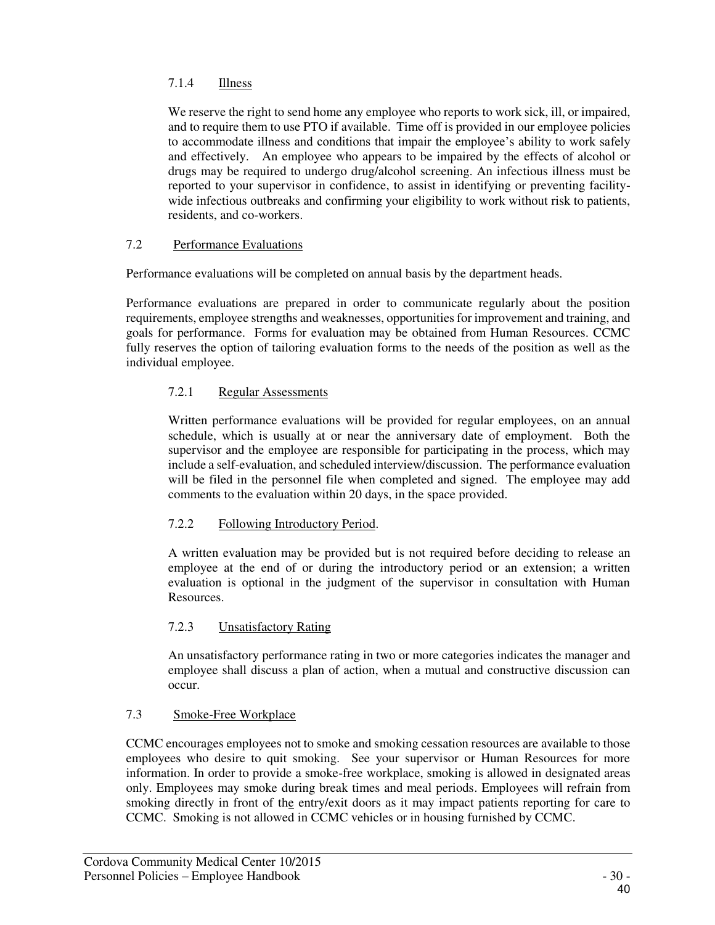# 7.1.4 Illness

We reserve the right to send home any employee who reports to work sick, ill, or impaired, and to require them to use PTO if available. Time off is provided in our employee policies to accommodate illness and conditions that impair the employee's ability to work safely and effectively. An employee who appears to be impaired by the effects of alcohol or drugs may be required to undergo drug/alcohol screening. An infectious illness must be reported to your supervisor in confidence, to assist in identifying or preventing facilitywide infectious outbreaks and confirming your eligibility to work without risk to patients, residents, and co-workers.

#### 7.2 Performance Evaluations

Performance evaluations will be completed on annual basis by the department heads.

Performance evaluations are prepared in order to communicate regularly about the position requirements, employee strengths and weaknesses, opportunities for improvement and training, and goals for performance. Forms for evaluation may be obtained from Human Resources. CCMC fully reserves the option of tailoring evaluation forms to the needs of the position as well as the individual employee.

#### 7.2.1 Regular Assessments

Written performance evaluations will be provided for regular employees, on an annual schedule, which is usually at or near the anniversary date of employment. Both the supervisor and the employee are responsible for participating in the process, which may include a self-evaluation, and scheduled interview/discussion. The performance evaluation will be filed in the personnel file when completed and signed. The employee may add comments to the evaluation within 20 days, in the space provided.

# 7.2.2 Following Introductory Period.

A written evaluation may be provided but is not required before deciding to release an employee at the end of or during the introductory period or an extension; a written evaluation is optional in the judgment of the supervisor in consultation with Human Resources.

# 7.2.3 Unsatisfactory Rating

An unsatisfactory performance rating in two or more categories indicates the manager and employee shall discuss a plan of action, when a mutual and constructive discussion can occur.

#### 7.3 Smoke-Free Workplace

CCMC encourages employees not to smoke and smoking cessation resources are available to those employees who desire to quit smoking. See your supervisor or Human Resources for more information. In order to provide a smoke-free workplace, smoking is allowed in designated areas only. Employees may smoke during break times and meal periods. Employees will refrain from smoking directly in front of the entry/exit doors as it may impact patients reporting for care to CCMC. Smoking is not allowed in CCMC vehicles or in housing furnished by CCMC.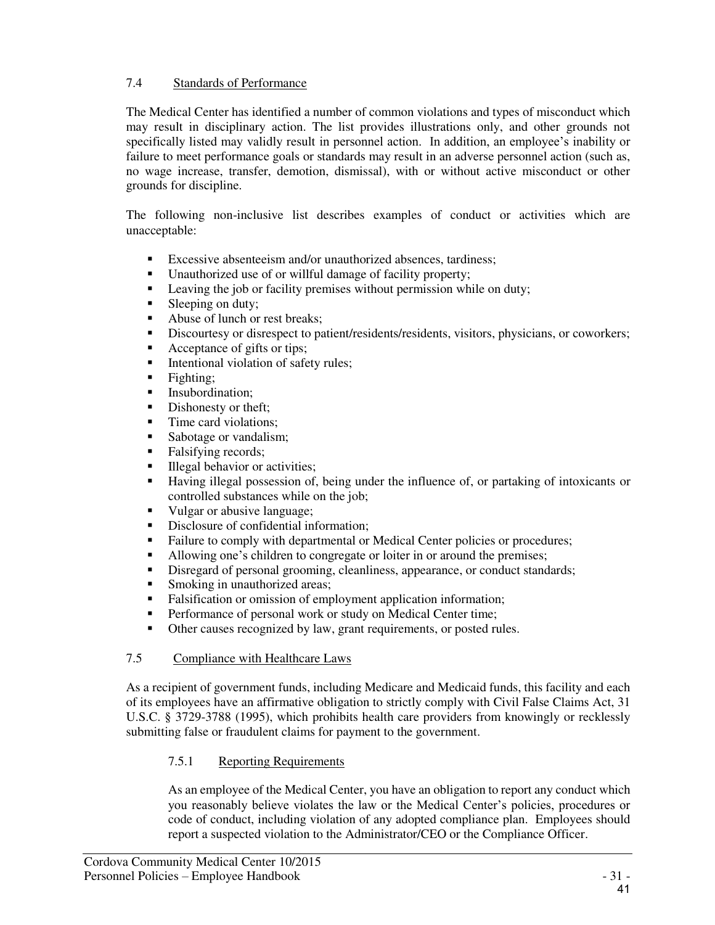#### 7.4 Standards of Performance

The Medical Center has identified a number of common violations and types of misconduct which may result in disciplinary action. The list provides illustrations only, and other grounds not specifically listed may validly result in personnel action. In addition, an employee's inability or failure to meet performance goals or standards may result in an adverse personnel action (such as, no wage increase, transfer, demotion, dismissal), with or without active misconduct or other grounds for discipline.

The following non-inclusive list describes examples of conduct or activities which are unacceptable:

- Excessive absenteeism and/or unauthorized absences, tardiness;<br>■ Heauthorized use of or willful damage of facility property:
- Unauthorized use of or willful damage of facility property;<br>■ Leaving the job or facility premises without permission wh
- Leaving the job or facility premises without permission while on duty;
- Sleeping on duty:
- Abuse of lunch or rest breaks;
- Discourtesy or disrespect to patient/residents/residents, visitors, physicians, or coworkers;<br>Acceptance of gifts or tips:
- Acceptance of gifts or tips;
- Intentional violation of safety rules;
- $\blacksquare$  Fighting;
- Insubordination;
- Dishonesty or theft:
- Time card violations:
- Sabotage or vandalism;
- Falsifying records;
- Illegal behavior or activities;
- Having illegal possession of, being under the influence of, or partaking of intoxicants or controlled substances while on the job;
- Vulgar or abusive language;
- Disclosure of confidential information;
- Failure to comply with departmental or Medical Center policies or procedures;
- Allowing one's children to congregate or loiter in or around the premises;<br>• Disregard of personal grooming cleanliness, appearance, or conduct stand
- Disregard of personal grooming, cleanliness, appearance, or conduct standards;
- Smoking in unauthorized areas;
- Falsification or omission of employment application information;
- **Performance of personal work or study on Medical Center time;**
- Other causes recognized by law, grant requirements, or posted rules.

#### 7.5 Compliance with Healthcare Laws

As a recipient of government funds, including Medicare and Medicaid funds, this facility and each of its employees have an affirmative obligation to strictly comply with Civil False Claims Act, 31 U.S.C. § 3729-3788 (1995), which prohibits health care providers from knowingly or recklessly submitting false or fraudulent claims for payment to the government.

# 7.5.1 Reporting Requirements

As an employee of the Medical Center, you have an obligation to report any conduct which you reasonably believe violates the law or the Medical Center's policies, procedures or code of conduct, including violation of any adopted compliance plan. Employees should report a suspected violation to the Administrator/CEO or the Compliance Officer.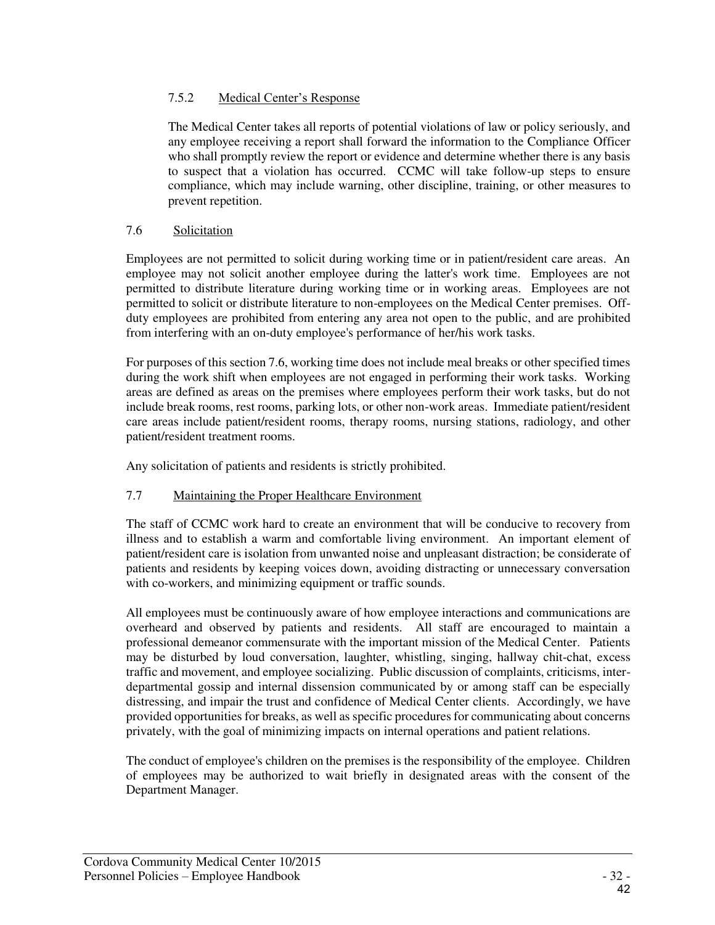### 7.5.2 Medical Center's Response

The Medical Center takes all reports of potential violations of law or policy seriously, and any employee receiving a report shall forward the information to the Compliance Officer who shall promptly review the report or evidence and determine whether there is any basis to suspect that a violation has occurred. CCMC will take follow-up steps to ensure compliance, which may include warning, other discipline, training, or other measures to prevent repetition.

#### 7.6 Solicitation

Employees are not permitted to solicit during working time or in patient/resident care areas. An employee may not solicit another employee during the latter's work time. Employees are not permitted to distribute literature during working time or in working areas. Employees are not permitted to solicit or distribute literature to non-employees on the Medical Center premises. Offduty employees are prohibited from entering any area not open to the public, and are prohibited from interfering with an on-duty employee's performance of her/his work tasks.

For purposes of this section 7.6, working time does not include meal breaks or other specified times during the work shift when employees are not engaged in performing their work tasks. Working areas are defined as areas on the premises where employees perform their work tasks, but do not include break rooms, rest rooms, parking lots, or other non-work areas. Immediate patient/resident care areas include patient/resident rooms, therapy rooms, nursing stations, radiology, and other patient/resident treatment rooms.

Any solicitation of patients and residents is strictly prohibited.

# 7.7 Maintaining the Proper Healthcare Environment

The staff of CCMC work hard to create an environment that will be conducive to recovery from illness and to establish a warm and comfortable living environment. An important element of patient/resident care is isolation from unwanted noise and unpleasant distraction; be considerate of patients and residents by keeping voices down, avoiding distracting or unnecessary conversation with co-workers, and minimizing equipment or traffic sounds.

All employees must be continuously aware of how employee interactions and communications are overheard and observed by patients and residents. All staff are encouraged to maintain a professional demeanor commensurate with the important mission of the Medical Center. Patients may be disturbed by loud conversation, laughter, whistling, singing, hallway chit-chat, excess traffic and movement, and employee socializing. Public discussion of complaints, criticisms, interdepartmental gossip and internal dissension communicated by or among staff can be especially distressing, and impair the trust and confidence of Medical Center clients. Accordingly, we have provided opportunities for breaks, as well as specific procedures for communicating about concerns privately, with the goal of minimizing impacts on internal operations and patient relations.

The conduct of employee's children on the premises is the responsibility of the employee. Children of employees may be authorized to wait briefly in designated areas with the consent of the Department Manager.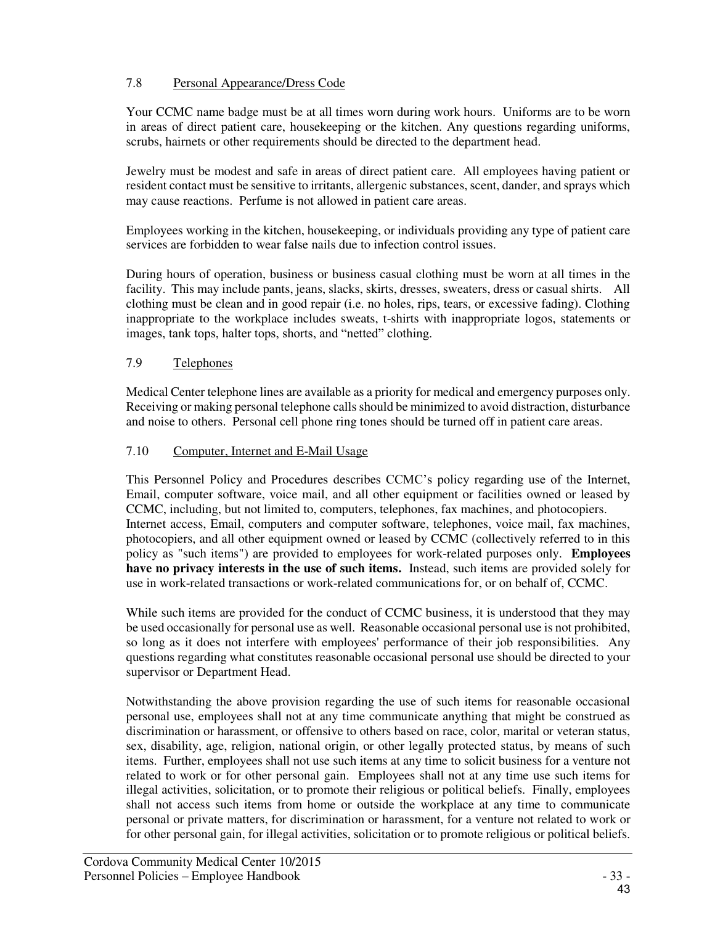# 7.8 Personal Appearance/Dress Code

Your CCMC name badge must be at all times worn during work hours. Uniforms are to be worn in areas of direct patient care, housekeeping or the kitchen. Any questions regarding uniforms, scrubs, hairnets or other requirements should be directed to the department head.

Jewelry must be modest and safe in areas of direct patient care. All employees having patient or resident contact must be sensitive to irritants, allergenic substances, scent, dander, and sprays which may cause reactions. Perfume is not allowed in patient care areas.

Employees working in the kitchen, housekeeping, or individuals providing any type of patient care services are forbidden to wear false nails due to infection control issues.

During hours of operation, business or business casual clothing must be worn at all times in the facility. This may include pants, jeans, slacks, skirts, dresses, sweaters, dress or casual shirts. All clothing must be clean and in good repair (i.e. no holes, rips, tears, or excessive fading). Clothing inappropriate to the workplace includes sweats, t-shirts with inappropriate logos, statements or images, tank tops, halter tops, shorts, and "netted" clothing.

#### 7.9 Telephones

Medical Center telephone lines are available as a priority for medical and emergency purposes only. Receiving or making personal telephone calls should be minimized to avoid distraction, disturbance and noise to others. Personal cell phone ring tones should be turned off in patient care areas.

#### 7.10 Computer, Internet and E-Mail Usage

This Personnel Policy and Procedures describes CCMC's policy regarding use of the Internet, Email, computer software, voice mail, and all other equipment or facilities owned or leased by CCMC, including, but not limited to, computers, telephones, fax machines, and photocopiers. Internet access, Email, computers and computer software, telephones, voice mail, fax machines, photocopiers, and all other equipment owned or leased by CCMC (collectively referred to in this policy as "such items") are provided to employees for work-related purposes only. **Employees have no privacy interests in the use of such items.** Instead, such items are provided solely for use in work-related transactions or work-related communications for, or on behalf of, CCMC.

While such items are provided for the conduct of CCMC business, it is understood that they may be used occasionally for personal use as well. Reasonable occasional personal use is not prohibited, so long as it does not interfere with employees' performance of their job responsibilities. Any questions regarding what constitutes reasonable occasional personal use should be directed to your supervisor or Department Head.

Notwithstanding the above provision regarding the use of such items for reasonable occasional personal use, employees shall not at any time communicate anything that might be construed as discrimination or harassment, or offensive to others based on race, color, marital or veteran status, sex, disability, age, religion, national origin, or other legally protected status, by means of such items. Further, employees shall not use such items at any time to solicit business for a venture not related to work or for other personal gain. Employees shall not at any time use such items for illegal activities, solicitation, or to promote their religious or political beliefs. Finally, employees shall not access such items from home or outside the workplace at any time to communicate personal or private matters, for discrimination or harassment, for a venture not related to work or for other personal gain, for illegal activities, solicitation or to promote religious or political beliefs.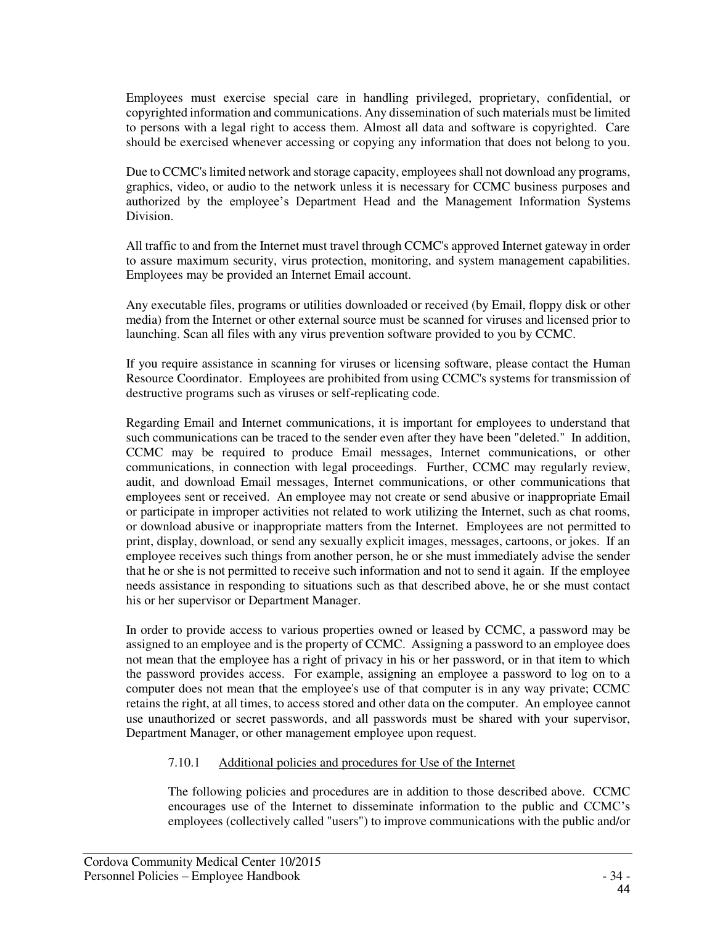Employees must exercise special care in handling privileged, proprietary, confidential, or copyrighted information and communications. Any dissemination of such materials must be limited to persons with a legal right to access them. Almost all data and software is copyrighted. Care should be exercised whenever accessing or copying any information that does not belong to you.

Due to CCMC's limited network and storage capacity, employees shall not download any programs, graphics, video, or audio to the network unless it is necessary for CCMC business purposes and authorized by the employee's Department Head and the Management Information Systems Division.

All traffic to and from the Internet must travel through CCMC's approved Internet gateway in order to assure maximum security, virus protection, monitoring, and system management capabilities. Employees may be provided an Internet Email account.

Any executable files, programs or utilities downloaded or received (by Email, floppy disk or other media) from the Internet or other external source must be scanned for viruses and licensed prior to launching. Scan all files with any virus prevention software provided to you by CCMC.

If you require assistance in scanning for viruses or licensing software, please contact the Human Resource Coordinator. Employees are prohibited from using CCMC's systems for transmission of destructive programs such as viruses or self-replicating code.

Regarding Email and Internet communications, it is important for employees to understand that such communications can be traced to the sender even after they have been "deleted." In addition, CCMC may be required to produce Email messages, Internet communications, or other communications, in connection with legal proceedings. Further, CCMC may regularly review, audit, and download Email messages, Internet communications, or other communications that employees sent or received. An employee may not create or send abusive or inappropriate Email or participate in improper activities not related to work utilizing the Internet, such as chat rooms, or download abusive or inappropriate matters from the Internet. Employees are not permitted to print, display, download, or send any sexually explicit images, messages, cartoons, or jokes. If an employee receives such things from another person, he or she must immediately advise the sender that he or she is not permitted to receive such information and not to send it again. If the employee needs assistance in responding to situations such as that described above, he or she must contact his or her supervisor or Department Manager.

In order to provide access to various properties owned or leased by CCMC, a password may be assigned to an employee and is the property of CCMC. Assigning a password to an employee does not mean that the employee has a right of privacy in his or her password, or in that item to which the password provides access. For example, assigning an employee a password to log on to a computer does not mean that the employee's use of that computer is in any way private; CCMC retains the right, at all times, to access stored and other data on the computer. An employee cannot use unauthorized or secret passwords, and all passwords must be shared with your supervisor, Department Manager, or other management employee upon request.

#### 7.10.1 Additional policies and procedures for Use of the Internet

The following policies and procedures are in addition to those described above. CCMC encourages use of the Internet to disseminate information to the public and CCMC's employees (collectively called "users") to improve communications with the public and/or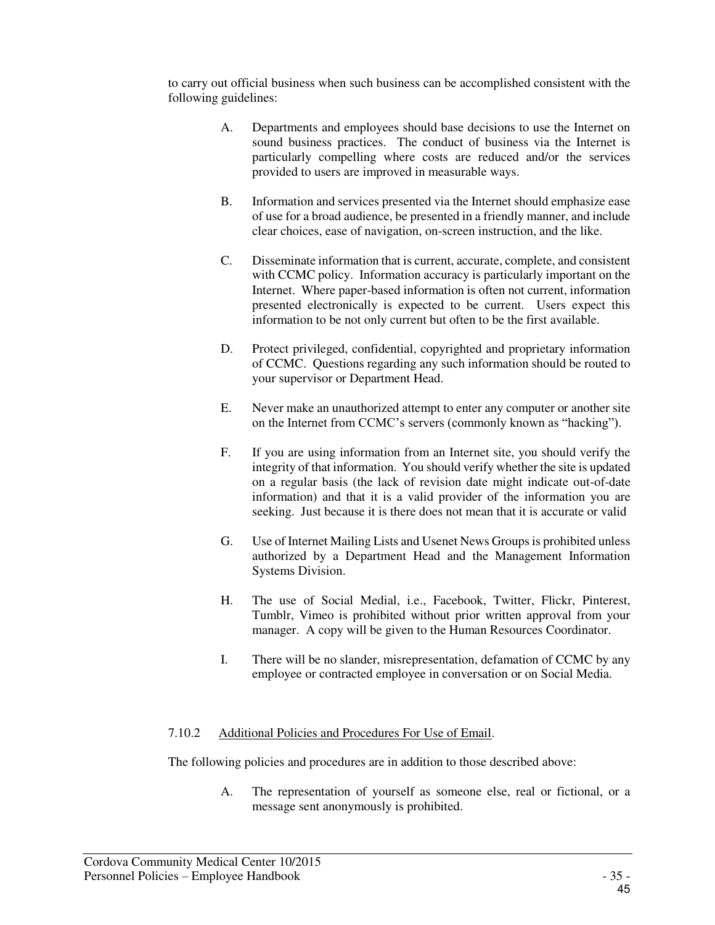to carry out official business when such business can be accomplished consistent with the following guidelines:

- A. Departments and employees should base decisions to use the Internet on sound business practices. The conduct of business via the Internet is particularly compelling where costs are reduced and/or the services provided to users are improved in measurable ways.
- B. Information and services presented via the Internet should emphasize ease of use for a broad audience, be presented in a friendly manner, and include clear choices, ease of navigation, on-screen instruction, and the like.
- C. Disseminate information that is current, accurate, complete, and consistent with CCMC policy. Information accuracy is particularly important on the Internet. Where paper-based information is often not current, information presented electronically is expected to be current. Users expect this information to be not only current but often to be the first available.
- D. Protect privileged, confidential, copyrighted and proprietary information of CCMC. Questions regarding any such information should be routed to your supervisor or Department Head.
- E. Never make an unauthorized attempt to enter any computer or another site on the Internet from CCMC's servers (commonly known as "hacking").
- F. If you are using information from an Internet site, you should verify the integrity of that information. You should verify whether the site is updated on a regular basis (the lack of revision date might indicate out-of-date information) and that it is a valid provider of the information you are seeking. Just because it is there does not mean that it is accurate or valid
- G. Use of Internet Mailing Lists and Usenet News Groups is prohibited unless authorized by a Department Head and the Management Information Systems Division.
- H. The use of Social Medial, i.e., Facebook, Twitter, Flickr, Pinterest, Tumblr, Vimeo is prohibited without prior written approval from your manager. A copy will be given to the Human Resources Coordinator.
- I. There will be no slander, misrepresentation, defamation of CCMC by any employee or contracted employee in conversation or on Social Media.

#### 7.10.2 Additional Policies and Procedures For Use of Email.

The following policies and procedures are in addition to those described above:

A. The representation of yourself as someone else, real or fictional, or a message sent anonymously is prohibited.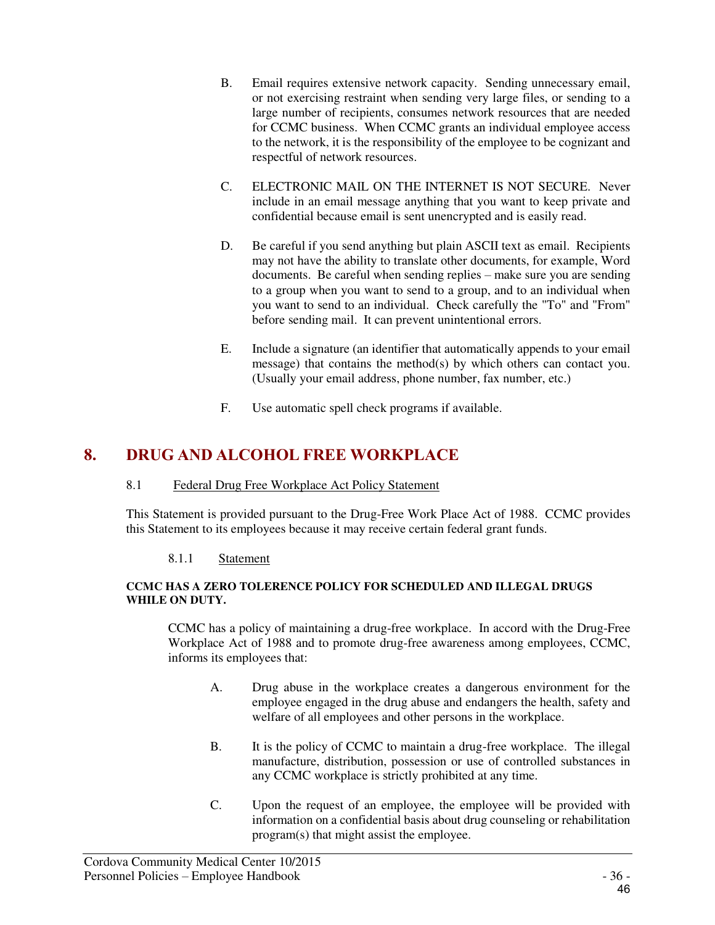- B. Email requires extensive network capacity. Sending unnecessary email, or not exercising restraint when sending very large files, or sending to a large number of recipients, consumes network resources that are needed for CCMC business. When CCMC grants an individual employee access to the network, it is the responsibility of the employee to be cognizant and respectful of network resources.
- C. ELECTRONIC MAIL ON THE INTERNET IS NOT SECURE. Never include in an email message anything that you want to keep private and confidential because email is sent unencrypted and is easily read.
- D. Be careful if you send anything but plain ASCII text as email. Recipients may not have the ability to translate other documents, for example, Word documents. Be careful when sending replies – make sure you are sending to a group when you want to send to a group, and to an individual when you want to send to an individual. Check carefully the "To" and "From" before sending mail. It can prevent unintentional errors.
- E. Include a signature (an identifier that automatically appends to your email message) that contains the method(s) by which others can contact you. (Usually your email address, phone number, fax number, etc.)
- F. Use automatic spell check programs if available.

# **8. DRUG AND ALCOHOL FREE WORKPLACE**

#### 8.1 Federal Drug Free Workplace Act Policy Statement

This Statement is provided pursuant to the Drug-Free Work Place Act of 1988. CCMC provides this Statement to its employees because it may receive certain federal grant funds.

#### 8.1.1 Statement

#### **CCMC HAS A ZERO TOLERENCE POLICY FOR SCHEDULED AND ILLEGAL DRUGS WHILE ON DUTY.**

CCMC has a policy of maintaining a drug-free workplace. In accord with the Drug-Free Workplace Act of 1988 and to promote drug-free awareness among employees, CCMC, informs its employees that:

- A. Drug abuse in the workplace creates a dangerous environment for the employee engaged in the drug abuse and endangers the health, safety and welfare of all employees and other persons in the workplace.
- B. It is the policy of CCMC to maintain a drug-free workplace. The illegal manufacture, distribution, possession or use of controlled substances in any CCMC workplace is strictly prohibited at any time.
- C. Upon the request of an employee, the employee will be provided with information on a confidential basis about drug counseling or rehabilitation program(s) that might assist the employee.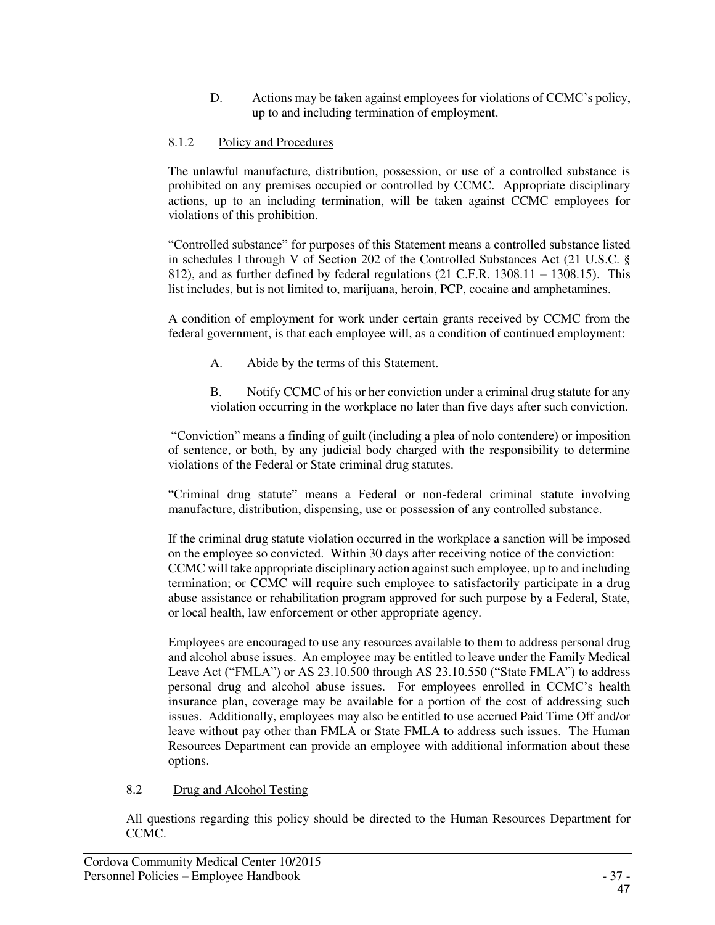D. Actions may be taken against employees for violations of CCMC's policy, up to and including termination of employment.

### 8.1.2 Policy and Procedures

The unlawful manufacture, distribution, possession, or use of a controlled substance is prohibited on any premises occupied or controlled by CCMC. Appropriate disciplinary actions, up to an including termination, will be taken against CCMC employees for violations of this prohibition.

"Controlled substance" for purposes of this Statement means a controlled substance listed in schedules I through V of Section 202 of the Controlled Substances Act (21 U.S.C. § 812), and as further defined by federal regulations (21 C.F.R. 1308.11 – 1308.15). This list includes, but is not limited to, marijuana, heroin, PCP, cocaine and amphetamines.

A condition of employment for work under certain grants received by CCMC from the federal government, is that each employee will, as a condition of continued employment:

- A. Abide by the terms of this Statement.
- B. Notify CCMC of his or her conviction under a criminal drug statute for any violation occurring in the workplace no later than five days after such conviction.

"Conviction" means a finding of guilt (including a plea of nolo contendere) or imposition of sentence, or both, by any judicial body charged with the responsibility to determine violations of the Federal or State criminal drug statutes.

"Criminal drug statute" means a Federal or non-federal criminal statute involving manufacture, distribution, dispensing, use or possession of any controlled substance.

If the criminal drug statute violation occurred in the workplace a sanction will be imposed on the employee so convicted. Within 30 days after receiving notice of the conviction: CCMC will take appropriate disciplinary action against such employee, up to and including termination; or CCMC will require such employee to satisfactorily participate in a drug abuse assistance or rehabilitation program approved for such purpose by a Federal, State, or local health, law enforcement or other appropriate agency.

Employees are encouraged to use any resources available to them to address personal drug and alcohol abuse issues. An employee may be entitled to leave under the Family Medical Leave Act ("FMLA") or AS 23.10.500 through AS 23.10.550 ("State FMLA") to address personal drug and alcohol abuse issues. For employees enrolled in CCMC's health insurance plan, coverage may be available for a portion of the cost of addressing such issues. Additionally, employees may also be entitled to use accrued Paid Time Off and/or leave without pay other than FMLA or State FMLA to address such issues. The Human Resources Department can provide an employee with additional information about these options.

#### 8.2 Drug and Alcohol Testing

All questions regarding this policy should be directed to the Human Resources Department for CCMC.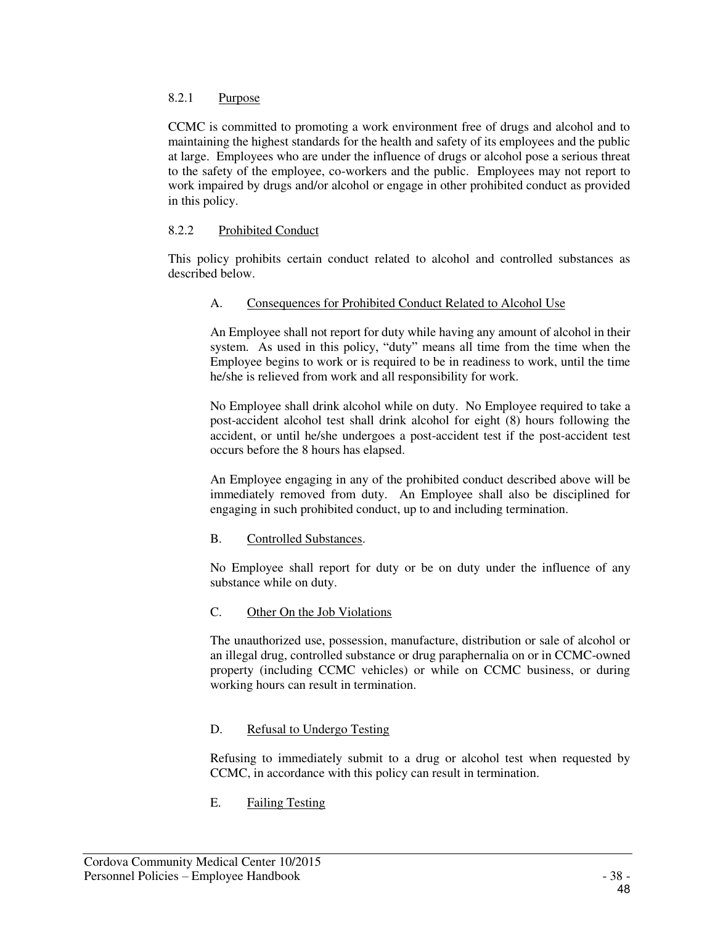#### 8.2.1 Purpose

CCMC is committed to promoting a work environment free of drugs and alcohol and to maintaining the highest standards for the health and safety of its employees and the public at large. Employees who are under the influence of drugs or alcohol pose a serious threat to the safety of the employee, co-workers and the public. Employees may not report to work impaired by drugs and/or alcohol or engage in other prohibited conduct as provided in this policy.

#### 8.2.2 Prohibited Conduct

This policy prohibits certain conduct related to alcohol and controlled substances as described below.

#### A. Consequences for Prohibited Conduct Related to Alcohol Use

An Employee shall not report for duty while having any amount of alcohol in their system. As used in this policy, "duty" means all time from the time when the Employee begins to work or is required to be in readiness to work, until the time he/she is relieved from work and all responsibility for work.

No Employee shall drink alcohol while on duty. No Employee required to take a post-accident alcohol test shall drink alcohol for eight (8) hours following the accident, or until he/she undergoes a post-accident test if the post-accident test occurs before the 8 hours has elapsed.

An Employee engaging in any of the prohibited conduct described above will be immediately removed from duty. An Employee shall also be disciplined for engaging in such prohibited conduct, up to and including termination.

#### B. Controlled Substances.

No Employee shall report for duty or be on duty under the influence of any substance while on duty.

#### C. Other On the Job Violations

The unauthorized use, possession, manufacture, distribution or sale of alcohol or an illegal drug, controlled substance or drug paraphernalia on or in CCMC-owned property (including CCMC vehicles) or while on CCMC business, or during working hours can result in termination.

#### D. Refusal to Undergo Testing

Refusing to immediately submit to a drug or alcohol test when requested by CCMC, in accordance with this policy can result in termination.

E. Failing Testing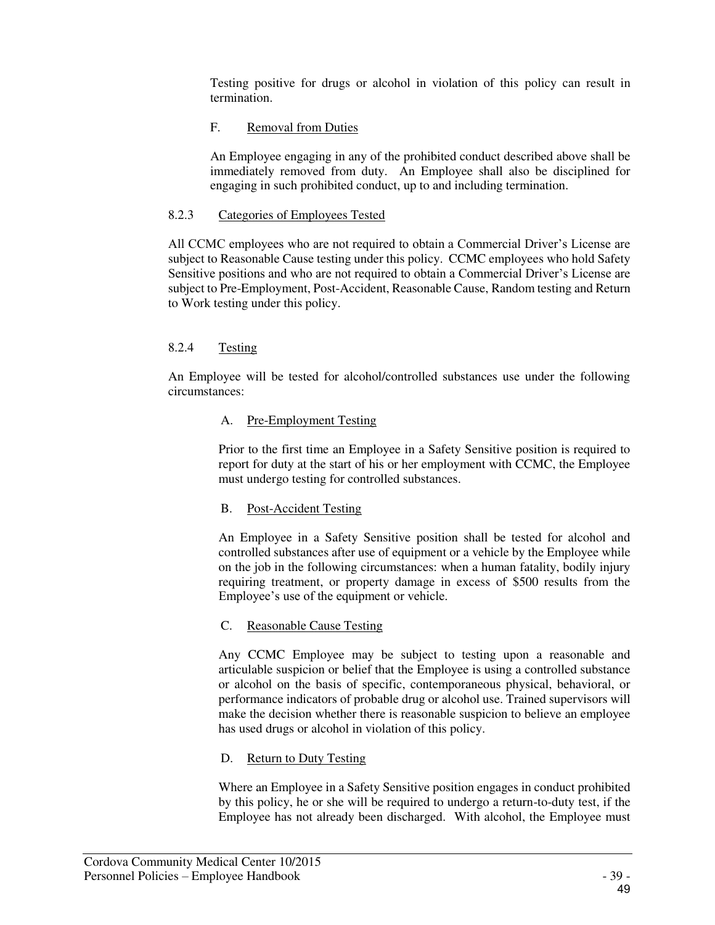Testing positive for drugs or alcohol in violation of this policy can result in termination.

### F. Removal from Duties

An Employee engaging in any of the prohibited conduct described above shall be immediately removed from duty. An Employee shall also be disciplined for engaging in such prohibited conduct, up to and including termination.

#### 8.2.3 Categories of Employees Tested

All CCMC employees who are not required to obtain a Commercial Driver's License are subject to Reasonable Cause testing under this policy. CCMC employees who hold Safety Sensitive positions and who are not required to obtain a Commercial Driver's License are subject to Pre-Employment, Post-Accident, Reasonable Cause, Random testing and Return to Work testing under this policy.

#### 8.2.4 Testing

An Employee will be tested for alcohol/controlled substances use under the following circumstances:

#### A. Pre-Employment Testing

Prior to the first time an Employee in a Safety Sensitive position is required to report for duty at the start of his or her employment with CCMC, the Employee must undergo testing for controlled substances.

#### B. Post-Accident Testing

An Employee in a Safety Sensitive position shall be tested for alcohol and controlled substances after use of equipment or a vehicle by the Employee while on the job in the following circumstances: when a human fatality, bodily injury requiring treatment, or property damage in excess of \$500 results from the Employee's use of the equipment or vehicle.

#### C. Reasonable Cause Testing

Any CCMC Employee may be subject to testing upon a reasonable and articulable suspicion or belief that the Employee is using a controlled substance or alcohol on the basis of specific, contemporaneous physical, behavioral, or performance indicators of probable drug or alcohol use. Trained supervisors will make the decision whether there is reasonable suspicion to believe an employee has used drugs or alcohol in violation of this policy.

#### D. Return to Duty Testing

Where an Employee in a Safety Sensitive position engages in conduct prohibited by this policy, he or she will be required to undergo a return-to-duty test, if the Employee has not already been discharged. With alcohol, the Employee must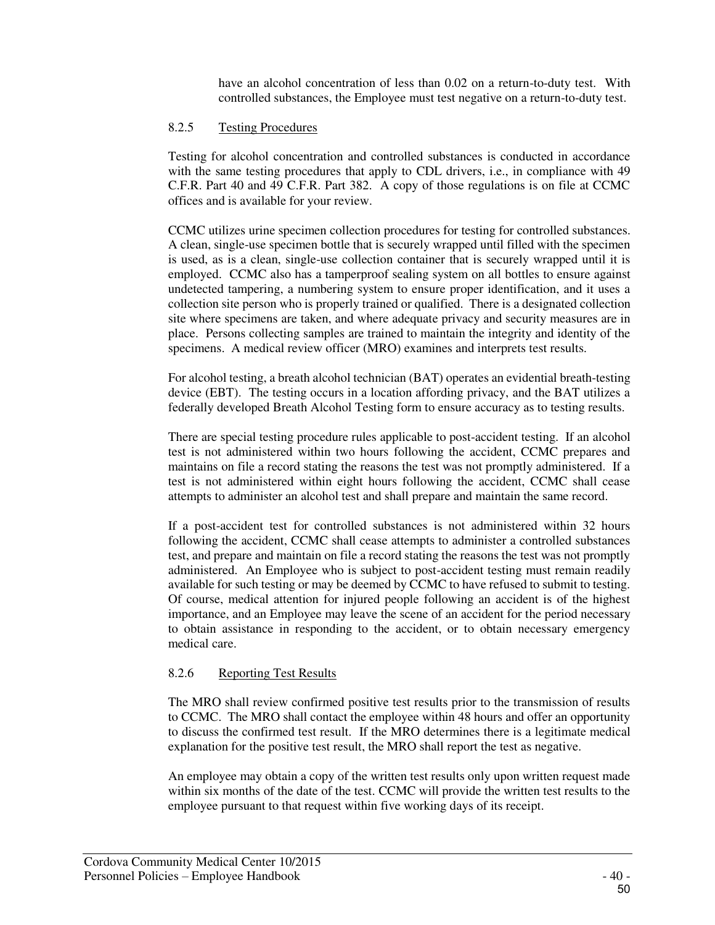have an alcohol concentration of less than 0.02 on a return-to-duty test. With controlled substances, the Employee must test negative on a return-to-duty test.

#### 8.2.5 Testing Procedures

Testing for alcohol concentration and controlled substances is conducted in accordance with the same testing procedures that apply to CDL drivers, i.e., in compliance with 49 C.F.R. Part 40 and 49 C.F.R. Part 382. A copy of those regulations is on file at CCMC offices and is available for your review.

CCMC utilizes urine specimen collection procedures for testing for controlled substances. A clean, single-use specimen bottle that is securely wrapped until filled with the specimen is used, as is a clean, single-use collection container that is securely wrapped until it is employed. CCMC also has a tamperproof sealing system on all bottles to ensure against undetected tampering, a numbering system to ensure proper identification, and it uses a collection site person who is properly trained or qualified. There is a designated collection site where specimens are taken, and where adequate privacy and security measures are in place. Persons collecting samples are trained to maintain the integrity and identity of the specimens. A medical review officer (MRO) examines and interprets test results.

For alcohol testing, a breath alcohol technician (BAT) operates an evidential breath-testing device (EBT). The testing occurs in a location affording privacy, and the BAT utilizes a federally developed Breath Alcohol Testing form to ensure accuracy as to testing results.

There are special testing procedure rules applicable to post-accident testing. If an alcohol test is not administered within two hours following the accident, CCMC prepares and maintains on file a record stating the reasons the test was not promptly administered. If a test is not administered within eight hours following the accident, CCMC shall cease attempts to administer an alcohol test and shall prepare and maintain the same record.

If a post-accident test for controlled substances is not administered within 32 hours following the accident, CCMC shall cease attempts to administer a controlled substances test, and prepare and maintain on file a record stating the reasons the test was not promptly administered. An Employee who is subject to post-accident testing must remain readily available for such testing or may be deemed by CCMC to have refused to submit to testing. Of course, medical attention for injured people following an accident is of the highest importance, and an Employee may leave the scene of an accident for the period necessary to obtain assistance in responding to the accident, or to obtain necessary emergency medical care.

#### 8.2.6 Reporting Test Results

The MRO shall review confirmed positive test results prior to the transmission of results to CCMC. The MRO shall contact the employee within 48 hours and offer an opportunity to discuss the confirmed test result. If the MRO determines there is a legitimate medical explanation for the positive test result, the MRO shall report the test as negative.

An employee may obtain a copy of the written test results only upon written request made within six months of the date of the test. CCMC will provide the written test results to the employee pursuant to that request within five working days of its receipt.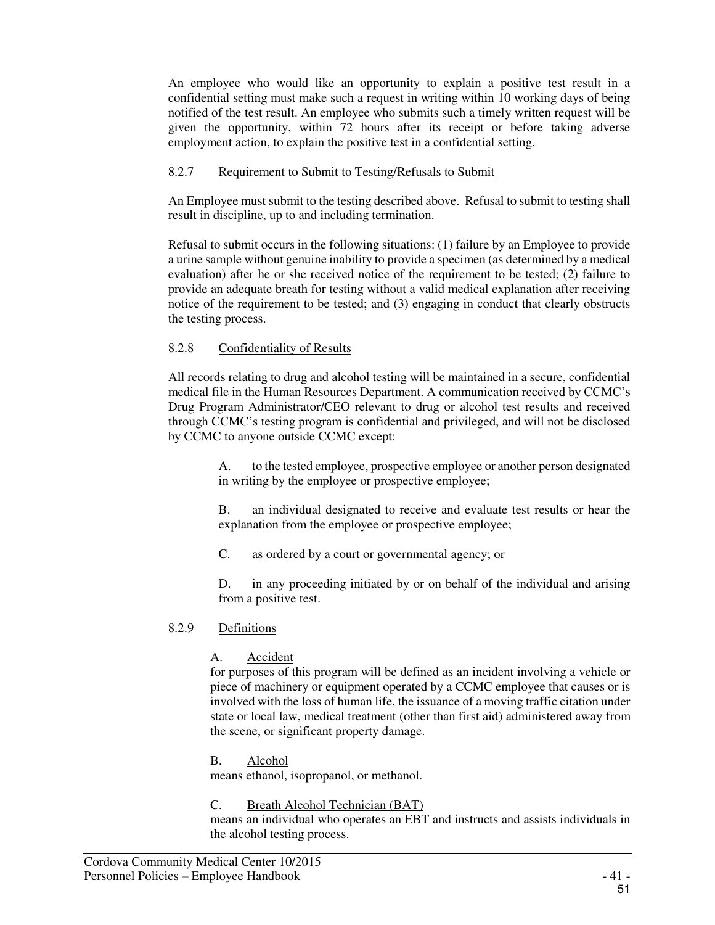An employee who would like an opportunity to explain a positive test result in a confidential setting must make such a request in writing within 10 working days of being notified of the test result. An employee who submits such a timely written request will be given the opportunity, within 72 hours after its receipt or before taking adverse employment action, to explain the positive test in a confidential setting.

#### 8.2.7 Requirement to Submit to Testing/Refusals to Submit

An Employee must submit to the testing described above. Refusal to submit to testing shall result in discipline, up to and including termination.

Refusal to submit occurs in the following situations: (1) failure by an Employee to provide a urine sample without genuine inability to provide a specimen (as determined by a medical evaluation) after he or she received notice of the requirement to be tested; (2) failure to provide an adequate breath for testing without a valid medical explanation after receiving notice of the requirement to be tested; and (3) engaging in conduct that clearly obstructs the testing process.

# 8.2.8 Confidentiality of Results

All records relating to drug and alcohol testing will be maintained in a secure, confidential medical file in the Human Resources Department. A communication received by CCMC's Drug Program Administrator/CEO relevant to drug or alcohol test results and received through CCMC's testing program is confidential and privileged, and will not be disclosed by CCMC to anyone outside CCMC except:

> A. to the tested employee, prospective employee or another person designated in writing by the employee or prospective employee;

> B. an individual designated to receive and evaluate test results or hear the explanation from the employee or prospective employee;

C. as ordered by a court or governmental agency; or

D. in any proceeding initiated by or on behalf of the individual and arising from a positive test.

#### 8.2.9 Definitions

# A. Accident

for purposes of this program will be defined as an incident involving a vehicle or piece of machinery or equipment operated by a CCMC employee that causes or is involved with the loss of human life, the issuance of a moving traffic citation under state or local law, medical treatment (other than first aid) administered away from the scene, or significant property damage.

#### B. Alcohol

means ethanol, isopropanol, or methanol.

#### C. Breath Alcohol Technician (BAT)

means an individual who operates an EBT and instructs and assists individuals in the alcohol testing process.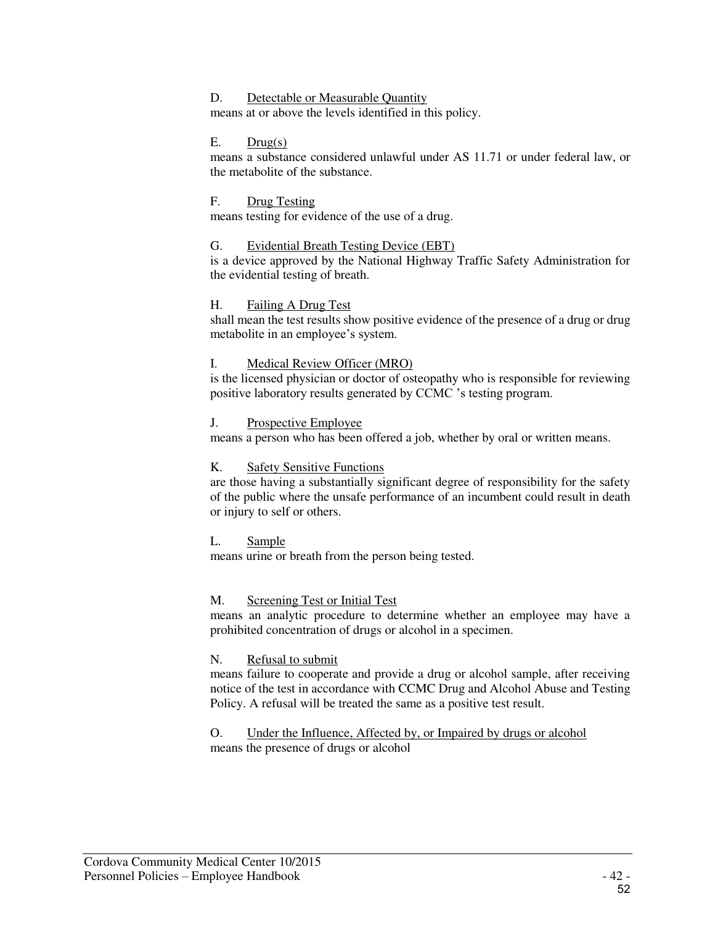#### D. Detectable or Measurable Quantity

means at or above the levels identified in this policy.

#### $E.$  Drug(s)

means a substance considered unlawful under AS 11.71 or under federal law, or the metabolite of the substance.

#### F. Drug Testing

means testing for evidence of the use of a drug.

#### G. Evidential Breath Testing Device (EBT)

is a device approved by the National Highway Traffic Safety Administration for the evidential testing of breath.

#### H. Failing A Drug Test

shall mean the test results show positive evidence of the presence of a drug or drug metabolite in an employee's system.

#### I. Medical Review Officer (MRO)

is the licensed physician or doctor of osteopathy who is responsible for reviewing positive laboratory results generated by CCMC 's testing program.

#### J. Prospective Employee

means a person who has been offered a job, whether by oral or written means.

#### K. Safety Sensitive Functions

are those having a substantially significant degree of responsibility for the safety of the public where the unsafe performance of an incumbent could result in death or injury to self or others.

#### L. Sample

means urine or breath from the person being tested.

#### M. Screening Test or Initial Test

means an analytic procedure to determine whether an employee may have a prohibited concentration of drugs or alcohol in a specimen.

#### N. Refusal to submit

means failure to cooperate and provide a drug or alcohol sample, after receiving notice of the test in accordance with CCMC Drug and Alcohol Abuse and Testing Policy. A refusal will be treated the same as a positive test result.

#### O. Under the Influence, Affected by, or Impaired by drugs or alcohol means the presence of drugs or alcohol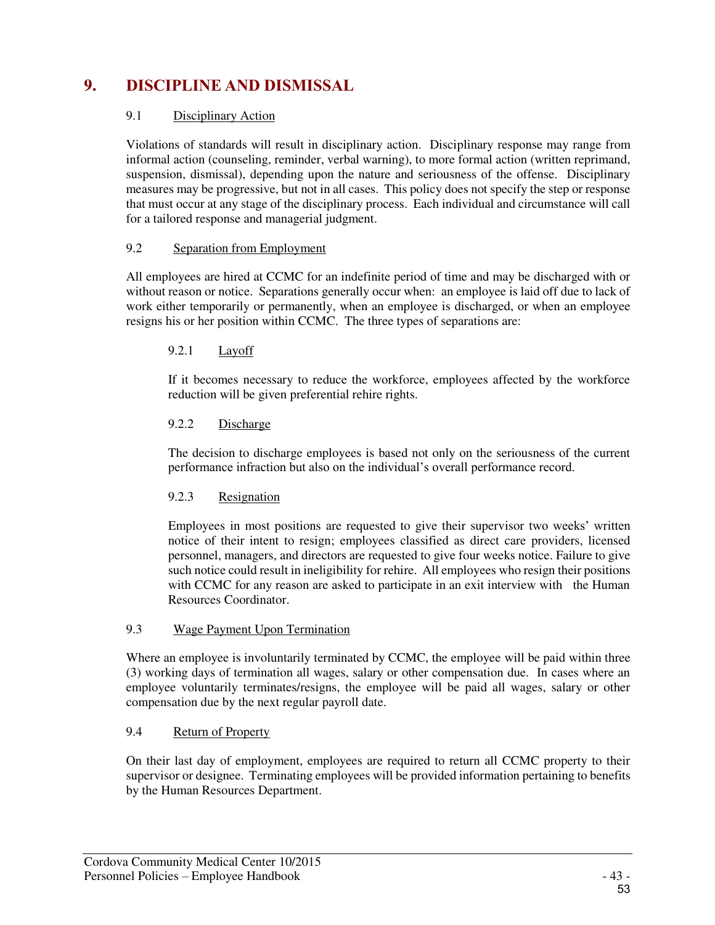# **9. DISCIPLINE AND DISMISSAL**

#### 9.1 Disciplinary Action

Violations of standards will result in disciplinary action. Disciplinary response may range from informal action (counseling, reminder, verbal warning), to more formal action (written reprimand, suspension, dismissal), depending upon the nature and seriousness of the offense. Disciplinary measures may be progressive, but not in all cases. This policy does not specify the step or response that must occur at any stage of the disciplinary process. Each individual and circumstance will call for a tailored response and managerial judgment.

#### 9.2 Separation from Employment

All employees are hired at CCMC for an indefinite period of time and may be discharged with or without reason or notice. Separations generally occur when: an employee is laid off due to lack of work either temporarily or permanently, when an employee is discharged, or when an employee resigns his or her position within CCMC. The three types of separations are:

#### 9.2.1 Layoff

If it becomes necessary to reduce the workforce, employees affected by the workforce reduction will be given preferential rehire rights.

#### 9.2.2 Discharge

The decision to discharge employees is based not only on the seriousness of the current performance infraction but also on the individual's overall performance record.

#### 9.2.3 Resignation

Employees in most positions are requested to give their supervisor two weeks' written notice of their intent to resign; employees classified as direct care providers, licensed personnel, managers, and directors are requested to give four weeks notice. Failure to give such notice could result in ineligibility for rehire. All employees who resign their positions with CCMC for any reason are asked to participate in an exit interview with the Human Resources Coordinator.

#### 9.3 Wage Payment Upon Termination

Where an employee is involuntarily terminated by CCMC, the employee will be paid within three (3) working days of termination all wages, salary or other compensation due. In cases where an employee voluntarily terminates/resigns, the employee will be paid all wages, salary or other compensation due by the next regular payroll date.

#### 9.4 Return of Property

On their last day of employment, employees are required to return all CCMC property to their supervisor or designee. Terminating employees will be provided information pertaining to benefits by the Human Resources Department.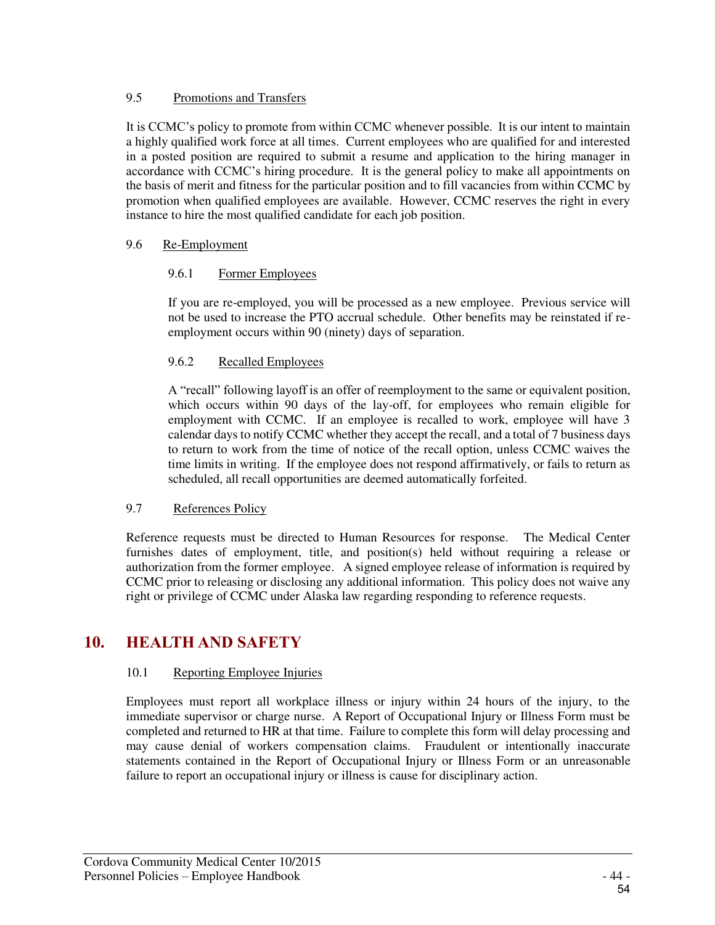#### 9.5 Promotions and Transfers

It is CCMC's policy to promote from within CCMC whenever possible. It is our intent to maintain a highly qualified work force at all times. Current employees who are qualified for and interested in a posted position are required to submit a resume and application to the hiring manager in accordance with CCMC's hiring procedure. It is the general policy to make all appointments on the basis of merit and fitness for the particular position and to fill vacancies from within CCMC by promotion when qualified employees are available. However, CCMC reserves the right in every instance to hire the most qualified candidate for each job position.

#### 9.6 Re-Employment

#### 9.6.1 Former Employees

If you are re-employed, you will be processed as a new employee. Previous service will not be used to increase the PTO accrual schedule. Other benefits may be reinstated if reemployment occurs within 90 (ninety) days of separation.

#### 9.6.2 Recalled Employees

A "recall" following layoff is an offer of reemployment to the same or equivalent position, which occurs within 90 days of the lay-off, for employees who remain eligible for employment with CCMC. If an employee is recalled to work, employee will have 3 calendar days to notify CCMC whether they accept the recall, and a total of 7 business days to return to work from the time of notice of the recall option, unless CCMC waives the time limits in writing. If the employee does not respond affirmatively, or fails to return as scheduled, all recall opportunities are deemed automatically forfeited.

#### 9.7 References Policy

Reference requests must be directed to Human Resources for response. The Medical Center furnishes dates of employment, title, and position(s) held without requiring a release or authorization from the former employee. A signed employee release of information is required by CCMC prior to releasing or disclosing any additional information. This policy does not waive any right or privilege of CCMC under Alaska law regarding responding to reference requests.

# **10. HEALTH AND SAFETY**

# 10.1 Reporting Employee Injuries

Employees must report all workplace illness or injury within 24 hours of the injury, to the immediate supervisor or charge nurse. A Report of Occupational Injury or Illness Form must be completed and returned to HR at that time. Failure to complete this form will delay processing and may cause denial of workers compensation claims. Fraudulent or intentionally inaccurate statements contained in the Report of Occupational Injury or Illness Form or an unreasonable failure to report an occupational injury or illness is cause for disciplinary action.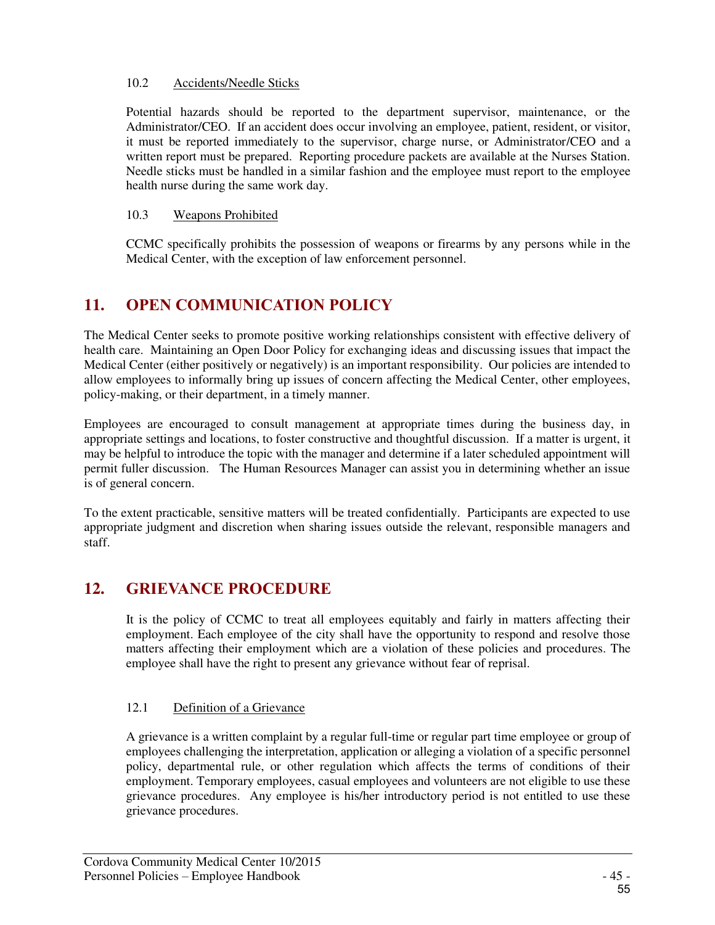#### 10.2 Accidents/Needle Sticks

Potential hazards should be reported to the department supervisor, maintenance, or the Administrator/CEO. If an accident does occur involving an employee, patient, resident, or visitor, it must be reported immediately to the supervisor, charge nurse, or Administrator/CEO and a written report must be prepared. Reporting procedure packets are available at the Nurses Station. Needle sticks must be handled in a similar fashion and the employee must report to the employee health nurse during the same work day.

#### 10.3 Weapons Prohibited

CCMC specifically prohibits the possession of weapons or firearms by any persons while in the Medical Center, with the exception of law enforcement personnel.

# **11. OPEN COMMUNICATION POLICY**

The Medical Center seeks to promote positive working relationships consistent with effective delivery of health care. Maintaining an Open Door Policy for exchanging ideas and discussing issues that impact the Medical Center (either positively or negatively) is an important responsibility. Our policies are intended to allow employees to informally bring up issues of concern affecting the Medical Center, other employees, policy-making, or their department, in a timely manner.

Employees are encouraged to consult management at appropriate times during the business day, in appropriate settings and locations, to foster constructive and thoughtful discussion. If a matter is urgent, it may be helpful to introduce the topic with the manager and determine if a later scheduled appointment will permit fuller discussion. The Human Resources Manager can assist you in determining whether an issue is of general concern.

To the extent practicable, sensitive matters will be treated confidentially. Participants are expected to use appropriate judgment and discretion when sharing issues outside the relevant, responsible managers and staff.

# **12. GRIEVANCE PROCEDURE**

It is the policy of CCMC to treat all employees equitably and fairly in matters affecting their employment. Each employee of the city shall have the opportunity to respond and resolve those matters affecting their employment which are a violation of these policies and procedures. The employee shall have the right to present any grievance without fear of reprisal.

# 12.1 Definition of a Grievance

A grievance is a written complaint by a regular full-time or regular part time employee or group of employees challenging the interpretation, application or alleging a violation of a specific personnel policy, departmental rule, or other regulation which affects the terms of conditions of their employment. Temporary employees, casual employees and volunteers are not eligible to use these grievance procedures. Any employee is his/her introductory period is not entitled to use these grievance procedures.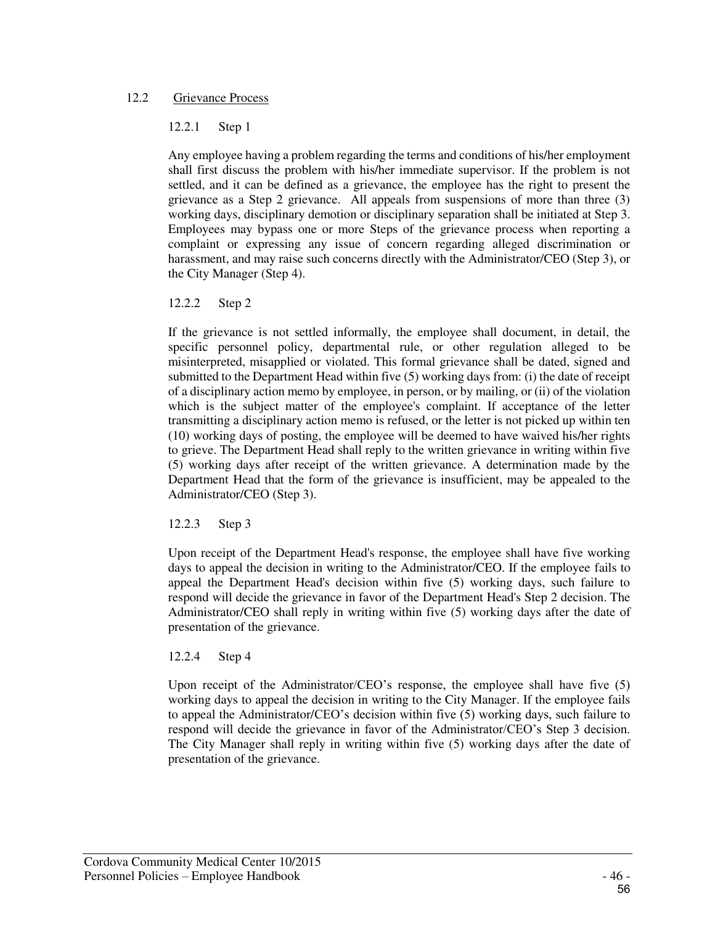#### 12.2 Grievance Process

#### 12.2.1 Step 1

Any employee having a problem regarding the terms and conditions of his/her employment shall first discuss the problem with his/her immediate supervisor. If the problem is not settled, and it can be defined as a grievance, the employee has the right to present the grievance as a Step 2 grievance. All appeals from suspensions of more than three (3) working days, disciplinary demotion or disciplinary separation shall be initiated at Step 3. Employees may bypass one or more Steps of the grievance process when reporting a complaint or expressing any issue of concern regarding alleged discrimination or harassment, and may raise such concerns directly with the Administrator/CEO (Step 3), or the City Manager (Step 4).

#### 12.2.2 Step 2

If the grievance is not settled informally, the employee shall document, in detail, the specific personnel policy, departmental rule, or other regulation alleged to be misinterpreted, misapplied or violated. This formal grievance shall be dated, signed and submitted to the Department Head within five (5) working days from: (i) the date of receipt of a disciplinary action memo by employee, in person, or by mailing, or (ii) of the violation which is the subject matter of the employee's complaint. If acceptance of the letter transmitting a disciplinary action memo is refused, or the letter is not picked up within ten (10) working days of posting, the employee will be deemed to have waived his/her rights to grieve. The Department Head shall reply to the written grievance in writing within five (5) working days after receipt of the written grievance. A determination made by the Department Head that the form of the grievance is insufficient, may be appealed to the Administrator/CEO (Step 3).

#### 12.2.3 Step 3

Upon receipt of the Department Head's response, the employee shall have five working days to appeal the decision in writing to the Administrator/CEO. If the employee fails to appeal the Department Head's decision within five (5) working days, such failure to respond will decide the grievance in favor of the Department Head's Step 2 decision. The Administrator/CEO shall reply in writing within five (5) working days after the date of presentation of the grievance.

#### 12.2.4 Step 4

Upon receipt of the Administrator/CEO's response, the employee shall have five (5) working days to appeal the decision in writing to the City Manager. If the employee fails to appeal the Administrator/CEO's decision within five (5) working days, such failure to respond will decide the grievance in favor of the Administrator/CEO's Step 3 decision. The City Manager shall reply in writing within five (5) working days after the date of presentation of the grievance.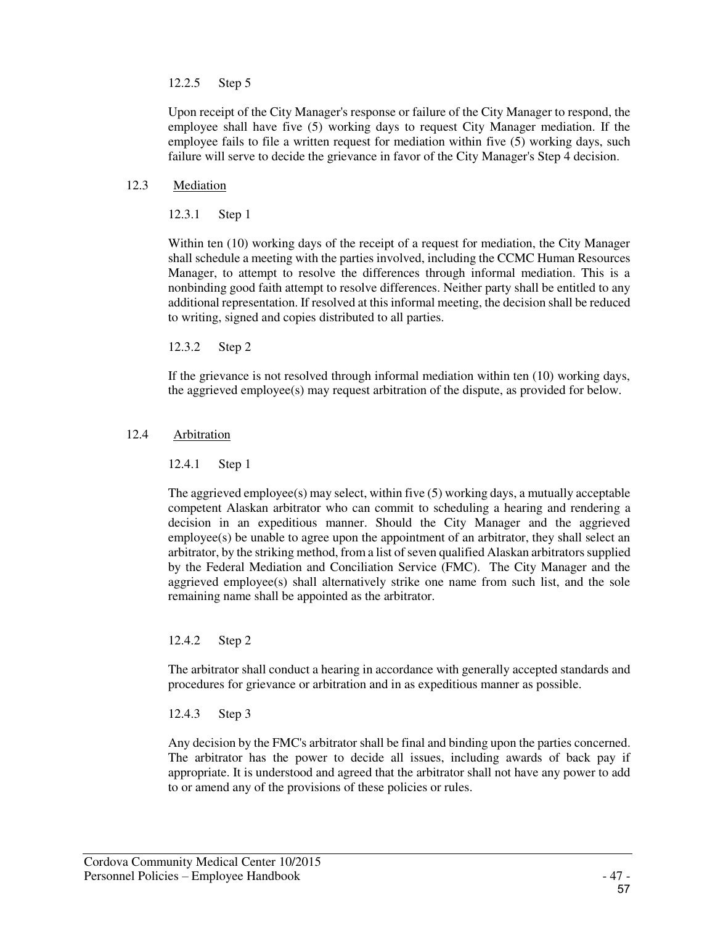#### 12.2.5 Step 5

Upon receipt of the City Manager's response or failure of the City Manager to respond, the employee shall have five (5) working days to request City Manager mediation. If the employee fails to file a written request for mediation within five (5) working days, such failure will serve to decide the grievance in favor of the City Manager's Step 4 decision.

#### 12.3 Mediation

12.3.1 Step 1

Within ten (10) working days of the receipt of a request for mediation, the City Manager shall schedule a meeting with the parties involved, including the CCMC Human Resources Manager, to attempt to resolve the differences through informal mediation. This is a nonbinding good faith attempt to resolve differences. Neither party shall be entitled to any additional representation. If resolved at this informal meeting, the decision shall be reduced to writing, signed and copies distributed to all parties.

12.3.2 Step 2

If the grievance is not resolved through informal mediation within ten (10) working days, the aggrieved employee(s) may request arbitration of the dispute, as provided for below.

#### 12.4 Arbitration

12.4.1 Step 1

The aggrieved employee(s) may select, within five (5) working days, a mutually acceptable competent Alaskan arbitrator who can commit to scheduling a hearing and rendering a decision in an expeditious manner. Should the City Manager and the aggrieved employee(s) be unable to agree upon the appointment of an arbitrator, they shall select an arbitrator, by the striking method, from a list of seven qualified Alaskan arbitrators supplied by the Federal Mediation and Conciliation Service (FMC). The City Manager and the aggrieved employee(s) shall alternatively strike one name from such list, and the sole remaining name shall be appointed as the arbitrator.

12.4.2 Step 2

The arbitrator shall conduct a hearing in accordance with generally accepted standards and procedures for grievance or arbitration and in as expeditious manner as possible.

12.4.3 Step 3

Any decision by the FMC's arbitrator shall be final and binding upon the parties concerned. The arbitrator has the power to decide all issues, including awards of back pay if appropriate. It is understood and agreed that the arbitrator shall not have any power to add to or amend any of the provisions of these policies or rules.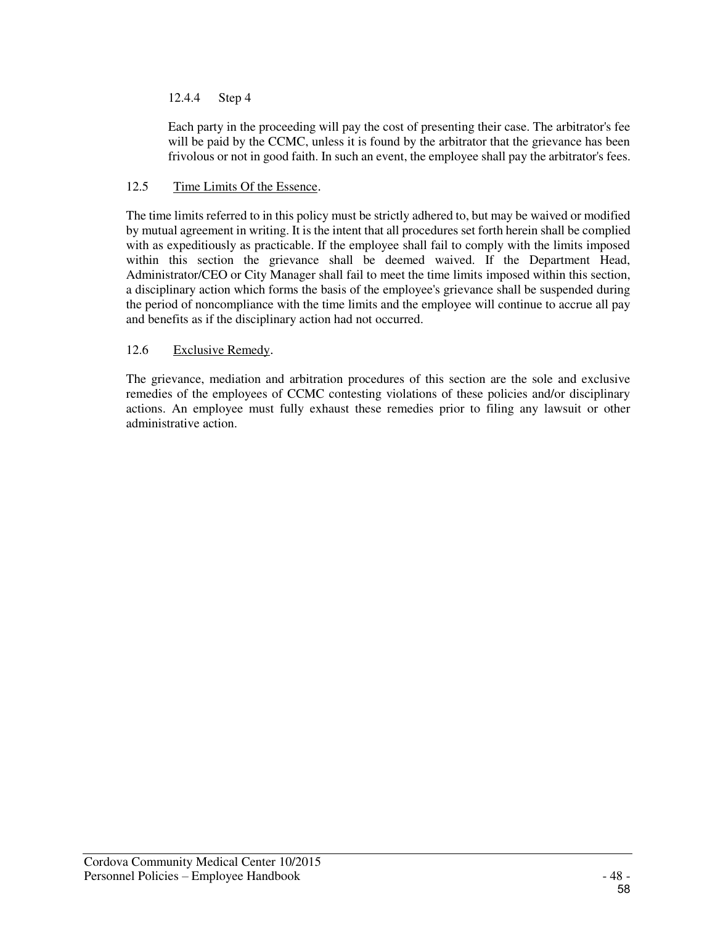### 12.4.4 Step 4

Each party in the proceeding will pay the cost of presenting their case. The arbitrator's fee will be paid by the CCMC, unless it is found by the arbitrator that the grievance has been frivolous or not in good faith. In such an event, the employee shall pay the arbitrator's fees.

#### 12.5 Time Limits Of the Essence.

The time limits referred to in this policy must be strictly adhered to, but may be waived or modified by mutual agreement in writing. It is the intent that all procedures set forth herein shall be complied with as expeditiously as practicable. If the employee shall fail to comply with the limits imposed within this section the grievance shall be deemed waived. If the Department Head, Administrator/CEO or City Manager shall fail to meet the time limits imposed within this section, a disciplinary action which forms the basis of the employee's grievance shall be suspended during the period of noncompliance with the time limits and the employee will continue to accrue all pay and benefits as if the disciplinary action had not occurred.

#### 12.6 Exclusive Remedy.

The grievance, mediation and arbitration procedures of this section are the sole and exclusive remedies of the employees of CCMC contesting violations of these policies and/or disciplinary actions. An employee must fully exhaust these remedies prior to filing any lawsuit or other administrative action.